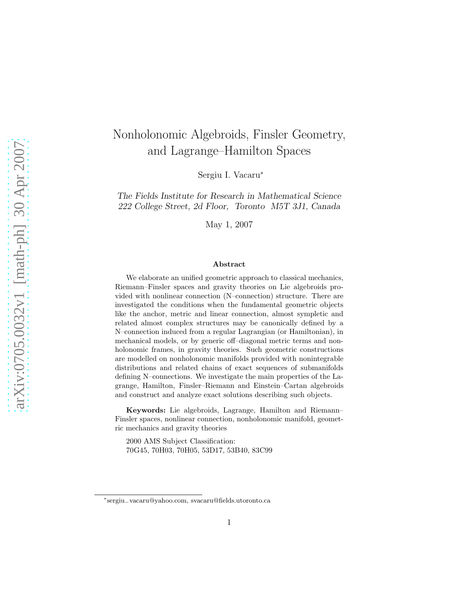# Nonholonomic Algebroids, Finsler Geometry, and Lagrange–Hamilton Spaces

Sergiu I. Vacaru<sup>∗</sup>

The Fields Institute for Research in Mathematical Science 222 College Street, 2d Floor, Toronto M5T 3J1, Canada

May 1, 2007

#### Abstract

We elaborate an unified geometric approach to classical mechanics, Riemann–Finsler spaces and gravity theories on Lie algebroids provided with nonlinear connection (N–connection) structure. There are investigated the conditions when the fundamental geometric objects like the anchor, metric and linear connection, almost sympletic and related almost complex structures may be canonically defined by a N–connection induced from a regular Lagrangian (or Hamiltonian), in mechanical models, or by generic off–diagonal metric terms and nonholonomic frames, in gravity theories. Such geometric constructions are modelled on nonholonomic manifolds provided with nonintegrable distributions and related chains of exact sequences of submanifolds defining N–connections. We investigate the main properties of the Lagrange, Hamilton, Finsler–Riemann and Einstein–Cartan algebroids and construct and analyze exact solutions describing such objects.

Keywords: Lie algebroids, Lagrange, Hamilton and Riemann– Finsler spaces, nonlinear connection, nonholonomic manifold, geometric mechanics and gravity theories

2000 AMS Subject Classification: 70G45, 70H03, 70H05, 53D17, 53B40, 83C99

<sup>∗</sup> sergiu−vacaru@yahoo.com, svacaru@fields.utoronto.ca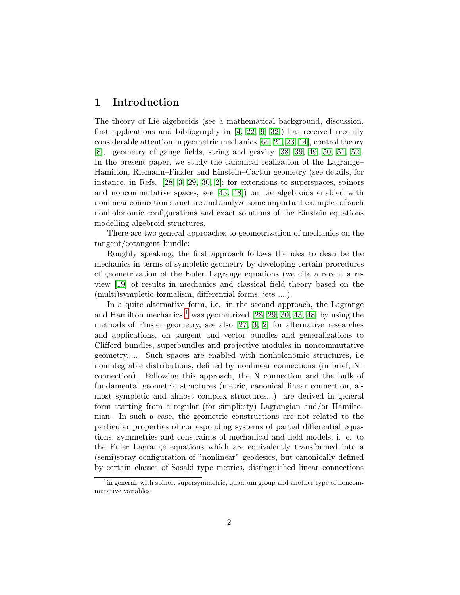# 1 Introduction

The theory of Lie algebroids (see a mathematical background, discussion, first applications and bibliography in [\[4,](#page-69-0) [22,](#page-71-0) [9,](#page-70-0) [32\]](#page-71-1)) has received recently considerable attention in geometric mechanics [\[64,](#page-74-0) [21,](#page-70-1) [23,](#page-71-2) [14\]](#page-70-2), control theory [\[8\]](#page-69-1), geometry of gauge fields, string and gravity [\[38,](#page-72-0) [39,](#page-72-1) [49,](#page-73-0) [50,](#page-73-1) [51,](#page-73-2) [52\]](#page-73-3). In the present paper, we study the canonical realization of the Lagrange– Hamilton, Riemann–Finsler and Einstein–Cartan geometry (see details, for instance, in Refs. [\[28,](#page-71-3) [3,](#page-69-2) [29,](#page-71-4) [30,](#page-71-5) [2\]](#page-69-3); for extensions to superspaces, spinors and noncommutative spaces, see [\[43,](#page-72-2) [48\]](#page-72-3)) on Lie algebroids enabled with nonlinear connection structure and analyze some important examples of such nonholonomic configurations and exact solutions of the Einstein equations modelling algebroid structures.

There are two general approaches to geometrization of mechanics on the tangent/cotangent bundle:

Roughly speaking, the first approach follows the idea to describe the mechanics in terms of sympletic geometry by developing certain procedures of geometrization of the Euler–Lagrange equations (we cite a recent a review [\[19\]](#page-70-3) of results in mechanics and classical field theory based on the (multi)sympletic formalism, differential forms, jets ....).

In a quite alternative form, i.e. in the second approach, the Lagrange and Hamilton mechanics  $<sup>1</sup>$  $<sup>1</sup>$  $<sup>1</sup>$  was geometrized [\[28,](#page-71-3) [29,](#page-71-4) [30,](#page-71-5) [43,](#page-72-2) [48\]](#page-72-3) by using the</sup> methods of Finsler geometry, see also [\[27,](#page-71-6) [3,](#page-69-2) [2\]](#page-69-3) for alternative researches and applications, on tangent and vector bundles and generalizations to Clifford bundles, superbundles and projective modules in noncommutative geometry..... Such spaces are enabled with nonholonomic structures, i.e nonintegrable distributions, defined by nonlinear connections (in brief, N– connection). Following this approach, the N–connection and the bulk of fundamental geometric structures (metric, canonical linear connection, almost sympletic and almost complex structures...) are derived in general form starting from a regular (for simplicity) Lagrangian and/or Hamiltonian. In such a case, the geometric constructions are not related to the particular properties of corresponding systems of partial differential equations, symmetries and constraints of mechanical and field models, i. e. to the Euler–Lagrange equations which are equivalently transformed into a (semi)spray configuration of "nonlinear" geodesics, but canonically defined by certain classes of Sasaki type metrics, distinguished linear connections

<span id="page-1-0"></span><sup>&</sup>lt;sup>1</sup> in general, with spinor, supersymmetric, quantum group and another type of noncommutative variables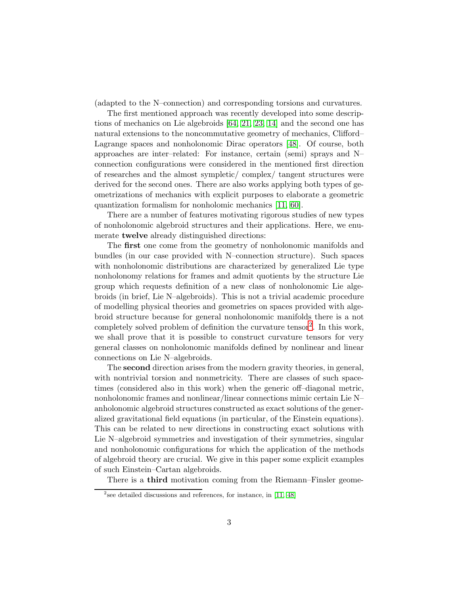(adapted to the N–connection) and corresponding torsions and curvatures.

The first mentioned approach was recently developed into some descriptions of mechanics on Lie algebroids [\[64,](#page-74-0) [21,](#page-70-1) [23,](#page-71-2) [14\]](#page-70-2) and the second one has natural extensions to the noncommutative geometry of mechanics, Clifford– Lagrange spaces and nonholonomic Dirac operators [\[48\]](#page-72-3). Of course, both approaches are inter–related: For instance, certain (semi) sprays and N– connection configurations were considered in the mentioned first direction of researches and the almost sympletic/ complex/ tangent structures were derived for the second ones. There are also works applying both types of geometrizations of mechanics with explicit purposes to elaborate a geometric quantization formalism for nonholomic mechanics [\[11,](#page-70-4) [60\]](#page-74-1).

There are a number of features motivating rigorous studies of new types of nonholonomic algebroid structures and their applications. Here, we enumerate **twelve** already distinguished directions:

The first one come from the geometry of nonholonomic manifolds and bundles (in our case provided with N–connection structure). Such spaces with nonholonomic distributions are characterized by generalized Lie type nonholonomy relations for frames and admit quotients by the structure Lie group which requests definition of a new class of nonholonomic Lie algebroids (in brief, Lie N–algebroids). This is not a trivial academic procedure of modelling physical theories and geometries on spaces provided with algebroid structure because for general nonholonomic manifolds there is a not completely solved problem of definition the curvature tensor [2](#page-2-0) . In this work, we shall prove that it is possible to construct curvature tensors for very general classes on nonholonomic manifolds defined by nonlinear and linear connections on Lie N–algebroids.

The second direction arises from the modern gravity theories, in general, with nontrivial torsion and nonmetricity. There are classes of such spacetimes (considered also in this work) when the generic off–diagonal metric, nonholonomic frames and nonlinear/linear connections mimic certain Lie N– anholonomic algebroid structures constructed as exact solutions of the generalized gravitational field equations (in particular, of the Einstein equations). This can be related to new directions in constructing exact solutions with Lie N–algebroid symmetries and investigation of their symmetries, singular and nonholonomic configurations for which the application of the methods of algebroid theory are crucial. We give in this paper some explicit examples of such Einstein–Cartan algebroids.

There is a third motivation coming from the Riemann–Finsler geome-

<span id="page-2-0"></span><sup>&</sup>lt;sup>2</sup> see detailed discussions and references, for instance, in [\[11,](#page-70-4) [48\]](#page-72-3)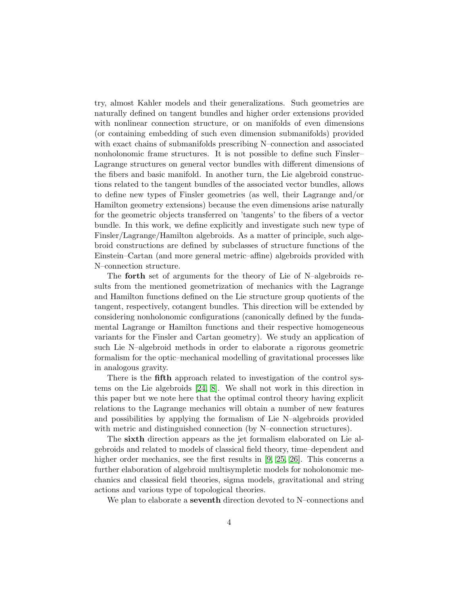try, almost Kahler models and their generalizations. Such geometries are naturally defined on tangent bundles and higher order extensions provided with nonlinear connection structure, or on manifolds of even dimensions (or containing embedding of such even dimension submanifolds) provided with exact chains of submanifolds prescribing N–connection and associated nonholonomic frame structures. It is not possible to define such Finsler– Lagrange structures on general vector bundles with different dimensions of the fibers and basic manifold. In another turn, the Lie algebroid constructions related to the tangent bundles of the associated vector bundles, allows to define new types of Finsler geometries (as well, their Lagrange and/or Hamilton geometry extensions) because the even dimensions arise naturally for the geometric objects transferred on 'tangents' to the fibers of a vector bundle. In this work, we define explicitly and investigate such new type of Finsler/Lagrange/Hamilton algebroids. As a matter of principle, such algebroid constructions are defined by subclasses of structure functions of the Einstein–Cartan (and more general metric–affine) algebroids provided with N–connection structure.

The forth set of arguments for the theory of Lie of N–algebroids results from the mentioned geometrization of mechanics with the Lagrange and Hamilton functions defined on the Lie structure group quotients of the tangent, respectively, cotangent bundles. This direction will be extended by considering nonholonomic configurations (canonically defined by the fundamental Lagrange or Hamilton functions and their respective homogeneous variants for the Finsler and Cartan geometry). We study an application of such Lie N–algebroid methods in order to elaborate a rigorous geometric formalism for the optic–mechanical modelling of gravitational processes like in analogous gravity.

There is the **fifth** approach related to investigation of the control systems on the Lie algebroids [\[24,](#page-71-7) [8\]](#page-69-1). We shall not work in this direction in this paper but we note here that the optimal control theory having explicit relations to the Lagrange mechanics will obtain a number of new features and possibilities by applying the formalism of Lie N–algebroids provided with metric and distinguished connection (by N–connection structures).

The sixth direction appears as the jet formalism elaborated on Lie algebroids and related to models of classical field theory, time–dependent and higher order mechanics, see the first results in [\[9,](#page-70-0) [25,](#page-71-8) [26\]](#page-71-9). This concerns a further elaboration of algebroid multisympletic models for noholonomic mechanics and classical field theories, sigma models, gravitational and string actions and various type of topological theories.

We plan to elaborate a seventh direction devoted to N–connections and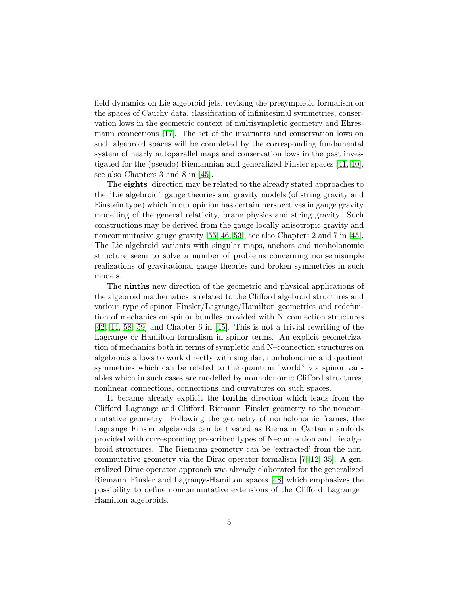field dynamics on Lie algebroid jets, revising the presympletic formalism on the spaces of Cauchy data, classification of infinitesimal symmetries, conservation lows in the geometric context of multisympletic geometry and Ehresmann connections [\[17\]](#page-70-5). The set of the invariants and conservation lows on such algebroid spaces will be completed by the corresponding fundamental system of nearly autoparallel maps and conservation lows in the past investigated for the (pseudo) Riemannian and generalized Finsler spaces [\[41,](#page-72-4) [10\]](#page-70-6), see also Chapters 3 and 8 in [\[45\]](#page-72-5).

The eights direction may be related to the already stated approaches to the "Lie algebroid" gauge theories and gravity models (of string gravity and Einstein type) which in our opinion has certain perspectives in gauge gravity modelling of the general relativity, brane physics and string gravity. Such constructions may be derived from the gauge locally anisotropic gravity and noncommutative gauge gravity [\[55,](#page-73-4) [46,](#page-72-6) [53\]](#page-73-5), see also Chapters 2 and 7 in [\[45\]](#page-72-5). The Lie algebroid variants with singular maps, anchors and nonholonomic structure seem to solve a number of problems concerning nonsemisimple realizations of gravitational gauge theories and broken symmetries in such models.

The ninths new direction of the geometric and physical applications of the algebroid mathematics is related to the Clifford algebroid structures and various type of spinor–Finsler/Lagrange/Hamilton geometries and redefinition of mechanics on spinor bundles provided with N–connection structures [\[42,](#page-72-7) [44,](#page-72-8) [58,](#page-73-6) [59\]](#page-73-7) and Chapter 6 in [\[45\]](#page-72-5). This is not a trivial rewriting of the Lagrange or Hamilton formalism in spinor terms. An explicit geometrization of mechanics both in terms of sympletic and N–connection structures on algebroids allows to work directly with singular, nonholonomic and quotient symmetries which can be related to the quantum "world" via spinor variables which in such cases are modelled by nonholonomic Clifford structures, nonlinear connections, connections and curvatures on such spaces.

It became already explicit the tenths direction which leads from the Clifford–Lagrange and Clifford–Riemann–Finsler geometry to the noncommutative geometry. Following the geometry of nonholonomic frames, the Lagrange–Finsler algebroids can be treated as Riemann–Cartan manifolds provided with corresponding prescribed types of N–connection and Lie algebroid structures. The Riemann geometry can be 'extracted' from the noncommutative geometry via the Dirac operator formalism [\[7,](#page-69-4) [12,](#page-70-7) [35\]](#page-71-10). A generalized Dirac operator approach was already elaborated for the generalized Riemann–Finsler and Lagrange-Hamilton spaces [\[48\]](#page-72-3) which emphasizes the possibility to define noncommutative extensions of the Clifford–Lagrange– Hamilton algebroids.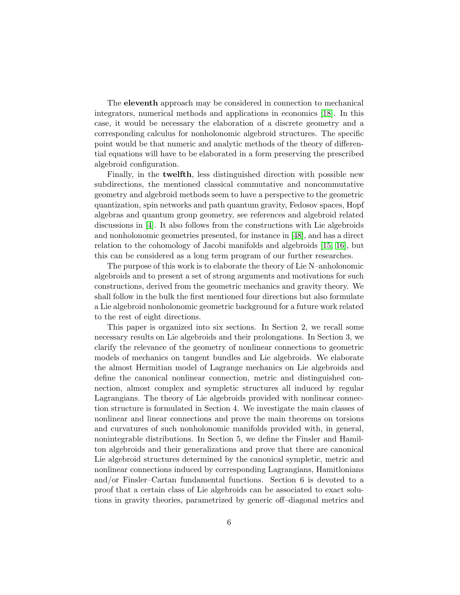The eleventh approach may be considered in connection to mechanical integrators, numerical methods and applications in economics [\[18\]](#page-70-8). In this case, it would be necessary the elaboration of a discrete geometry and a corresponding calculus for nonholonomic algebroid structures. The specific point would be that numeric and analytic methods of the theory of differential equations will have to be elaborated in a form preserving the prescribed algebroid configuration.

Finally, in the twelfth, less distinguished direction with possible new subdirections, the mentioned classical commutative and noncommutative geometry and algebroid methods seem to have a perspective to the geometric quantization, spin networks and path quantum gravity, Fedosov spaces, Hopf algebras and quantum group geometry, see references and algebroid related discussions in [\[4\]](#page-69-0). It also follows from the constructions with Lie algebroids and nonholonomic geometries presented, for instance in [\[48\]](#page-72-3), and has a direct relation to the cohomology of Jacobi manifolds and algebroids [\[15,](#page-70-9) [16\]](#page-70-10), but this can be considered as a long term program of our further researches.

The purpose of this work is to elaborate the theory of Lie N–anholonomic algebroids and to present a set of strong arguments and motivations for such constructions, derived from the geometric mechanics and gravity theory. We shall follow in the bulk the first mentioned four directions but also formulate a Lie algebroid nonholonomic geometric background for a future work related to the rest of eight directions.

This paper is organized into six sections. In Section 2, we recall some necessary results on Lie algebroids and their prolongations. In Section 3, we clarify the relevance of the geometry of nonlinear connections to geometric models of mechanics on tangent bundles and Lie algebroids. We elaborate the almost Hermitian model of Lagrange mechanics on Lie algebroids and define the canonical nonlinear connection, metric and distinguished connection, almost complex and sympletic structures all induced by regular Lagrangians. The theory of Lie algebroids provided with nonlinear connection structure is formulated in Section 4. We investigate the main classes of nonlinear and linear connections and prove the main theorems on torsions and curvatures of such nonholonomic manifolds provided with, in general, nonintegrable distributions. In Section 5, we define the Finsler and Hamilton algebroids and their generalizations and prove that there are canonical Lie algebroid structures determined by the canonical sympletic, metric and nonlinear connections induced by corresponding Lagrangians, Hamitlonians and/or Finsler–Cartan fundamental functions. Section 6 is devoted to a proof that a certain class of Lie algebroids can be associated to exact solutions in gravity theories, parametrized by generic off–diagonal metrics and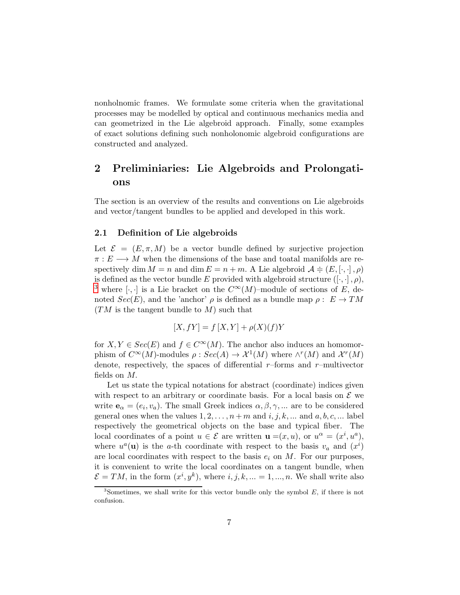nonholnomic frames. We formulate some criteria when the gravitational processes may be modelled by optical and continuous mechanics media and can geometrized in the Lie algebroid approach. Finally, some examples of exact solutions defining such nonholonomic algebroid configurations are constructed and analyzed.

# 2 Preliminiaries: Lie Algebroids and Prolongations

The section is an overview of the results and conventions on Lie algebroids and vector/tangent bundles to be applied and developed in this work.

### 2.1 Definition of Lie algebroids

Let  $\mathcal{E} = (E, \pi, M)$  be a vector bundle defined by surjective projection  $\pi: E \longrightarrow M$  when the dimensions of the base and toatal manifolds are respectively dim  $M = n$  and dim  $E = n + m$ . A Lie algebroid  $\mathcal{A} \doteq (E, [\cdot, \cdot], \rho)$ is defined as the vector bundle E provided with algebroid structure  $([\cdot, \cdot], \rho)$ , <sup>[3](#page-6-0)</sup> where [ $\cdot$ , ·] is a Lie bracket on the  $C^{\infty}(M)$ –module of sections of E, denoted  $Sec(E)$ , and the 'anchor'  $\rho$  is defined as a bundle map  $\rho: E \to TM$  $(TM \text{ is the tangent bundle to } M)$  such that

$$
[X, fY] = f[X, Y] + \rho(X)(f)Y
$$

for  $X, Y \in \text{Sec}(E)$  and  $f \in C^{\infty}(M)$ . The anchor also induces an homomorphism of  $C^{\infty}(M)$ -modules  $\rho : Sec(A) \to \mathcal{X}^1(M)$  where  $\wedge^r(M)$  and  $\mathcal{X}^r(M)$ denote, respectively, the spaces of differential  $r$ –forms and  $r$ –multivector fields on M.

Let us state the typical notations for abstract (coordinate) indices given with respect to an arbitrary or coordinate basis. For a local basis on  $\mathcal E$  we write  $\mathbf{e}_{\alpha} = (e_i, v_a)$ . The small Greek indices  $\alpha, \beta, \gamma, ...$  are to be considered general ones when the values  $1, 2, \ldots, n+m$  and  $i, j, k, \ldots$  and  $a, b, c, \ldots$  label respectively the geometrical objects on the base and typical fiber. The local coordinates of a point  $u \in \mathcal{E}$  are written  $\mathbf{u} = (x, u)$ , or  $u^{\alpha} = (x^{i}, u^{a})$ , where  $u^a(\mathbf{u})$  is the a-th coordinate with respect to the basis  $v_a$  and  $(x^i)$ are local coordinates with respect to the basis  $e_i$  on M. For our purposes, it is convenient to write the local coordinates on a tangent bundle, when  $\mathcal{E} = TM$ , in the form  $(x^i, y^k)$ , where  $i, j, k, ... = 1, ..., n$ . We shall write also

<span id="page-6-0"></span> $3$ Sometimes, we shall write for this vector bundle only the symbol  $E$ , if there is not confusion.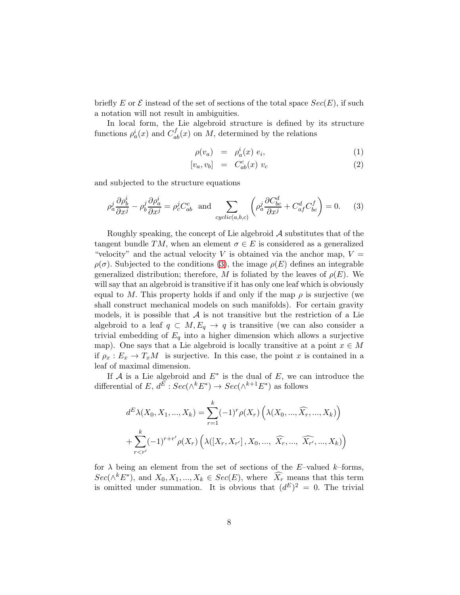briefly E or  $\mathcal E$  instead of the set of sections of the total space  $Sec(E)$ , if such a notation will not result in ambiguities.

In local form, the Lie algebroid structure is defined by its structure functions  $\rho_a^i(x)$  and  $C_{ab}^f(x)$  on M, determined by the relations

<span id="page-7-1"></span>
$$
\rho(v_a) = \rho_a^i(x) e_i, \qquad (1)
$$

$$
[v_a, v_b] = C_{ab}^c(x) v_c \tag{2}
$$

and subjected to the structure equations

<span id="page-7-0"></span>
$$
\rho_a^j \frac{\partial \rho_b^i}{\partial x^j} - \rho_b^j \frac{\partial \rho_a^i}{\partial x^j} = \rho_c^j C_{ab}^c \text{ and } \sum_{cyclic(a,b,c)} \left( \rho_a^j \frac{\partial C_{bc}^d}{\partial x^j} + C_{af}^d C_{bc}^f \right) = 0. \tag{3}
$$

Roughly speaking, the concept of Lie algebroid  $\mathcal A$  substitutes that of the tangent bundle TM, when an element  $\sigma \in E$  is considered as a generalized "velocity" and the actual velocity V is obtained via the anchor map,  $V =$  $\rho(\sigma)$ . Subjected to the conditions [\(3\)](#page-7-0), the image  $\rho(E)$  defines an integrable generalized distribution; therefore, M is foliated by the leaves of  $\rho(E)$ . We will say that an algebroid is transitive if it has only one leaf which is obviously equal to M. This property holds if and only if the map  $\rho$  is surjective (we shall construct mechanical models on such manifolds). For certain gravity models, it is possible that  $A$  is not transitive but the restriction of a Lie algebroid to a leaf  $q \text{ }\subset M, E_q \to q$  is transitive (we can also consider a trivial embedding of  $E_q$  into a higher dimension which allows a surjective map). One says that a Lie algebroid is locally transitive at a point  $x \in M$ if  $\rho_x : E_x \to T_xM$  is surjective. In this case, the point x is contained in a leaf of maximal dimension.

If  $A$  is a Lie algebroid and  $E^*$  is the dual of  $E$ , we can introduce the differential of  $E, d^E : Sec(\wedge^k E^*) \to Sec(\wedge^{k+1} E^*)$  as follows

$$
d^{E}\lambda(X_{0}, X_{1}, ..., X_{k}) = \sum_{r=1}^{k} (-1)^{r} \rho(X_{r}) \left(\lambda(X_{0}, ..., \widehat{X}_{r}, ..., X_{k})\right)
$$

$$
+ \sum_{r
$$

for  $\lambda$  being an element from the set of sections of the E–valued k–forms,  $Sec(\wedge^k E^*)$ , and  $X_0, X_1, ..., X_k \in Sec(E)$ , where  $\widehat{X}_r$  means that this term is omitted under summation. It is obvious that  $(d^E)^2 = 0$ . The trivial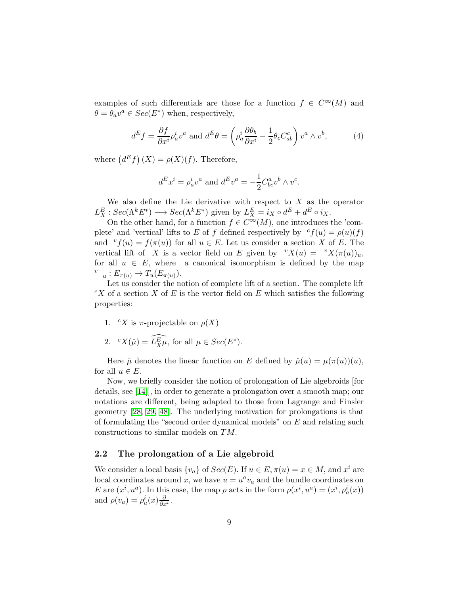examples of such differentials are those for a function  $f \in C^{\infty}(M)$  and  $\theta = \theta_a v^a \in Sec(E^*)$  when, respectively,

$$
d^E f = \frac{\partial f}{\partial x^i} \rho_a^i v^a \text{ and } d^E \theta = \left( \rho_a^i \frac{\partial \theta_b}{\partial x^i} - \frac{1}{2} \theta_c C_{ab}^c \right) v^a \wedge v^b, \tag{4}
$$

where  $(d^E f)(X) = \rho(X)(f)$ . Therefore,

$$
dE xi = \rho_a^i v^a
$$
 and 
$$
dE v^a = -\frac{1}{2} C_{bc}^a v^b \wedge v^c.
$$

We also define the Lie derivative with respect to  $X$  as the operator  $L_X^E : Sec(\Lambda^k E^*) \longrightarrow Sec(\Lambda^k E^*)$  given by  $L_X^E = i_X \circ d^E + d^E \circ i_X$ .

On the other hand, for a function  $f \in C^{\infty}(M)$ , one introduces the 'complete' and 'vertical' lifts to E of f defined respectively by  $c f(u) = \rho(u)(f)$ and  ${}^{v}f(u) = f(\pi(u))$  for all  $u \in E$ . Let us consider a section X of E. The vertical lift of X is a vector field on E given by  ${}^{v}X(u) = {}^{v}X(\pi(u))_u$ , for all  $u \in E$ , where a canonical isomorphism is defined by the map  $v_{u}: E_{\pi(u)} \to T_{u}(E_{\pi(u)})$ .

Let us consider the notion of complete lift of a section. The complete lift  ${}^cX$  of a section X of E is the vector field on E which satisfies the following properties:

- 1. <sup>c</sup>X is  $\pi$ -projectable on  $\rho(X)$
- 2.  ${}^{c}X(\hat{\mu}) = \widehat{L_{X}^{\mathcal{E}}\mu}$ , for all  $\mu \in Sec(E^*)$ .

Here  $\hat{\mu}$  denotes the linear function on E defined by  $\hat{\mu}(u) = \mu(\pi(u))(u)$ , for all  $u \in E$ .

Now, we briefly consider the notion of prolongation of Lie algebroids [for details, see [\[14\]](#page-70-2)], in order to generate a prolongation over a smooth map; our notations are different, being adapted to those from Lagrange and Finsler geometry [\[28,](#page-71-3) [29,](#page-71-4) [48\]](#page-72-3). The underlying motivation for prolongations is that of formulating the "second order dynamical models" on  $E$  and relating such constructions to similar models on TM.

## 2.2 The prolongation of a Lie algebroid

We consider a local basis  $\{v_a\}$  of  $Sec(E)$ . If  $u \in E, \pi(u) = x \in M$ , and  $x^i$  are local coordinates around x, we have  $u = u^a v_a$  and the bundle coordinates on E are  $(x^i, u^a)$ . In this case, the map  $\rho$  acts in the form  $\rho(x^i, u^a) = (x^i, \rho_a^i(x))$ and  $\rho(v_a) = \rho_a^i(x) \frac{\partial}{\partial x^i}$ .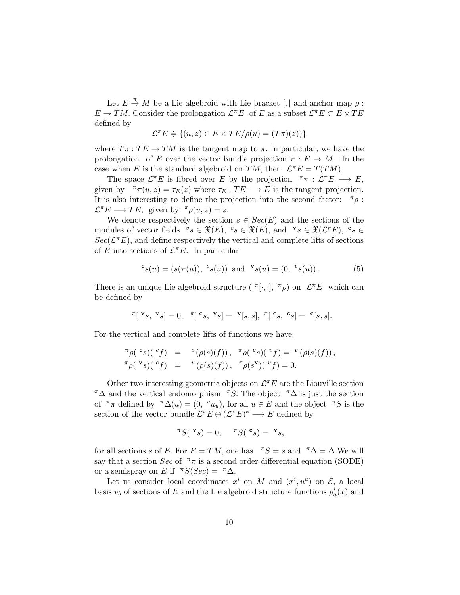Let  $E \stackrel{\pi}{\rightarrow} M$  be a Lie algebroid with Lie bracket [,] and anchor map  $\rho$ :  $E \to TM$ . Consider the prolongation  $\mathcal{L}^{\pi}E$  of E as a subset  $\mathcal{L}^{\pi}E \subset E \times TE$ defined by

$$
\mathcal{L}^{\pi}E \doteq \{(u, z) \in E \times TE/\rho(u) = (T\pi)(z))\}
$$

where  $T\pi : TE \rightarrow TM$  is the tangent map to  $\pi$ . In particular, we have the prolongation of E over the vector bundle projection  $\pi : E \to M$ . In the case when E is the standard algebroid on TM, then  $\mathcal{L}^{\pi}E = T(TM)$ .

The space  $\mathcal{L}^{\pi}E$  is fibred over E by the projection  $\pi \pi : \mathcal{L}^{\pi}E \longrightarrow E$ , given by  $\pi(\pi(u, z) = \tau_E(z)$  where  $\tau_E : TE \longrightarrow E$  is the tangent projection. It is also interesting to define the projection into the second factor:  $\pi_{\rho}$ :  $\mathcal{L}^{\pi} E \longrightarrow TE$ , given by  $\pi \rho(u, z) = z$ .

We denote respectively the section  $s \in Sec(E)$  and the sections of the modules of vector fields  ${}^v s \in \mathfrak{X}(E)$ ,  ${}^c s \in \mathfrak{X}(E)$ , and  ${}^v s \in \mathfrak{X}(\mathcal{L}^{\pi}E)$ ,  ${}^c s \in$  $Sec(\mathcal{L}^{\pi}E)$ , and define respectively the vertical and complete lifts of sections of E into sections of  $\mathcal{L}^{\pi}E$ . In particular

<span id="page-9-0"></span>
$$
c_s(u) = (s(\pi(u)), c_s(u)) \text{ and } \mathbf{v}_s(u) = (0, \,^v s(u)). \tag{5}
$$

There is an unique Lie algebroid structure  $(\pi[\cdot, \cdot], \pi \rho)$  on  $\mathcal{L} \pi E$  which can be defined by

$$
\mathbf{F}[\mathbf{v}_s, \mathbf{v}_s] = 0, \quad \mathbf{F}[\mathbf{c}_s, \mathbf{v}_s] = \mathbf{v}[s, s], \quad \mathbf{F}[\mathbf{c}_s, \mathbf{c}_s] = \mathbf{c}[s, s].
$$

For the vertical and complete lifts of functions we have:

$$
\begin{array}{rcl}\n\pi \rho(^{\mathbf{c}}s)(\ ^{c}f) & = & {^c}\left(\rho(s)(f)\right),\ \ \pi \rho(^{\mathbf{c}}s)(\ ^{v}f) = & {^v}\left(\rho(s)(f)\right), \\
\pi \rho(^{\mathbf{v}}s)(\ ^{c}f) & = & {^v}\left(\rho(s)(f)\right),\ \ \pi \rho(s^{\mathbf{v}})(\ ^{v}f) = 0.\n\end{array}
$$

Other two interesting geometric objects on  $\mathcal{L}^{\pi}E$  are the Liouville section  $\pi\Delta$  and the vertical endomorphism  $\pi S$ . The object  $\pi\Delta$  is just the section of  $\pi \pi$  defined by  $\pi \Delta(u) = (0, v_{u})$ , for all  $u \in E$  and the object  $\pi S$  is the section of the vector bundle  $\mathcal{L}^{\pi}E \oplus (\mathcal{L}^{\pi}E)^* \longrightarrow E$  defined by

$$
\pi S({}^{\mathbf{v}}s) = 0, \quad \pi S({}^{\mathbf{c}}s) = {}^{\mathbf{v}}s,
$$

for all sections s of E. For  $E = TM$ , one has  $\pi S = s$  and  $\pi \Delta = \Delta$ . We will say that a section Sec of  $\pi \pi$  is a second order differential equation (SODE) or a semispray on E if  $\pi S(Sec) = \pi \Delta$ .

Let us consider local coordinates  $x^i$  on M and  $(x^i, u^a)$  on  $\mathcal{E}$ , a local basis  $v_b$  of sections of E and the Lie algebroid structure functions  $\rho_a^i(x)$  and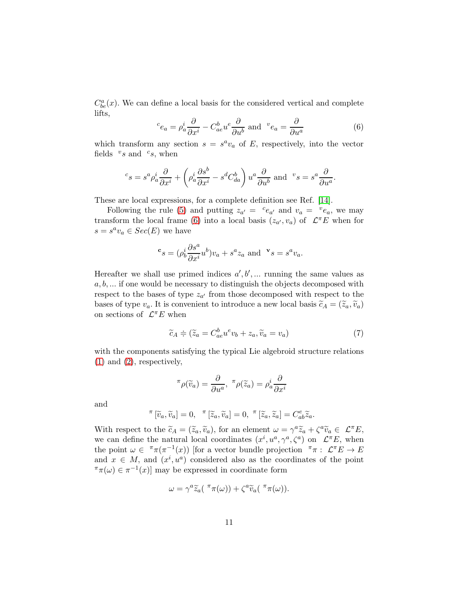$C_{be}^{a}(x)$ . We can define a local basis for the considered vertical and complete lifts,

<span id="page-10-0"></span>
$$
{}^{c}e_{a} = \rho_{a}^{i} \frac{\partial}{\partial x^{i}} - C_{ae}^{b} u^{e} \frac{\partial}{\partial u^{b}} \text{ and } {}^{v}e_{a} = \frac{\partial}{\partial u^{a}}
$$
(6)

.

which transform any section  $s = s^a v_a$  of E, respectively, into the vector fields  $v_s$  and  $c_s$ , when

$$
c_{S} = s^{a} \rho_{a}^{i} \frac{\partial}{\partial x^{i}} + \left(\rho_{a}^{i} \frac{\partial s^{b}}{\partial x^{i}} - s^{d} C_{da}^{b}\right) u^{a} \frac{\partial}{\partial u^{b}} \text{ and } {}^{v} s = s^{a} \frac{\partial}{\partial u^{a}}
$$

These are local expressions, for a complete definition see Ref. [\[14\]](#page-70-2).

Following the rule [\(5\)](#page-9-0) and putting  $z_{a'} = {c_{e_{a'}}}$  and  $v_a = {v_{e_a}}$ , we may transform the local frame [\(6\)](#page-10-0) into a local basis  $(z_{a'}, v_a)$  of  $\mathcal{L}^{\pi}E$  when for  $s = s^a v_a \in Sec(E)$  we have

$$
{}^{\mathbf{c}}s = (\rho_b^i \frac{\partial s^a}{\partial x^i} u^b)v_a + s^a z_a \text{ and } {}^{\mathbf{v}}s = s^a v_a.
$$

Hereafter we shall use primed indices  $a', b', \dots$  running the same values as  $a, b, \ldots$  if one would be necessary to distinguish the objects decomposed with respect to the bases of type  $z_{a'}$  from those decomposed with respect to the bases of type  $v_a$ . It is convenient to introduce a new local basis  $\widetilde{c}_A = (\widetilde{z}_a, \widetilde{v}_a)$ on sections of  $\mathcal{L}^{\pi}E$  when

<span id="page-10-1"></span>
$$
\widetilde{c}_A \doteqdot (\widetilde{z}_a = C^b_{ae} u^e v_b + z_a, \widetilde{v}_a = v_a) \tag{7}
$$

with the components satisfying the typical Lie algebroid structure relations [\(1\)](#page-7-1) and [\(2\)](#page-7-1), respectively,

$$
\pi \rho(\widetilde{v}_a) = \frac{\partial}{\partial u^a}, \ \pi \rho(\widetilde{z}_a) = \rho_a^i \frac{\partial}{\partial x^i}
$$

and

$$
\pi\left[\widetilde{v}_a,\widetilde{v}_a\right]=0,\quad \pi\left[\widetilde{z}_a,\widetilde{v}_a\right]=0,\quad \pi\left[\widetilde{z}_a,\widetilde{z}_a\right]=C^e_{ab}\widetilde{z}_a.
$$

With respect to the  $\tilde{c}_A = (\tilde{z}_a, \tilde{v}_a)$ , for an element  $\omega = \gamma^a \tilde{z}_a + \zeta^a \tilde{v}_a \in \mathcal{L}^{\pi} E$ , we can define the natural local coordinates  $(x^i, u^a, \gamma^a, \zeta^a)$  on  $\mathcal{L}^{\pi}E$ , when the point  $\omega \in \pi \pi (\pi^{-1}(x))$  [for a vector bundle projection  $\pi \pi : \mathcal{L} \pi E \to E$ and  $x \in M$ , and  $(x^i, u^a)$  considered also as the coordinates of the point  $\pi(\omega) \in \pi^{-1}(x)$  may be expressed in coordinate form

$$
\omega = \gamma^a \widetilde{z}_a(\pi \pi(\omega)) + \zeta^a \widetilde{v}_a(\pi \pi(\omega)).
$$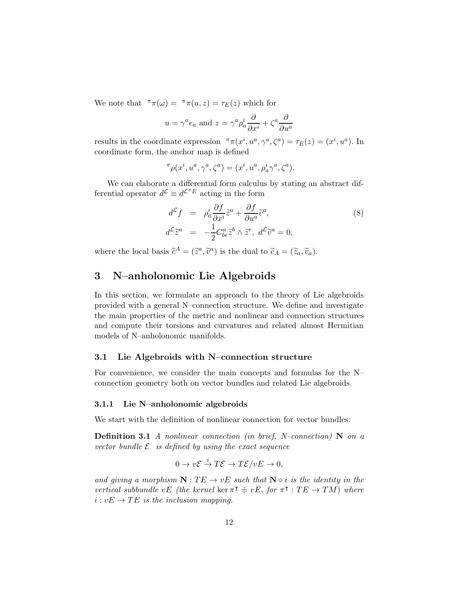We note that  $\pi(\omega) = \pi(\pi(u, z)) = \tau_E(z)$  which for

$$
u = \gamma^a e_a
$$
 and  $z = \gamma^a \rho_a^i \frac{\partial}{\partial x^i} + \zeta^a \frac{\partial}{\partial u^a}$ 

results in the coordinate expression  $\pi_{\pi}(x^i, u^a, \gamma^a, \zeta^a) = \tau_E(z) = (x^i, u^a)$ . In coordinate form, the anchor map is defined

$$
{}^{\pi}\rho(x^i,u^a,\gamma^a,\zeta^a)=(x^i,u^a,\rho^i_a\gamma^a,\zeta^a).
$$

We can elaborate a differential form calculus by stating an abstract differential operator  $d^{\mathcal{L}} \equiv d^{\mathcal{L}^{\pi}E}$  acting in the form

$$
d^{\mathcal{L}}f = \rho_a^i \frac{\partial f}{\partial x^i} \tilde{z}^a + \frac{\partial f}{\partial u^a} \tilde{v}^a,
$$
  
\n
$$
d^{\mathcal{L}}\tilde{z}^a = -\frac{1}{2} C^a_{be} \tilde{z}^b \wedge \tilde{z}^e, d^{\mathcal{L}}\tilde{v}^a = 0,
$$
\n(8)

where the local basis  $\tilde{c}^A = (\tilde{z}^a, \tilde{v}^a)$  is the dual to  $\tilde{c}_A = (\tilde{z}_a, \tilde{v}_a)$ .

# 3 N–anholonomic Lie Algebroids

In this section, we formulate an approach to the theory of Lie algebroids provided with a general N–connection structure. We define and investigate the main properties of the metric and nonlinear and connection structures and compute their torsions and curvatures and related almost Hermitian models of N–anholonomic manifolds.

#### 3.1 Lie Algebroids with N–connection structure

For convenience, we consider the main concepts and formulas for the N– connection geometry both on vector bundles and related Lie algebroids.

#### 3.1.1 Lie N–anholonomic algebroids

We start with the definition of nonlinear connection for vector bundles:

**Definition 3.1** A nonlinear connection (in brief, N–connection)  $N$  on a vector bundle  $\mathcal E$  is defined by using the exact sequence

$$
0 \to v\mathcal{E} \stackrel{i}{\to} T\mathcal{E} \to T\mathcal{E}/vE \to 0,
$$

and giving a morphism  $N: TE \rightarrow vE$  such that  $N \circ i$  is the identity in the vertical subbundle vE (the kernel ker  $\pi^{\dagger} \doteq vE$ , for  $\pi^{\dagger} : TE \rightarrow TM$ ) where  $i: vE \to TE$  is the inclusion mapping.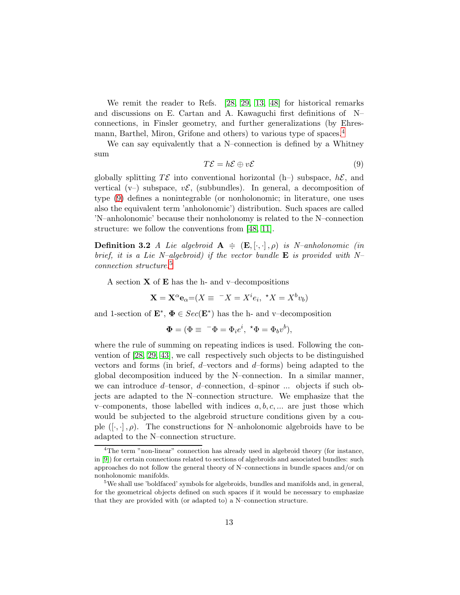We remit the reader to Refs. [\[28,](#page-71-3) [29,](#page-71-4) [13,](#page-70-11) [48\]](#page-72-3) for historical remarks and discussions on E. Cartan and A. Kawaguchi first definitions of N– connections, in Finsler geometry, and further generalizations (by Ehresmann, Barthel, Miron, Grifone and others) to various type of spaces.[4](#page-12-0)

We can say equivalently that a N–connection is defined by a Whitney sum

<span id="page-12-1"></span>
$$
T\mathcal{E} = h\mathcal{E} \oplus v\mathcal{E} \tag{9}
$$

globally splitting  $T\mathcal{E}$  into conventional horizontal (h–) subspace,  $h\mathcal{E}$ , and vertical  $(v-)$  subspace,  $v\mathcal{E}$ , (subbundles). In general, a decomposition of type [\(9\)](#page-12-1) defines a nonintegrable (or nonholonomic; in literature, one uses also the equivalent term 'anholonomic') distribution. Such spaces are called 'N–anholonomic' because their nonholonomy is related to the N–connection structure: we follow the conventions from [\[48,](#page-72-3) [11\]](#page-70-4).

**Definition 3.2** A Lie algebroid  $A \doteq (\mathbf{E}, [\cdot, \cdot], \rho)$  is N-anholonomic (in brief, it is a Lie N–algebroid) if the vector bundle  $E$  is provided with N– connection structure.[5](#page-12-2)

A section  $X$  of  $E$  has the h- and v–decompositions

$$
\mathbf{X} = \mathbf{X}^{\alpha} \mathbf{e}_{\alpha} = (X \equiv \langle X = X^i e_i, \langle X = X^b v_b \rangle)
$$

and 1-section of  $\mathbf{E}^*, \ \mathbf{\Phi} \in \text{Sec}(\mathbf{E}^*)$  has the h- and v-decomposition

$$
\pmb{\Phi} = (\Phi \equiv \ ^- \Phi = \Phi_i e^i, \ ^\star \Phi = \Phi_b v^b),
$$

where the rule of summing on repeating indices is used. Following the convention of [\[28,](#page-71-3) [29,](#page-71-4) [43\]](#page-72-2), we call respectively such objects to be distinguished vectors and forms (in brief,  $d$ -vectors and  $d$ -forms) being adapted to the global decomposition induced by the N–connection. In a similar manner, we can introduce  $d$ -tensor,  $d$ -connection,  $d$ -spinor ... objects if such objects are adapted to the N–connection structure. We emphasize that the v–components, those labelled with indices  $a, b, c, \ldots$  are just those which would be subjected to the algebroid structure conditions given by a couple  $([\cdot, \cdot], \rho)$ . The constructions for N–anholonomic algebroids have to be adapted to the N–connection structure.

<span id="page-12-0"></span><sup>&</sup>lt;sup>4</sup>The term "non-linear" connection has already used in algebroid theory (for instance, in [\[9\]](#page-70-0)) for certain connections related to sections of algebroids and associated bundles: such approaches do not follow the general theory of N–connections in bundle spaces and/or on nonholonomic manifolds.

<span id="page-12-2"></span><sup>&</sup>lt;sup>5</sup>We shall use 'boldfaced' symbols for algebroids, bundles and manifolds and, in general, for the geometrical objects defined on such spaces if it would be necessary to emphasize that they are provided with (or adapted to) a N–connection structure.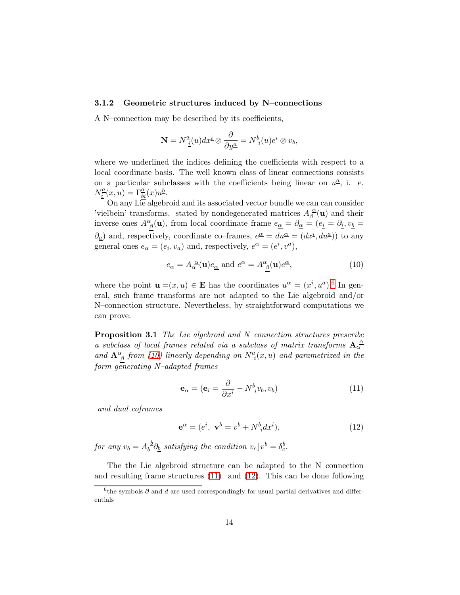### 3.1.2 Geometric structures induced by N–connections

A N–connection may be described by its coefficients,

$$
\mathbf{N}=N^{\underline{a}}_{\underline{i}}(u)dx^{\underline{i}}\otimes\frac{\partial}{\partial y^{\underline{a}}} =N^b_{\phantom{b}i}(u)e^i\otimes v_b,
$$

where we underlined the indices defining the coefficients with respect to a local coordinate basis. The well known class of linear connections consists on a particular subclasses with the coefficients being linear on  $u^{\underline{a}}$ , i. e.  $N_i^{\underline{a}}$  $\frac{a}{i}(x,u) = \Gamma_{bi}^{a}(x)u^{b}.$ 

On any Lie algebroid and its associated vector bundle we can can consider 'vielbein' transforms, stated by nondegenerated matrices  $A_{\beta}^{\alpha}$  $\frac{\alpha}{\beta}(\mathbf{u})$  and their inverse ones  $A^{\alpha}_{\ \beta}(\mathbf{u})$ , from local coordinate frame  $e_{\underline{\alpha}} = \partial_{\underline{\alpha}} = (e_{\underline{i}} = \partial_{\underline{i}}, v_{\underline{b}} =$  $\partial_{\underline{a}}$  and, respectively, coordinate co–frames,  $e^{\underline{\alpha}} = du^{\underline{\alpha}} = (dx^{\underline{i}}, du^{\underline{a}})$  to any general ones  $e_{\alpha} = (e_i, v_a)$  and, respectively,  $e^{\alpha} = (e^i, v^a)$ ,

<span id="page-13-1"></span>
$$
e_{\alpha} = A_{\alpha}^{\ \alpha}(\mathbf{u})e_{\underline{\alpha}} \text{ and } e^{\alpha} = A_{\underline{\beta}}^{\alpha}(\mathbf{u})e^{\underline{\alpha}}, \tag{10}
$$

where the point  $\mathbf{u} = (x, u) \in \mathbf{E}$  has the coordinates  $u^{\alpha} = (x^{i}, u^{a})$ .<sup>[6](#page-13-0)</sup> In general, such frame transforms are not adapted to the Lie algebroid and/or N–connection structure. Nevertheless, by straightforward computations we can prove:

Proposition 3.1 The Lie algebroid and N–connection structures prescribe a subclass of local frames related via a subclass of matrix transforms  $A_{\alpha}^{\alpha}$ and  $\mathbf{A}^{\alpha}_{\ \beta}$  from [\(10\)](#page-13-1) linearly depending on  $N^{a}_{i}(x, u)$  and parametrized in the form generating N–adapted frames

<span id="page-13-2"></span>
$$
\mathbf{e}_{\alpha} = (\mathbf{e}_i = \frac{\partial}{\partial x^i} - N^b_{\ i} v_b, v_b) \tag{11}
$$

and dual coframes

<span id="page-13-3"></span>
$$
\mathbf{e}^{\alpha} = (e^i, \mathbf{v}^b = v^b + N^b{}_i dx^i),\tag{12}
$$

for any  $v_b = A_b^{\ b}$  $b^{\underline{b}}\partial_{\underline{b}}$  satisfying the condition  $v_c$ ] $v^b = \delta_c^b$ .

The the Lie algebroid structure can be adapted to the N–connection and resulting frame structures [\(11\)](#page-13-2) and [\(12\)](#page-13-3). This can be done following

<span id="page-13-0"></span><sup>&</sup>lt;sup>6</sup>the symbols  $\partial$  and  $d$  are used correspondingly for usual partial derivatives and differentials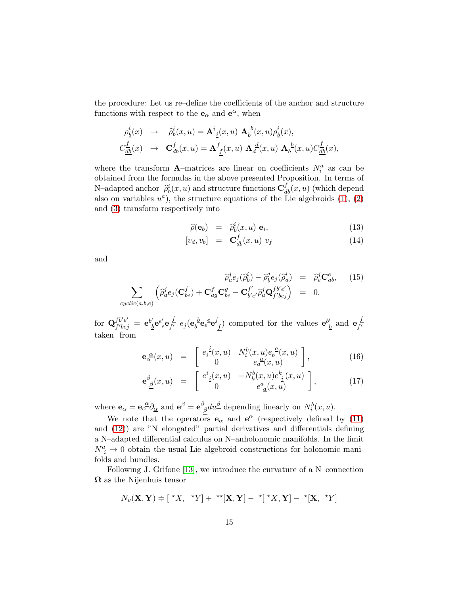the procedure: Let us re–define the coefficients of the anchor and structure functions with respect to the  $\mathbf{e}_{\alpha}$  and  $\mathbf{e}^{\alpha}$ , when

$$
\begin{aligned}\n\rho_{\underline{b}}^{\underline{i}}(x) &\rightarrow & \widehat{\rho}_{b}^i(x, u) = \mathbf{A}^i_{\underline{i}}(x, u) \mathbf{A}_b^{\underline{b}}(x, u) \rho_{\underline{b}}^{\underline{i}}(x), \\
C_{\underline{d}\underline{b}}^{\underline{f}}(x) &\rightarrow & \mathbf{C}^f_{db}(x, u) = \mathbf{A}^f_{\underline{f}}(x, u) \mathbf{A}_d^{\underline{d}}(x, u) \mathbf{A}_b^{\underline{b}}(x, u) C_{\underline{d}\underline{b}}^{\underline{f}}(x),\n\end{aligned}
$$

where the transform **A**-matrices are linear on coefficients  $N_i^a$  as can be obtained from the formulas in the above presented Proposition. In terms of N–adapted anchor  $\hat{\rho}_b^i(x, u)$  and structure functions  $\mathbf{C}_{db}^f(x, u)$  (which depend also on variables  $u^a$ ), the structure equations of the Lie algebroids  $(1), (2)$  $(1), (2)$ and [\(3\)](#page-7-0) transform respectively into

$$
\widehat{\rho}(\mathbf{e}_b) = \widehat{\rho}_b^i(x, u) \mathbf{e}_i, \tag{13}
$$

$$
[v_d, v_b] = \mathbf{C}_{db}^f(x, u) v_f \tag{14}
$$

and

$$
\widehat{\rho}_a^j e_j(\widehat{\rho}_b^i) - \widehat{\rho}_b^j e_j(\widehat{\rho}_a^i) = \widehat{\rho}_e^j \mathbf{C}_{ab}^e, \quad (15)
$$
\n
$$
\sum_{cyclic(a,b,e)} \left( \widehat{\rho}_a^j e_j(\mathbf{C}_{be}^f) + \mathbf{C}_{ag}^f \mathbf{C}_{be}^g - \mathbf{C}_{b'e'}^{f'} \widehat{\rho}_a^j \mathbf{Q}_{f'bej}^{f'be'} \right) = 0,
$$

for  $\mathbf{Q}_{f'be'}^{fb'e'}$  $\frac{fb'e'}{f'bej} = \mathbf{e}^{b'}$  $\frac{\partial}{\partial} \mathbf{e}^{e'}_{\ \ \underline{e}} \mathbf{e}_{f'}^{\ \ f}$  $\frac{f}{f'} e_j(e_b^b)$  ${}_b^b\mathbf{e}_e^{\phantom{e^e}}\mathbf{e}^f$  $\mathbf{e}_{f}^{(k)}$  computed for the values  $\mathbf{e}_{\underline{f}}^{(k)}$  $\frac{b}{b}$  and  $\mathbf{e} \frac{f}{f'}$ f ′ taken from

$$
\mathbf{e}_{\alpha}^{\ \alpha}(x,u) = \begin{bmatrix} e_i^{\ i}(x,u) & N_i^b(x,u)e_b^{\ a}(x,u) \\ 0 & e_a^{\ a}(x,u) \end{bmatrix}, \qquad (16)
$$

$$
\mathbf{e}^{\beta}_{\underline{\beta}}(x,u) = \begin{bmatrix} e^{i}_{\underline{i}}(x,u) & -N^{b}_{k}(x,u)e^{k}_{\underline{i}}(x,u) \\ 0 & e^{a}_{\underline{a}}(x,u) \end{bmatrix}, \qquad (17)
$$

where  $\mathbf{e}_{\alpha} = \mathbf{e}_{\alpha}^{\ \alpha} \partial_{\alpha}$  and  $\mathbf{e}^{\beta} = \mathbf{e}^{\beta}$  $\int_{\beta}^{\beta} du^{\underline{\beta}}$  depending linearly on  $N_i^b(x, u)$ .

We note that the operators  $\mathbf{e}_{\alpha}$  and  $\mathbf{e}^{\alpha}$  (respectively defined by [\(11\)](#page-13-2) and [\(12\)](#page-13-3)) are "N–elongated" partial derivatives and differentials defining a N–adapted differential calculus on N–anholonomic manifolds. In the limit  $N^a_{\ i} \rightarrow 0$  obtain the usual Lie algebroid constructions for holonomic manifolds and bundles.

Following J. Grifone [\[13\]](#page-70-11), we introduce the curvature of a N–connection  $\Omega$  as the Nijenhuis tensor

$$
N_v(\mathbf{X}, \mathbf{Y}) \doteq [{}^{\star}X, {}^{\star}Y] + {}^{\star\star}[\mathbf{X}, \mathbf{Y}] - {}^{\star}['^{\star}X, \mathbf{Y}] - {}^{\star}[\mathbf{X}, {}^{\star}Y]
$$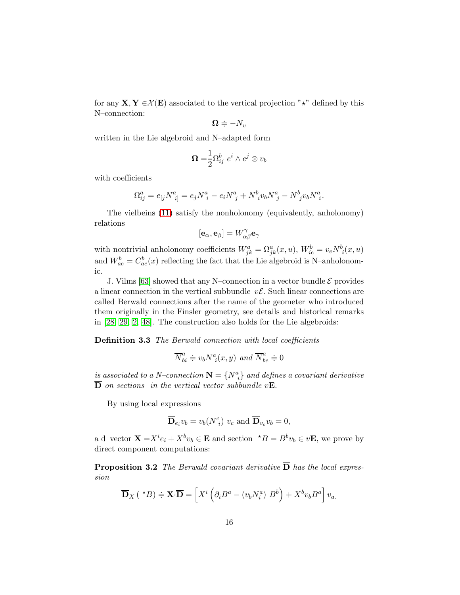for any  $X, Y \in \mathcal{X}(E)$  associated to the vertical projection " $\star$ " defined by this N–connection:

$$
\mathbf{\Omega}\doteqdot -N_v
$$

written in the Lie algebroid and N–adapted form

$$
\mathbf{\Omega} = \frac{1}{2} \Omega_{ij}^b \ e^i \wedge e^j \otimes v_b
$$

with coefficients

$$
\Omega_{ij}^{a} = e_{[j}N^{a}_{\ \ i]} = e_{j}N^{a}_{\ \ i} - e_{i}N^{a}_{\ \ j} + N^{b}_{\ \ i}v_{b}N^{a}_{\ \ j} - N^{b}_{\ \ j}v_{b}N^{a}_{\ \ i}.
$$

The vielbeins [\(11\)](#page-13-2) satisfy the nonholonomy (equivalently, anholonomy) relations

$$
[{\bf e}_\alpha,{\bf e}_\beta]=W_{\alpha\beta}^\gamma{\bf e}_\gamma
$$

with nontrivial anholonomy coefficients  $W_{jk}^a = \Omega_{jk}^a(x, u)$ ,  $W_{ie}^b = v_e N_{i}^b(x, u)$ and  $W_{ae}^b = C_{ae}^b(x)$  reflecting the fact that the Lie algebroid is N-anholonomic.

J. Vilms [\[63\]](#page-74-2) showed that any N–connection in a vector bundle  $\mathcal E$  provides a linear connection in the vertical subbundle  $v\mathcal{E}$ . Such linear connections are called Berwald connections after the name of the geometer who introduced them originally in the Finsler geometry, see details and historical remarks in [\[28,](#page-71-3) [29,](#page-71-4) [2,](#page-69-3) [48\]](#page-72-3). The construction also holds for the Lie algebroids:

Definition 3.3 The Berwald connection with local coefficients

$$
\overline{N}_{bi}^{a} \doteq v_{b} N_{i}^{a}(x, y) \ and \ \overline{N}_{be}^{a} \doteq 0
$$

is associated to a N-connection  $\mathbf{N} = \{N^a_{\ i}\}$  and defines a covariant derivative  $\overline{\mathbf{D}}$  on sections in the vertical vector subbundle v**E**.

By using local expressions

$$
\overline{\mathbf{D}}_{e_i} v_b = v_b(N^c_i) v_c
$$
 and  $\overline{\mathbf{D}}_{v_c} v_b = 0$ ,

a d–vector  $\mathbf{X} = X^i e_i + X^b v_b \in \mathbf{E}$  and section  $A^*B = B^b v_b \in v\mathbf{E}$ , we prove by direct component computations:

**Proposition 3.2** The Berwald covariant derivative  $\overline{D}$  has the local expression

$$
\overline{\mathbf{D}}_X(\star B) \doteqdot \mathbf{X} \cdot \overline{\mathbf{D}} = \left[ X^i \left( \partial_i B^a - (v_b N_i^a) B^b \right) + X^b v_b B^a \right] v_a.
$$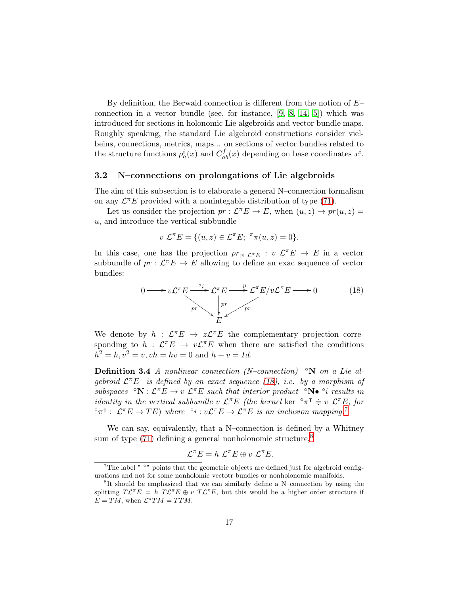By definition, the Berwald connection is different from the notion of  $E$ connection in a vector bundle (see, for instance,  $[9, 8, 14, 5]$  $[9, 8, 14, 5]$  $[9, 8, 14, 5]$  $[9, 8, 14, 5]$ ) which was introduced for sections in holonomic Lie algebroids and vector bundle maps. Roughly speaking, the standard Lie algebroid constructions consider vielbeins, connections, metrics, maps... on sections of vector bundles related to the structure functions  $\rho_a^i(x)$  and  $C_{ab}^f(x)$  depending on base coordinates  $x^i$ .

### 3.2 N–connections on prolongations of Lie algebroids

The aim of this subsection is to elaborate a general N–connection formalism on any  $\mathcal{L}^{\pi}E$  provided with a nonintegable distribution of type [\(71\)](#page-35-0).

Let us consider the projection  $pr: \mathcal{L}^{\pi}E \to E$ , when  $(u, z) \to pr(u, z) =$ u, and introduce the vertical subbundle

$$
v \mathcal{L}^{\pi} E = \{ (u, z) \in \mathcal{L}^{\pi} E; \ {}^{\pi} \pi(u, z) = 0 \}.
$$

In this case, one has the projection  $pr_{|v}\mathcal{L}^{\pi}E : v \mathcal{L}^{\pi}E \to E$  in a vector subbundle of  $pr: \mathcal{L}^{\pi}E \to E$  allowing to define an exac sequence of vector bundles:

<span id="page-16-0"></span>
$$
0 \longrightarrow v\mathcal{L}^{\pi}E \xrightarrow{0} \mathcal{L}^{\pi}E \longrightarrow \mathcal{L}^{\pi}E/v\mathcal{L}^{\pi}E \longrightarrow 0
$$
 (18)

We denote by  $h : \mathcal{L}^{\pi}E \to z\mathcal{L}^{\pi}E$  the complementary projection corresponding to  $h : \mathcal{L}^{\pi}E \to v\mathcal{L}^{\pi}E$  when there are satisfied the conditions  $h^2 = h, v^2 = v, vh = hv = 0 \text{ and } h + v = Id.$ 

**Definition 3.4** A nonlinear connection (N–connection)  $\alpha$  on a Lie algebroid  $\mathcal{L}^{\pi}E$  is defined by an exact sequence [\(18\)](#page-16-0), i.e. by a morphism of subspaces  $\mathcal{S} \cap \mathbf{N} : \mathcal{L}^{\pi} E \to v \mathcal{L}^{\pi} E$  such that interior product  $\mathcal{S} \cap \mathbf{N} \bullet \mathcal{S} i$  results in *identity in the vertical subbundle v*  $\mathcal{L}^{\pi}E$  (*the kernel ker*  $\circ \pi^{\pi} \doteq v \mathcal{L}^{\pi}E$ , *for*  ${}^{\circ}\pi$ <sup>T</sup> :  $\mathcal{L}^{\pi}E \to TE$ ) where  ${}^{\circ}i : v\mathcal{L}^{\pi}E \to \mathcal{L}^{\pi}E$  is an inclusion mapping.<sup>[7](#page-16-1)</sup>

We can say, equivalently, that a N–connection is defined by a Whitney sum of type  $(71)$  defining a general nonholonomic structure,<sup>[8](#page-16-2)</sup>

$$
\mathcal{L}^{\pi}E = h \ \mathcal{L}^{\pi}E \oplus v \ \mathcal{L}^{\pi}E.
$$

<span id="page-16-1"></span><sup>&</sup>lt;sup>7</sup>The label  $"$  °" points that the geometric objects are defined just for algebroid configurations and not for some nonholomic vectotr bundles or nonholonomic manifolds.

<span id="page-16-2"></span><sup>8</sup> It should be emphasized that we can similarly define a N–connection by using the splitting  $T\mathcal{L}^{\pi}E = h \ T\mathcal{L}^{\pi}E \oplus v \ T\mathcal{L}^{\pi}E$ , but this would be a higher order structure if  $E = TM$ , when  $\mathcal{L}^{\pi} TM = TTM$ .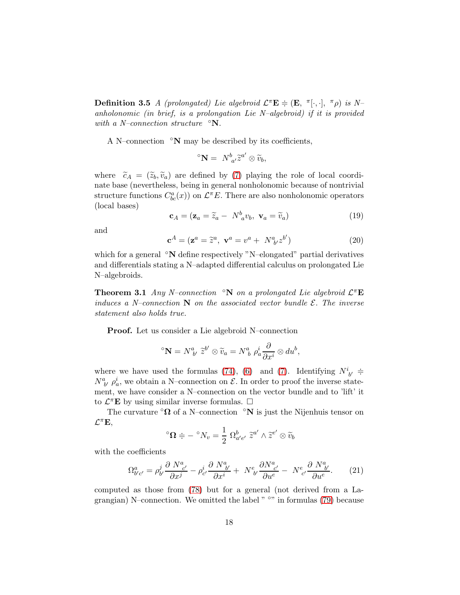**Definition 3.5** A (prolongated) Lie algebroid  $\mathcal{L}^{\pi} \mathbf{E} \doteqdot (\mathbf{E}, \pi[\cdot, \cdot], \pi \rho)$  is Nanholonomic (in brief, is a prolongation Lie N–algebroid) if it is provided with a N–connection structure  $\mathcal{O}(\mathbf{N})$ .

A N–connection  $\circ$ N may be described by its coefficients,

$$
{}^{\circ} \mathbf{N} = N^{b}_{a'} \widetilde{z}^{a'} \otimes \widetilde{v}_b,
$$

where  $\tilde{c}_A = (\tilde{z}_b, \tilde{v}_a)$  are defined by [\(7\)](#page-10-1) playing the role of local coordinate base (nevertheless, being in general nonholonomic because of nontrivial structure functions  $C_{bc}^a(x)$  on  $\mathcal{L}^{\pi}E$ . There are also nonholonomic operators (local bases)

<span id="page-17-0"></span>
$$
\mathbf{c}_A = (\mathbf{z}_a = \widetilde{z}_a - N_a^b v_b, \ \mathbf{v}_a = \widetilde{v}_a)
$$
 (19)

and

<span id="page-17-1"></span>
$$
\mathbf{c}^A = (\mathbf{z}^a = \tilde{z}^a, \ \mathbf{v}^a = v^a + N^a_{\ b'} z^{b'}) \tag{20}
$$

which for a general <sup>∘</sup>N define respectively "N–elongated" partial derivatives and differentials stating a N–adapted differential calculus on prolongated Lie N–algebroids.

**Theorem 3.1** Any N–connection  $\ ^{\circ}$ N on a prolongated Lie algebroid  $\mathcal{L}^{\pi}$ **E** induces a N–connection  $N$  on the associated vector bundle  $\mathcal{E}$ . The inverse statement also holds true.

Proof. Let us consider a Lie algebroid N–connection

$$
{}^{\circ}\mathbf{N} = N^a_{\ b'}\,\widetilde{z}^{b'}\otimes \widetilde{v}_a = N^a_{\ b}\,\rho^i_a\frac{\partial}{\partial x^i}\otimes du^b,
$$

where we have used the formulas [\(74\)](#page-36-0), [\(6\)](#page-10-0) and [\(7\)](#page-10-1). Identifying  $N^i_{b'} \doteq$  $N^a_{b'}\rho^i_a$ , we obtain a N-connection on  $\mathcal{E}$ . In order to proof the inverse statement, we have consider a N–connection on the vector bundle and to 'lift' it to  $\mathcal{L}^{\pi} \mathbf{E}$  by using similar inverse formulas.  $\Box$ 

The curvature  $\Omega$  of a N–connection  $\Omega$  is just the Nijenhuis tensor on  $\mathcal{L}^{\pi} \mathbf{E},$ 

$$
{}^{\circ}\mathbf{\Omega} \doteqdot - \ {}^{\circ}N_v = \frac{1}{2} \ \Omega_{a'e'}^b \ \widetilde{z}^{a'} \wedge \widetilde{z}^{e'} \otimes \widetilde{v}_b
$$

with the coefficients

<span id="page-17-2"></span>
$$
\Omega^{a}_{b'c'} = \rho^j_{b'} \frac{\partial N^a_{c'}}{\partial x^j} - \rho^i_{c'} \frac{\partial N^a_{b'}}{\partial x^i} + N^e_{b'} \frac{\partial N^a_{c'}}{\partial u^e} - N^e_{c'} \frac{\partial N^a_{b'}}{\partial u^e}.
$$
 (21)

computed as those from [\(78\)](#page-37-0) but for a general (not derived from a Lagrangian) N–connection. We omitted the label  $"$  <sup>o</sup>" in formulas [\(79\)](#page-37-1) because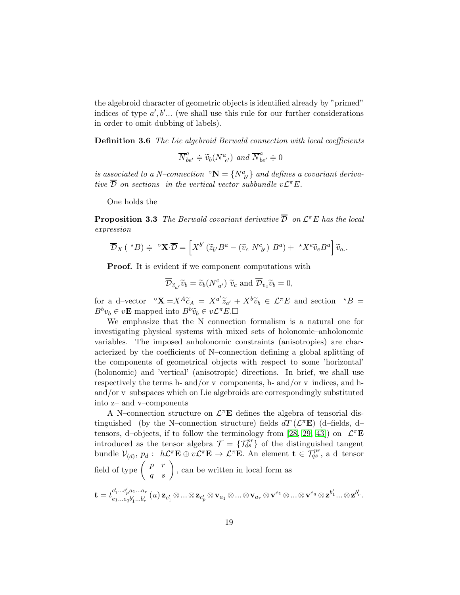the algebroid character of geometric objects is identified already by "primed" indices of type  $a', b'...$  (we shall use this rule for our further considerations in order to omit dubbing of labels).

**Definition 3.6** The Lie algebroid Berwald connection with local coefficients

$$
\overline{N}_{be'}^a\doteqdot \widetilde{v}_b({N}_{e'}^a)\;\;and\;\overline{N}_{be'}^a\doteqdot 0
$$

is associated to a N–connection  $\mathbf{N} = \{N_{b'}^a\}$  and defines a covariant derivative  $\overline{\mathcal{D}}$  on sections in the vertical vector subbundle  $v\mathcal{L}^{\pi}E$ .

One holds the

**Proposition 3.3** The Berwald covariant derivative  $\overline{\mathcal{D}}$  on  $\mathcal{L}^{\pi}E$  has the local expression

$$
\overline{\mathcal{D}}_X(\star B) \doteqdot {}^{\circ} \mathbf{X} \cdot \overline{\mathcal{D}} = \left[ X^{b'} \left( \widetilde{z}_{b'} B^a - (\widetilde{v}_c N^c_{b'}) B^a \right) + \star X^e \widetilde{v}_e B^a \right] \widetilde{v}_a.
$$

**Proof.** It is evident if we component computations with

$$
\overline{\mathcal{D}}_{\widetilde{z}_{a'}}\widetilde{v}_b = \widetilde{v}_b(N^c_{a'}) \widetilde{v}_c \text{ and } \overline{\mathcal{D}}_{v_c}\widetilde{v}_b = 0,
$$

for a d–vector  $\mathbf{X} = X^A \widetilde{c}_A = X^{a'} \widetilde{z}_{a'} + X^b \widetilde{v}_b \in \mathcal{L}^{\pi} E$  and section  $^{\star}B =$  $B^b v_b \in v\mathbf{E}$  mapped into  $B^b \widetilde{v}_b \in v\mathcal{L}^{\pi}E$ .

We emphasize that the N–connection formalism is a natural one for investigating physical systems with mixed sets of holonomic–anholonomic variables. The imposed anholonomic constraints (anisotropies) are characterized by the coefficients of N–connection defining a global splitting of the components of geometrical objects with respect to some 'horizontal' (holonomic) and 'vertical' (anisotropic) directions. In brief, we shall use respectively the terms h- and/or v–components, h- and/or v–indices, and hand/or v–subspaces which on Lie algebroids are correspondingly substituted into z– and v–components

A N-connection structure on  $\mathcal{L}^{\pi}$ **E** defines the algebra of tensorial distinguished (by the N-connection structure) fields  $dT (\mathcal{L}^{\pi} \mathbf{E})$  (d-fields, d-tensors, d-objects, if to follow the terminology from [\[28,](#page-71-3) [29,](#page-71-4) [43\]](#page-72-2)) on  $\mathcal{L}^{\pi} \mathbf{E}$ introduced as the tensor algebra  $\mathcal{T} = \{ \mathcal{T}_{qs}^{pr} \}$  of the distinguished tangent bundle  $\mathcal{V}_{(d)}$ ,  $p_d: h\mathcal{L}^{\pi}E \oplus v\mathcal{L}^{\pi}E \to \mathcal{L}^{\pi}E$ . An element  $\mathbf{t} \in \mathcal{T}_{qs}^{pr}$ , a d-tensor field of type  $\begin{pmatrix} p & r \\ q & s \end{pmatrix}$ , can be written in local form as

$$
\mathbf{t}=t^{c'_1...c'_pa_1...a_r}_{e_1...e_qb'_1...b'_r}\left(u\right)\mathbf{z}_{c'_1}\otimes...\otimes\mathbf{z}_{c'_p}\otimes\mathbf{v}_{a_1}\otimes...\otimes\mathbf{v}_{a_r}\otimes\mathbf{v}^{e_1}\otimes...\otimes\mathbf{v}^{e_q}\otimes\mathbf{z}^{b'_1}...\otimes\mathbf{z}^{b'_r}.
$$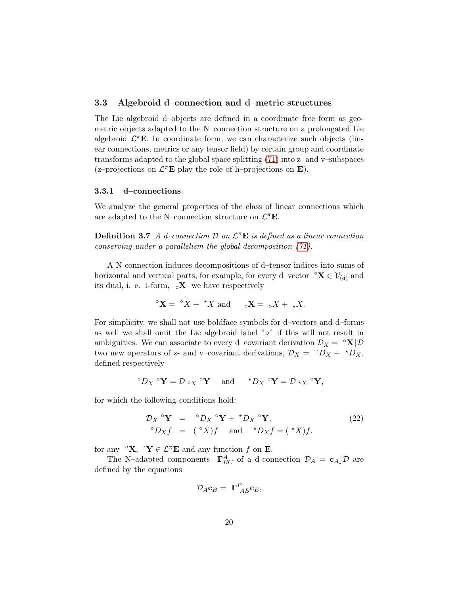### 3.3 Algebroid d–connection and d–metric structures

The Lie algebroid d–objects are defined in a coordinate free form as geometric objects adapted to the N–connection structure on a prolongated Lie algebroid  $\mathcal{L}^{\pi}E$ . In coordinate form, we can characterize such objects (linear connections, metrics or any tensor field) by certain group and coordinate transforms adapted to the global space splitting [\(71\)](#page-35-0) into z- and v–subspaces (z-projections on  $\mathcal{L}^{\pi} \mathbf{E}$  play the role of h-projections on **E**).

#### 3.3.1 d–connections

<span id="page-19-1"></span>We analyze the general properties of the class of linear connections which are adapted to the N–connection structure on  $\mathcal{L}^{\pi} \mathbf{E}$ .

**Definition 3.7** A d-connection  $\mathcal{D}$  on  $\mathcal{L}^{\pi}E$  is defined as a linear connection conserving under a parallelism the global decomposition [\(71\)](#page-35-0).

A N-connection induces decompositions of d–tensor indices into sums of horizontal and vertical parts, for example, for every d–vector  $\mathbf{X} \in \mathcal{V}_{(d)}$  and its dual, i. e. 1-form,  $\alpha \mathbf{X}$  we have respectively

$$
{}^{\circ} \mathbf{X} = {}^{\circ} X + {}^{\star} X \text{ and } {}^{\circ} \mathbf{X} = {}^{\circ} X + {}_{\star} X.
$$

For simplicity, we shall not use boldface symbols for d–vectors and d–forms as well we shall omit the Lie algebroid label "◦" if this will not result in ambiguities. We can associate to every d–covariant derivation  $\mathcal{D}_X = \mathcal{X}|\mathcal{D}$ two new operators of z- and v–covariant derivations,  $\mathcal{D}_X = \ ^\circ D_X + \ ^\star D_X,$ defined respectively

$$
{}^{\circ}D_X {}^{\circ} \mathbf{Y} = \mathcal{D} \circ_X {}^{\circ} \mathbf{Y} \quad \text{ and } \quad {}^{\star}D_X {}^{\circ} \mathbf{Y} = \mathcal{D} \star_X {}^{\circ} \mathbf{Y},
$$

for which the following conditions hold:

<span id="page-19-0"></span>
$$
\mathcal{D}_X \circ \mathbf{Y} = \circ D_X \circ \mathbf{Y} + \star D_X \circ \mathbf{Y},
$$
  
\n
$$
\circ D_X f = (\circ X)f \quad \text{and} \quad \star D_X f = (\star X)f.
$$
\n(22)

for any  $\mathbf{S}^{\alpha} \mathbf{X}, \mathbf{S}^{\alpha} \mathbf{Y} \in \mathcal{L}^{\pi} \mathbf{E}$  and any function f on **E**.

The N–adapted components  $\Gamma_{BC}^{A}$  of a d-connection  $\mathcal{D}_{A} = \mathbf{c}_{A} \mathcal{D}$  are defined by the equations

$$
\mathcal{D}_A \mathbf{c}_B = \ \mathbf{\Gamma}_{AB}^E \mathbf{c}_E,
$$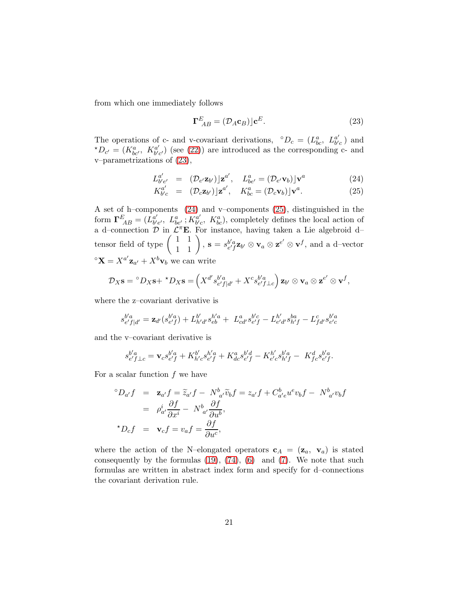from which one immediately follows

<span id="page-20-0"></span>
$$
\Gamma_{AB}^{E} = (\mathcal{D}_{A}\mathbf{c}_{B})\rfloor \mathbf{c}^{E}.
$$
 (23)

The operations of c- and v-covariant derivations,  $^{\circ}D_c = (L_{bc}^a, L_{b'}^{a'})$  $_{b^{\prime}c}^{a^{\prime}}$  ) and  ${}^{\star}D_{c'} = (K_{bc'}^a, K_{b'c'}^{a'})$  $\frac{a'}{b'c'}$  (see [\(22\)](#page-19-0)) are introduced as the corresponding c- and v–parametrizations of [\(23\)](#page-20-0),

<span id="page-20-1"></span>
$$
L_{b'e'}^{a'} = (\mathcal{D}_{e'}\mathbf{z}_{b'})|\mathbf{z}^{a'}, \quad L_{be'}^a = (\mathcal{D}_{e'}\mathbf{v}_b)|\mathbf{v}^a
$$
 (24)

$$
K_{b'c}^{a'} = (\mathcal{D}_c \mathbf{z}_{b'}) \mathbf{z}^{a'}, \quad K_{bc}^a = (\mathcal{D}_c \mathbf{v}_b) \mathbf{y}^a.
$$
 (25)

A set of h–components [\(24\)](#page-20-1) and v–components [\(25\)](#page-20-1), distinguished in the form  $\mathbf{\Gamma}_{AB}^E=(\dot{L}_{b'}^{a'}$  $_{b^{\prime}e^{\prime}}^{a^{\prime}},\;L_{be^{\prime}}^{a}\;;\overrightarrow{K_{b^{\prime}}^{a^{\prime}}}$  $b'c$ ,  $K_{bc}^a$ , completely defines the local action of a d-connection  $\mathcal{D}$  in  $\mathcal{L}^{\pi}E$ . For instance, having taken a Lie algebroid dtensor field of type  $\begin{pmatrix} 1 & 1 \\ 1 & 1 \end{pmatrix}$ ,  $\mathbf{s} = s_{e'f}^{b'a} \mathbf{z}_{b'} \otimes \mathbf{v}_a \otimes \mathbf{z}^{e'} \otimes \mathbf{v}^f$ , and a d-vector  ${}^{\circ} \mathbf{X} = X^{a'} \mathbf{z}_{a'} + X^{b} \mathbf{v}_{b}$  we can write

$$
\mathcal{D}_X \mathbf{s} = {}^{\circ}D_X \mathbf{s} + {}^{\star}D_X \mathbf{s} = \left( X^{d'} s_{e' f | d'}^{b' a} + X^c s_{e' f \perp c}^{b' a} \right) \mathbf{z}_{b'} \otimes \mathbf{v}_a \otimes \mathbf{z}^{e'} \otimes \mathbf{v}^f,
$$

where the z–covariant derivative is

$$
s_{e'f|d'}^{b'a} = \mathbf{z}_{d'}(s_{e'f}^{b'a}) + L_{h'd'}^{b'} s_{eb}^{h'a} + L_{cd'}^{a} s_{e'f}^{b'c} - L_{e'd'}^{h'} s_{h'f}^{ba} - L_{fd'}^{c} s_{e'c}^{b'a}
$$

and the v–covariant derivative is

$$
s_{e'f\perp c}^{b'a} = \mathbf{v}_c s_{e'f}^{b'a} + K_{h'c}^{b'} s_{e'f}^{h'a} + K_{dc}^a s_{e'f}^{b'd} - K_{e'c}^{h'} s_{h'f}^{b'a} - K_{fc}^d s_{e'f}^{b'a}.
$$

For a scalar function  $f$  we have

$$
\begin{array}{rcl}\n^{\circ}D_{a'}f & = & \mathbf{z}_{a'}f = \widetilde{z}_{a'}f - N_{a'}^b\widetilde{v}_bf = z_{a'}f + C_{a'e}^b u^e v_b f - N_{a'}^b v_b f \\
 & = & \rho_{a'}^i \frac{\partial f}{\partial x^i} - N_{a'}^b \frac{\partial f}{\partial u^b}, \\
^{\star}D_c f & = & \mathbf{v}_c f = v_a f = \frac{\partial f}{\partial u^c},\n\end{array}
$$

where the action of the N–elongated operators  $c_A = (z_a, v_a)$  is stated consequently by the formulas  $(19)$ ,  $(74)$ ,  $(6)$  and  $(7)$ . We note that such formulas are written in abstract index form and specify for d–connections the covariant derivation rule.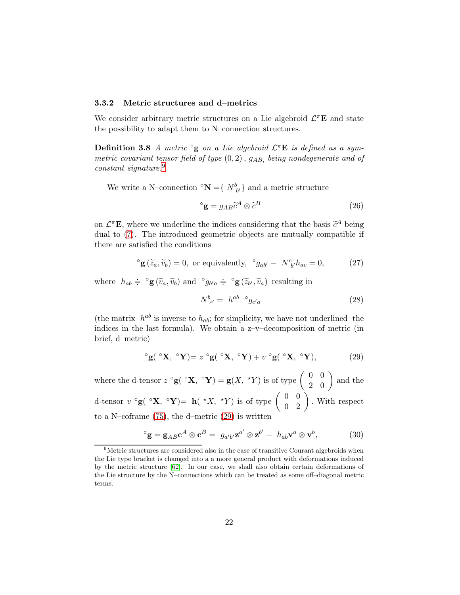#### 3.3.2 Metric structures and d–metrics

We consider arbitrary metric structures on a Lie algebroid  $\mathcal{L}^{\pi}E$  and state the possibility to adapt them to N–connection structures.

**Definition 3.8** A metric  $\degree$ **g** on a Lie algebroid  $\mathcal{L}^{\pi}$ **E** is defined as a symmetric covariant tensor field of type  $(0, 2)$ ,  $g_{AB}$ , being nondegenerate and of constant signature.<sup>[9](#page-21-0)</sup>

We write a N–connection  ${}^{\circ}N = \{ N^b_{b'} \}$  and a metric structure

<span id="page-21-3"></span>
$$
{}^{\circ}\mathbf{g} = g_{AB}\widetilde{c}^{A} \otimes \widetilde{c}^{B} \tag{26}
$$

on  $\mathcal{L}^{\pi}$ **E**, where we underline the indices considering that the basis  $\tilde{c}^A$  being dual to [\(7\)](#page-10-1). The introduced geometric objects are mutually compatible if there are satisfied the conditions

$$
^{\circ}\mathbf{g}(\widetilde{z}_a, \widetilde{v}_b) = 0
$$
, or equivalently,  $^{\circ}g_{ab'} - N^c_{b'}h_{ac} = 0$ , (27)

where  $h_{ab} \doteq \circ \mathbf{g}(\widetilde{v}_a, \widetilde{v}_b)$  and  $\circ g_{b'a} \doteq \circ \mathbf{g}(\widetilde{z}_{b'}, \widetilde{v}_a)$  resulting in

$$
N_{c'}^b = h^{ab} \circ g_{c'a} \tag{28}
$$

(the matrix  $h^{ab}$  is inverse to  $h_{ab}$ ; for simplicity, we have not underlined the indices in the last formula). We obtain a z–v–decomposition of metric (in brief, d–metric)

<span id="page-21-1"></span>
$$
{}^{\circ}\mathbf{g}({}^{\circ}\mathbf{X}, {}^{\circ}\mathbf{Y}) = z {}^{\circ}\mathbf{g}({}^{\circ}\mathbf{X}, {}^{\circ}\mathbf{Y}) + v {}^{\circ}\mathbf{g}({}^{\circ}\mathbf{X}, {}^{\circ}\mathbf{Y}), \tag{29}
$$

where the d-tensor  $z \circ g(\ ^{\circ }X, \ ^{\circ }Y) = g(X, \ ^{\star }Y)$  is of type  $\begin{pmatrix} 0 & 0 \\ 2 & 0 \end{pmatrix}$  and the d-tensor  $v \circ g(\circ \mathbf{X}, \circ \mathbf{Y}) = \mathbf{h}(\star X, \star Y)$  is of type  $\begin{pmatrix} 0 & 0 \\ 0 & 2 \end{pmatrix}$ . With respect to a N–coframe [\(75\)](#page-36-1), the d–metric [\(29\)](#page-21-1) is written

<span id="page-21-2"></span>
$$
{}^{\circ}\mathbf{g} = \mathbf{g}_{AB}\mathbf{c}^A \otimes \mathbf{c}^B = g_{a'b'}\mathbf{z}^{a'} \otimes \mathbf{z}^{b'} + h_{ab}\mathbf{v}^a \otimes \mathbf{v}^b, \tag{30}
$$

<span id="page-21-0"></span><sup>&</sup>lt;sup>9</sup>Metric structures are considered also in the case of transitive Courant algebroids when the Lie type bracket is changed into a a more general product with deformations induced by the metric structure [\[62\]](#page-74-3). In our case, we shall also obtain certain deformations of the Lie structure by the N–connections which can be treated as some off–diagonal metric terms.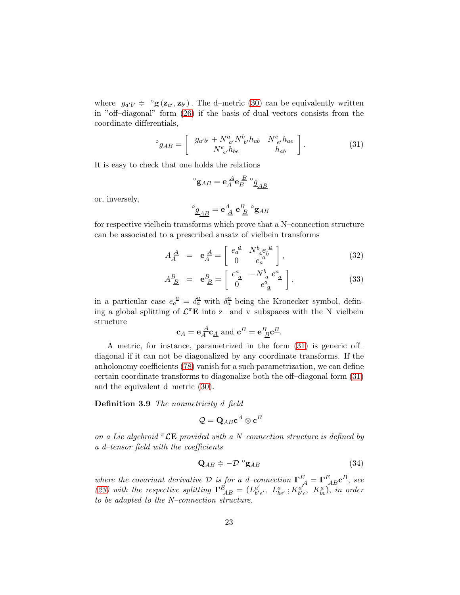where  $g_{a'b'} \doteq \text{°g}(z_{a'}, z_{b'})$ . The d-metric [\(30\)](#page-21-2) can be equivalently written in "off–diagonal" form [\(26\)](#page-21-3) if the basis of dual vectors consists from the coordinate differentials,

<span id="page-22-0"></span>
$$
^{\circ}g_{AB} = \left[ \begin{array}{cc} g_{a'b'} + N^a_{\ a'} N^b_{\ b'} h_{ab} & N^e_{\ e'} h_{ae} \\ N^e_{\ a'} h_{be} & h_{ab} \end{array} \right]. \tag{31}
$$

It is easy to check that one holds the relations

$$
{}^{\circ}\mathbf{g}_{AB}=\mathbf{e}_{A}^{\ \underline{A}}\mathbf{e}_{B}^{\ \underline{B}}\ ^{\circ}\underline{g}_{\underline{AB}}
$$

or, inversely,

$$
^{\circ} \underline{g}_{\underline{A}\underline{B}} = \mathbf{e}^{\underline{A}}_{\ \underline{A}} \ \mathbf{e}_{\ \underline{B}}^{\underline{B}} \ ^{\circ} \mathbf{g}_{AB}
$$

for respective vielbein transforms which prove that a N–connection structure can be associated to a prescribed ansatz of vielbein transforms

$$
A_{A}^{\underline{A}} = \mathbf{e}_{A}^{\underline{A}} = \begin{bmatrix} e_{a}^{\underline{a}} & N_{a}^{b} e_{b}^{\underline{a}} \\ 0 & e_{a}^{\underline{a}} \end{bmatrix}, \tag{32}
$$

$$
A_{\underline{B}}^{B} = \mathbf{e}_{\underline{B}}^{B} = \begin{bmatrix} e_{\underline{a}}^{a} & -N_{\underline{a}}^{b} e_{\underline{a}}^{a} \\ 0 & e_{\underline{a}}^{a} \end{bmatrix},\tag{33}
$$

in a particular case  $e_a^{\underline{a}} = \delta_a^{\underline{a}}$  with  $\delta_a^{\underline{a}}$  being the Kronecker symbol, defining a global splitting of  $\mathcal{L}^{\pi} \mathbf{E}$  into z- and v-subspaces with the N-vielbein structure

$$
\mathbf{c}_A = \mathbf{e}_A^{\ \underline{A}} \mathbf{c}_{\underline{A}}
$$
 and  $\mathbf{c}^B = \mathbf{e}_B^B \mathbf{c}_{\underline{B}}^B$ .

A metric, for instance, parametrized in the form [\(31\)](#page-22-0) is generic off– diagonal if it can not be diagonalized by any coordinate transforms. If the anholonomy coefficients [\(78\)](#page-37-0) vanish for a such parametrization, we can define certain coordinate transforms to diagonalize both the off–diagonal form [\(31\)](#page-22-0) and the equivalent d–metric [\(30\)](#page-21-2).

#### Definition 3.9 The nonmetricity d-field

$$
\mathcal{Q} = \mathbf{Q}_{AB} \mathbf{c}^A \otimes \mathbf{c}^B
$$

on a Lie algebroid  ${}^{\pi}$  LE provided with a N–connection structure is defined by a d–tensor field with the coefficients

$$
\mathbf{Q}_{AB} \doteq -\mathcal{D} \circ \mathbf{g}_{AB} \tag{34}
$$

where the covariant derivative D is for a d-connection  $\mathbf{\Gamma}_{A}^{E} = \mathbf{\Gamma}_{AB}^{E} \mathbf{c}^{B}$ , see [\(23\)](#page-20-0) with the respective splitting  $\Gamma_{AB}^E = (L_{b'}^{a'}$  $_{b'e'}^{a'}, L_{be'}^a$ ;  $K_{b'e'}^{a'}$  $\delta_{b'c}^{a'}, K_{bc}^a$ ), in order to be adapted to the N–connection structure.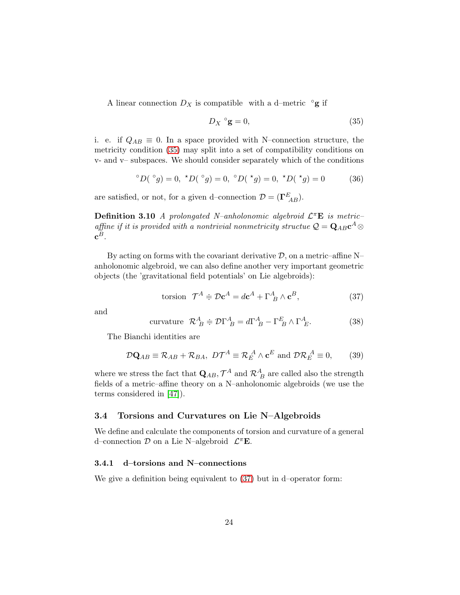A linear connection  $D_X$  is compatible with a d–metric  $\circ$ **g** if

<span id="page-23-0"></span>
$$
D_X \,^\circ \mathbf{g} = 0,\tag{35}
$$

i. e. if  $Q_{AB} \equiv 0$ . In a space provided with N–connection structure, the metricity condition [\(35\)](#page-23-0) may split into a set of compatibility conditions on v- and v– subspaces. We should consider separately which of the conditions

$$
{}^{\circ}D({}^{\circ}g) = 0, \ {}^{\star}D({}^{\circ}g) = 0, \ {}^{\circ}D({}^{\star}g) = 0, \ {}^{\star}D({}^{\star}g) = 0
$$
 (36)

are satisfied, or not, for a given d–connection  $\mathcal{D} = (\Gamma^E_{AB})$ .

**Definition 3.10** A prolongated N-anholonomic algebroid  $\mathcal{L}^{\pi}E$  is metricaffine if it is provided with a nontrivial nonmetricity structue  $\mathcal{Q} = \mathbf{Q}_{AB} \mathbf{c}^A \otimes \mathbf{c}^B$  $\mathbf{c}^B.$ 

By acting on forms with the covariant derivative  $D$ , on a metric–affine N– anholonomic algebroid, we can also define another very important geometric objects (the 'gravitational field potentials' on Lie algebroids):

<span id="page-23-1"></span>torsion 
$$
\mathcal{T}^A \doteq \mathcal{D} \mathbf{c}^A = d\mathbf{c}^A + \Gamma^A_{\ B} \wedge \mathbf{c}^B,
$$
 (37)

and

<span id="page-23-2"></span>
$$
\text{curvature} \ \ \mathcal{R}_B^A \doteqdot \mathcal{D}\Gamma_B^A = d\Gamma_B^A - \Gamma_B^E \wedge \Gamma_E^A. \tag{38}
$$

The Bianchi identities are

<span id="page-23-3"></span>
$$
\mathcal{D}\mathbf{Q}_{AB} \equiv \mathcal{R}_{AB} + \mathcal{R}_{BA}, \ D\mathcal{T}^A \equiv \mathcal{R}_E^A \wedge \mathbf{c}^E \text{ and } \mathcal{D}\mathcal{R}_E^A \equiv 0,
$$
 (39)

where we stress the fact that  $\mathbf{Q}_{AB}$ ,  $\mathcal{T}^{A}$  and  $\mathcal{R}^{A}_{\;B}$  are called also the strength fields of a metric–affine theory on a N–anholonomic algebroids (we use the terms considered in [\[47\]](#page-72-9)).

#### <span id="page-23-4"></span>3.4 Torsions and Curvatures on Lie N–Algebroids

We define and calculate the components of torsion and curvature of a general d–connection  $D$  on a Lie N–algebroid  $\mathcal{L}^{\pi}E$ .

#### 3.4.1 d–torsions and N–connections

We give a definition being equivalent to [\(37\)](#page-23-1) but in d–operator form: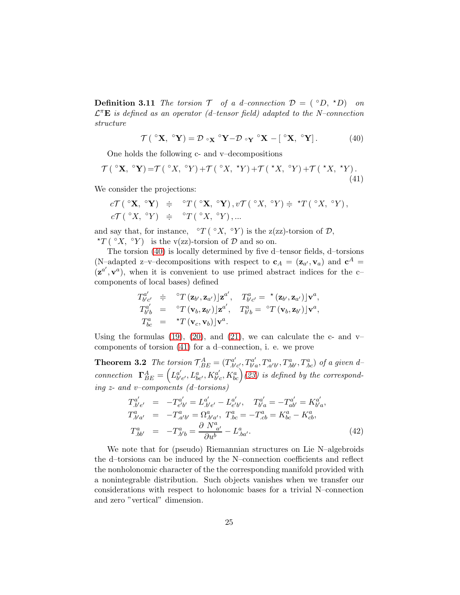**Definition 3.11** The torsion  $\mathcal{T}$  of a d–connection  $\mathcal{D} = (^\circ D, ^\star D)$  on  $\mathcal{L}^{\pi} \mathbf{E}$  is defined as an operator (d-tensor field) adapted to the N-connection structure

<span id="page-24-0"></span>
$$
\mathcal{T}(\ ^{\circ}\mathbf{X},\ ^{\circ}\mathbf{Y})=\mathcal{D}\ _{\circ}\mathbf{x}\ ^{\circ}\mathbf{Y}-\mathcal{D}\ _{\circ}\mathbf{Y}\ ^{\circ}\mathbf{X}-[\ ^{\circ}\mathbf{X},\ ^{\circ}\mathbf{Y}].\tag{40}
$$

One holds the following c- and v–decompositions

<span id="page-24-1"></span>
$$
\mathcal{T}(\ ^{\circ}\mathbf{X},\ ^{\circ}\mathbf{Y}) = \mathcal{T}(\ ^{\circ}X,\ ^{\circ}Y) + \mathcal{T}(\ ^{\circ}X,\ ^{\star}Y) + \mathcal{T}(\ ^{\star}X,\ ^{\circ}Y) + \mathcal{T}(\ ^{\star}X,\ ^{\star}Y). \tag{41}
$$

We consider the projections:

$$
c\mathcal{T}(\ ^{\circ}\mathbf{X},\ ^{\circ}\mathbf{Y})\ \doteqdot\ ^{\circ}T(\ ^{\circ}\mathbf{X},\ ^{\circ}\mathbf{Y}),v\mathcal{T}(\ ^{\circ}X,\ ^{\circ}Y)\doteqdot\ ^{\star}T(\ ^{\circ}X,\ ^{\circ}Y),\\c\mathcal{T}(\ ^{\circ}X,\ ^{\circ}Y)\ \doteqdot\ ^{\circ}T(\ ^{\circ}X,\ ^{\circ}Y),...
$$

and say that, for instance,  $\circ T(\circ X, \circ Y)$  is the z(zz)-torsion of  $\mathcal{D}$ , \* $T(^{\circ}X, ^{\circ}Y)$  is the v(zz)-torsion of  $D$  and so on.

The torsion [\(40\)](#page-24-0) is locally determined by five d–tensor fields, d–torsions (N-adapted z-v-decompositions with respect to  $\mathbf{c}_A = (\mathbf{z}_{a'}, \mathbf{v}_a)$  and  $\mathbf{c}^A =$  $(\mathbf{z}^{a'}, \mathbf{v}^{a})$ , when it is convenient to use primed abstract indices for the ccomponents of local bases) defined

$$
T_{b'c'}^{a'} \doteq \t {}^{\circ}T(\mathbf{z}_{b'}, \mathbf{z}_{a'})|\mathbf{z}^{a'}, \t T_{b'c'}^{a} = \t {}^{\star}(\mathbf{z}_{b'}, \mathbf{z}_{a'})|\mathbf{v}^{a},
$$
  
\n
$$
T_{b'b}^{a'} = \t {}^{\circ}T(\mathbf{v}_b, \mathbf{z}_{b'})|\mathbf{z}^{a'}, \t T_{b'b}^{a} = \t {}^{\circ}T(\mathbf{v}_b, \mathbf{z}_{b'})|\mathbf{v}^{a},
$$
  
\n
$$
T_{bc}^{a} = \t {}^{\star}T(\mathbf{v}_c, \mathbf{v}_b)|\mathbf{v}^{a}.
$$

Using the formulas [\(19\)](#page-17-0), [\(20\)](#page-17-1), and [\(21\)](#page-17-2), we can calculate the c- and  $v$ components of torsion [\(41\)](#page-24-1) for a d–connection, i. e. we prove

**Theorem 3.2** The torsion  $\mathcal{T}_{BE}^{A} = (T_{b'c'}^{a'}, T_{b'c}^{a'} )$  $f^a_{b'a}, T^a_{.a'b'}, T^a_{.bb'}, T^a_{.bc})$  of a given dconnection  $\mathbf{\Gamma}_{BE}^{A} = \left( L_{b^{\prime}}^{a^{\prime}} \right)$  $_{b^{\prime}e^{\prime}}^{a^{\prime}},L_{be^{\prime}}^{a},K_{b^{\prime}e^{\prime}}^{a^{\prime}}$  $\mathcal{L}_{b'c}^{a'}, K_{bc}^{a}$  [\(23\)](#page-20-0) is defined by the corresponding  $z$ - and v–components (d–torsions)

$$
T_{.b'e'}^{a'} = -T_{e'b'}^{a'} = L_{.b'e'}^{a'} - L_{e'b'}^{a'}, \quad T_{b'a}^{a'} = -T_{ab}^{a'} = K_{b'a}^{a'},
$$
  
\n
$$
T_{.b'a'}^{a} = -T_{.a'b'}^{a} = \Omega_{.b'a'}^{a}, \quad T_{.bc}^{a} = -T_{.cb}^{a} = K_{bc}^{a} - K_{cb}^{a},
$$
  
\n
$$
T_{.bb'}^{a} = -T_{.b'b}^{a} = \frac{\partial N_{a'}^{a}}{\partial u^{b}} - L_{.ba'}^{a}.
$$
\n(42)

We note that for (pseudo) Riemannian structures on Lie N–algebroids the d–torsions can be induced by the N–connection coefficients and reflect the nonholonomic character of the the corresponding manifold provided with a nonintegrable distribution. Such objects vanishes when we transfer our considerations with respect to holonomic bases for a trivial N–connection and zero "vertical" dimension.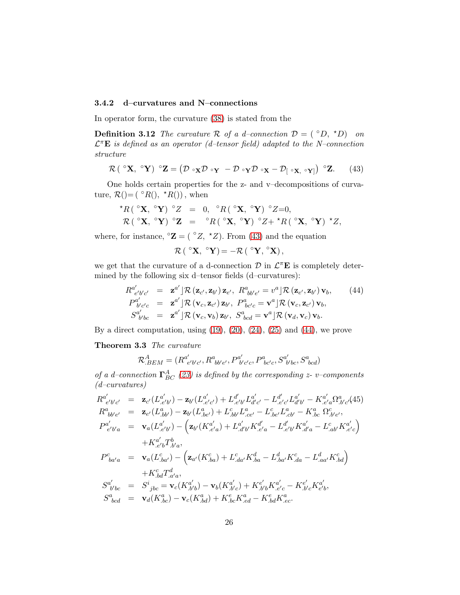#### 3.4.2 d–curvatures and N–connections

In operator form, the curvature [\(38\)](#page-23-2) is stated from the

**Definition 3.12** The curvature R of a d–connection  $D = (^\circ D, ^\star D)$  on  $\mathcal{L}^{\pi} \mathbf{E}$  is defined as an operator (d-tensor field) adapted to the N-connection structure

<span id="page-25-0"></span>
$$
\mathcal{R}(\ ^{\circ}\mathbf{X},\ ^{\circ}\mathbf{Y})\ ^{\circ}\mathbf{Z}=(\mathcal{D}\ ^{\circ}\mathbf{X}\mathcal{D}\ ^{\circ}\mathbf{Y}-\mathcal{D}\ ^{\circ}\mathbf{Y}\mathcal{D}\ ^{\circ}\mathbf{X}-\mathcal{D}_{[\ ^{\circ}\mathbf{X},\ ^{\circ}\mathbf{Y}]})\ ^{\circ}\mathbf{Z}.\tag{43}
$$

One holds certain properties for the z- and v–decompositions of curvature,  $\mathcal{R}$ ()=( $^{\circ}R$ (),  $^{\star}R$ ()), when

$$
\star R\left(\begin{array}{cc} \circ \mathbf{X}, \ ^{\circ }\mathbf{Y} \end{array}\right) \ ^{\circ }Z\;\;=\;\;0, \ \ ^{\circ }R\left(\begin{array}{cc} \circ \mathbf{X}, \ ^{\circ }\mathbf{Y} \end{array}\right) \ ^{\circ }Z\!=\!0, \\ \mathcal{R}\left(\begin{array}{cc} \ ^{\circ }\mathbf{X}, \ ^{\circ }\mathbf{Y} \end{array}\right) \ ^{\circ }Z\;=\;\; \ ^{\circ }R\left(\begin{array}{cc} \ ^{\circ }\mathbf{X}, \ ^{\circ }\mathbf{Y} \end{array}\right) \ ^{\circ }Z+ \ ^{\star }R\left(\begin{array}{cc} \ ^{\circ }\mathbf{X}, \ ^{\circ }\mathbf{Y} \end{array}\right) \ ^{\star }Z,
$$

where, for instance,  $\mathcal{L} = (\mathcal{L}, \mathcal{L})$ . From [\(43\)](#page-25-0) and the equation

$$
\mathcal{R}\left(\ ^{\circ }\mathbf{X},\ ^{\circ }\mathbf{Y}\right) =-\mathcal{R}\left(\ ^{\circ }\mathbf{Y},\ ^{\circ }\mathbf{X}\right),
$$

we get that the curvature of a d-connection  $\mathcal{D}$  in  $\mathcal{L}^{\pi}$ **E** is completely determined by the following six d–tensor fields (d–curvatures):

<span id="page-25-1"></span>
$$
R^{a'}_{e'b'c'} = \mathbf{z}^{a'} \, \mathcal{R} \left( \mathbf{z}_{c'}, \mathbf{z}_{b'} \right) \mathbf{z}_{e'}, \ R^{a}_{bb'e'} = v^a \, \mathcal{R} \left( \mathbf{z}_{e'}, \mathbf{z}_{b'} \right) \mathbf{v}_b, \qquad (44)
$$
\n
$$
P^{a'}_{b'c'c} = \mathbf{z}^{a'} \, \mathcal{R} \left( \mathbf{v}_c, \mathbf{z}_{c'} \right) \mathbf{z}_{b'}, \ P^{a}_{bc'c} = \mathbf{v}^{a} \, \mathcal{R} \left( \mathbf{v}_c, \mathbf{z}_{c'} \right) \mathbf{v}_b, \qquad S^{a'}_{b'bc} = \mathbf{z}^{a'} \, \mathcal{R} \left( \mathbf{v}_c, \mathbf{v}_b \right) \mathbf{z}_{b'}, \ S^{a}_{bcd} = \mathbf{v}^{a} \, \mathcal{R} \left( \mathbf{v}_d, \mathbf{v}_c \right) \mathbf{v}_b.
$$

By a direct computation, using  $(19)$ ,  $(20)$ ,  $(24)$ ,  $(25)$  and  $(44)$ , we prove

Theorem 3.3 The curvature

$$
\mathcal{R}_{.BEM}^{A} = (R_{e'b'c'}^{a'}, R_{bb'e'}^{a}, P_{b'c'c}^{a'}, P_{bc'c}^{a}, S_{b'bc}^{a'}, S_{bcd}^{a})
$$

of a d-connection  $\Gamma^{A}_{BC}$  [\(23\)](#page-20-0) is defined by the corresponding z- v-components (d–curvatures)

$$
R^{a'}_{e'b'c'} = \mathbf{z}_{c'}(L^{a'}_{e'b'}) - \mathbf{z}_{b'}(L^{a'}_{e'c'}) + L^{d'}_{e'b'}L^{a'}_{d'c'} - L^{d'}_{e'c'}L^{a'}_{d'b'} - K^{a'}_{e'a}\Omega^{a}_{,b'c'}(45)
$$
  
\n
$$
R^{a}_{bb'e'} = \mathbf{z}_{e'}(L^{a}_{,bb'}) - \mathbf{z}_{b'}(L^{a}_{,be'}) + L^{c}_{,bb'}L^{a}_{,ce'} - L^{c}_{,be'}L^{a}_{,cb'} - K^{a}_{,bc}\Omega^{c}_{,b'e'},
$$
  
\n
$$
P^{a'}_{e'b'a} = \mathbf{v}_{a}(L^{a'}_{,e'b'}) - (\mathbf{z}_{b'}(K^{a'}_{,e'a}) + L^{a'}_{,d'b'}K^{d'}_{,e'a} - L^{d'}_{,e'b'}K^{a'}_{,d'a} - L^{c}_{,ab'}K^{a'}_{,e'c})
$$
  
\n
$$
+ K^{a'}_{,e'b}T^{b}_{,ba},
$$
  
\n
$$
P^{c}_{ba'a} = \mathbf{v}_{a}(L^{c}_{,ba'}) - (\mathbf{z}_{a'}(K^{c}_{,ba}) + L^{c}_{,da'}K^{d}_{,ba} - L^{d}_{,ba'}K^{c}_{,da} - L^{d}_{,aa'}K^{c}_{,bd})
$$
  
\n
$$
+ K^{c}_{,bd}T^{d}_{,a'a},
$$
  
\n
$$
S^{a'}_{b'bc} = S^{i}_{jbc} = \mathbf{v}_{c}(K^{a'}_{,b'b}) - \mathbf{v}_{b}(K^{a'}_{,b'c}) + K^{e'}_{,b'b'}K^{a'}_{,e'c} - K^{e'}_{,b'c}K^{a'}_{e'b},
$$
  
\n
$$
S^{a}_{bcd} = \mathbf{v}_{d}(K^{a}_{,bc}) - \mathbf{v}_{c}(K^{a}_{,bd}) + K^{c}_{,bc}K^{a}_{,ed} - K^{a}_{,bd}K^{a}_{,ec}.
$$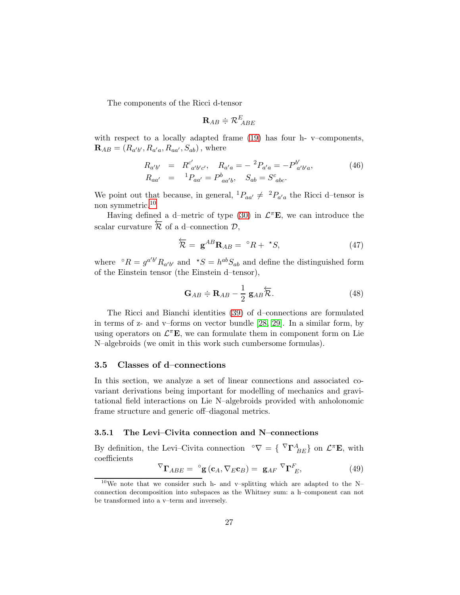The components of the Ricci d-tensor

$$
\mathbf{R}_{AB}\doteqdot\mathcal{R}^E_{\ ABE}
$$

with respect to a locally adapted frame [\(19\)](#page-17-0) has four h- v–components, **, where** 

$$
R_{a'b'} = R_{a'b'c'}^{c'}, \quad R_{a'a} = -{}^{2}P_{a'a} = -P_{a'b'}^{b'}.
$$
  
\n
$$
R_{aa'} = {}^{1}P_{aa'} = P_{aa'b}^{b}, \quad S_{ab} = S_{abc}^{c}.
$$
\n(46)

We point out that because, in general,  ${}^{1}P_{aa'} \neq {}^{2}P_{a'a}$  the Ricci d-tensor is non symmetric.<sup>[10](#page-26-0)</sup>

Having defined a d-metric of type [\(30\)](#page-21-2) in  $\mathcal{L}^{\pi}E$ , we can introduce the scalar curvature  $\overline{\mathcal{R}}$  of a d–connection  $\mathcal{D}$ ,

$$
\overleftarrow{\mathcal{R}} = \mathbf{g}^{AB} \mathbf{R}_{AB} = {}^{\circ}R + {}^{\star}S,
$$
\n(47)

where  $\partial R = g^{a'b'} R_{a'b'}$  and  $\Delta S = h^{ab} S_{ab}$  and define the distinguished form of the Einstein tensor (the Einstein d–tensor),

$$
\mathbf{G}_{AB} \doteq \mathbf{R}_{AB} - \frac{1}{2} \mathbf{g}_{AB} \overleftarrow{\mathcal{R}}.
$$
 (48)

The Ricci and Bianchi identities [\(39\)](#page-23-3) of d–connections are formulated in terms of z- and v–forms on vector bundle [\[28,](#page-71-3) [29\]](#page-71-4). In a similar form, by using operators on  $\mathcal{L}^{\pi} \mathbf{E}$ , we can formulate them in component form on Lie N–algebroids (we omit in this work such cumbersome formulas).

#### 3.5 Classes of d–connections

In this section, we analyze a set of linear connections and associated covariant derivations being important for modelling of mechanics and gravitational field interactions on Lie N–algebroids provided with anholonomic frame structure and generic off–diagonal metrics.

#### 3.5.1 The Levi–Civita connection and N–connections

By definition, the Levi–Civita connection  $\mathcal{L}^{\nabla} \mathbf{\Gamma}^{\mathcal{A}}_{BE}$  on  $\mathcal{L}^{\pi} \mathbf{E}$ , with coefficients

<span id="page-26-1"></span>
$$
\nabla_{\mathbf{\Gamma}_{ABE}} = \mathbf{e}_{\mathbf{g}}(\mathbf{c}_A, \nabla_E \mathbf{c}_B) = \mathbf{g}_{AF} \mathbf{\nabla}_{\mathbf{\Gamma}_{E}}^F,
$$
(49)

<span id="page-26-0"></span> $10$ We note that we consider such h- and v-splitting which are adapted to the Nconnection decomposition into subspaces as the Whitney sum: a h–component can not be transformed into a v–term and inversely.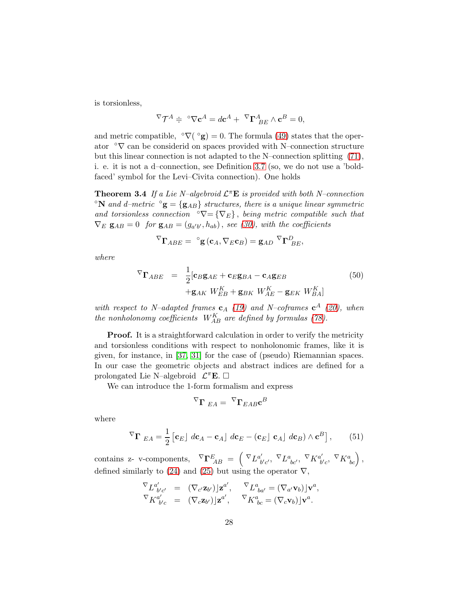is torsionless,

$$
\nabla \mathcal{T}^A \doteqdot \circ \nabla \mathbf{c}^A = d\mathbf{c}^A + \mathcal{T} \mathbf{\Gamma}^A_{BE} \wedge \mathbf{c}^B = 0,
$$

and metric compatible,  $\sqrt[\circ]{(}^{\circ}g) = 0$ . The formula [\(49\)](#page-26-1) states that the operator  $\circ \nabla$  can be considered on spaces provided with N–connection structure but this linear connection is not adapted to the N–connection splitting [\(71\)](#page-35-0), i. e. it is not a d–connection, see Definition [3.7](#page-19-1) (so, we do not use a 'boldfaced' symbol for the Levi–Civita connection). One holds

**Theorem 3.4** If a Lie N-algebroid  $\mathcal{L}^{\pi}E$  is provided with both N-connection <sup>•</sup>N and d–metric <sup>•</sup>g = {g<sub>AB</sub>} structures, there is a unique linear symmetric and torsionless connection  $\mathcal{O} = \{ \nabla_E \}$ , being metric compatible such that  $\nabla_E \mathbf{g}_{AB} = 0$  for  $\mathbf{g}_{AB} = (g_{a'b'}, h_{ab})$ , see [\(30\)](#page-21-2), with the coefficients

$$
\nabla_{\mathbf{\Gamma}_{ABE}} = \ {}^{\circ}\mathbf{g} \left( \mathbf{c}_A, \nabla_E \mathbf{c}_B \right) = \mathbf{g}_{AD} \ {}^{\nabla}\mathbf{\Gamma}_{BE}^D,
$$

where

<span id="page-27-1"></span>
$$
\nabla_{\mathbf{\Gamma}_{ABE}} = \frac{1}{2} [\mathbf{c}_{B} \mathbf{g}_{AE} + \mathbf{c}_{E} \mathbf{g}_{BA} - \mathbf{c}_{A} \mathbf{g}_{EB} \qquad (50)
$$

$$
+ \mathbf{g}_{AK} W_{EB}^{K} + \mathbf{g}_{BK} W_{AE}^{K} - \mathbf{g}_{EK} W_{BA}^{K}]
$$

with respect to N-adapted frames  $c_A$  [\(19\)](#page-17-0) and N-coframes  $c^A$  [\(20\)](#page-17-1), when the nonholonomy coefficients  $W_{AB}^K$  are defined by formulas [\(78\)](#page-37-0).

**Proof.** It is a straightforward calculation in order to verify the metricity and torsionless conditions with respect to nonholonomic frames, like it is given, for instance, in [\[37,](#page-72-10) [31\]](#page-71-11) for the case of (pseudo) Riemannian spaces. In our case the geometric objects and abstract indices are defined for a prolongated Lie N-algebroid  $\mathcal{L}^{\pi}E.$   $\square$ 

We can introduce the 1-form formalism and express

$$
^{\nabla}\mathbf{\Gamma}_{EA}=\ ^{\nabla}\mathbf{\Gamma}_{EAB}\mathbf{c}^{B}
$$

where

<span id="page-27-0"></span>
$$
\nabla_{\mathbf{\Gamma}} E_{A} = \frac{1}{2} \left[ \mathbf{c}_{E} \right] d\mathbf{c}_{A} - \mathbf{c}_{A} \left[ d\mathbf{c}_{E} - (\mathbf{c}_{E} \right] \mathbf{c}_{A} \left[ d\mathbf{c}_{B} \right] \wedge \mathbf{c}^{B} \right], \qquad (51)
$$

contains z- v-components,  $\nabla \mathbf{\Gamma}_{AB}^E = \begin{pmatrix} \nabla_L a'_b \end{pmatrix}$  $\mathcal{L}'_{b'c'}$ ,  $\nabla_{\substack{L^a_{bc'}}, \nabla_{\substack{K^a'\\b'}}$  $_{b^{\prime}c}^{\iota^{\prime}}, \ \nabla_{K^a_{\ bc}}\Big)$  , defined similarly to [\(24\)](#page-20-1) and [\(25\)](#page-20-1) but using the operator  $\nabla$ ,

$$
\nabla_{L^{a'}_{b'c'}} = (\nabla_{c'}\mathbf{z}_{b'}) \mathbf{z}^{a'}, \quad \nabla_{L^{a}_{b a'}} = (\nabla_{a'}\mathbf{v}_{b}) \mathbf{v}^{a},
$$
  
\n
$$
\nabla_{K^{a'}_{b'c}} = (\nabla_{c}\mathbf{z}_{b'}) \mathbf{z}^{a'}, \quad \nabla_{K^{a}_{bc}} = (\nabla_{c}\mathbf{v}_{b}) \mathbf{v}^{a}.
$$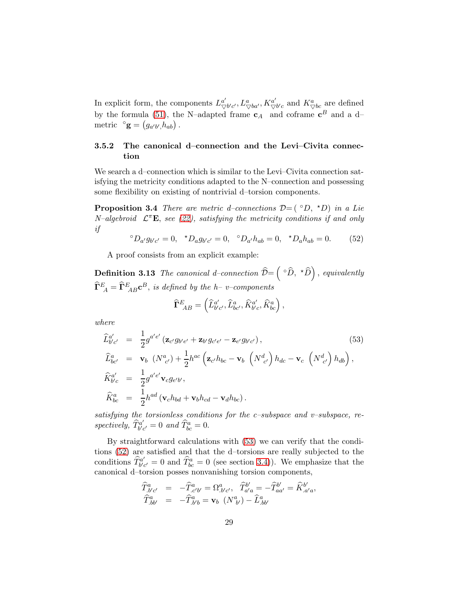In explicit form, the components  $L^{a'}_{\nabla}$  $\frac{a'}{\triangledown b'c'}, L^a_{\bigtriangledown ba'}, K^{a'}_{\bigtriangledown}$  $\frac{a'}{\nabla b'c}$  and  $K^a_{\nabla bc}$  are defined by the formula [\(51\)](#page-27-0), the N–adapted frame  $c_A$  and coframe  $c^B$  and a d– metric  $\circ$ **g** =  $(g_{a'b'}, h_{ab})$ .

# 3.5.2 The canonical d–connection and the Levi–Civita connection

We search a d–connection which is similar to the Levi–Civita connection satisfying the metricity conditions adapted to the N–connection and possessing some flexibility on existing of nontrivial d–torsion components.

**Proposition 3.4** There are metric d–connections  $\mathcal{D} = (^\circ D, ^\star D)$  in a Lie N-algebroid  $\mathcal{L}^{\pi} \mathbf{E}$ , see [\(22\)](#page-19-0), satisfying the metricity conditions if and only if

<span id="page-28-1"></span>
$$
{}^{\circ}D_{a'}g_{b'c'} = 0, \quad {}^{\star}D_{a}g_{b'c'} = 0, \quad {}^{\circ}D_{a'}h_{ab} = 0, \quad {}^{\star}D_{a}h_{ab} = 0. \tag{52}
$$

A proof consists from an explicit example:

**Definition 3.13** The canonical d-connection  $\widehat{\mathcal{D}} = \left( \begin{array}{c} \circ \widehat{D}, \end{array} \right)$  , equivalently  $\widehat{\mathbf{\Gamma}}^{E}_{\;\;A}=\widehat{\mathbf{\Gamma}}^{E}_{\;\;AB}\mathbf{c}^{B},\;is\;defined\;by\;the\;h\!-v\!-components$ 

$$
\widehat{\Gamma}^{E}_{\ AB} = \left( \widehat{L}^{a'}_{b'c'}, \widehat{L}^{a}_{bc'}, \widehat{K}^{a'}_{b'c}, \widehat{K}^{a}_{bc} \right),
$$

where

<span id="page-28-0"></span>
$$
\begin{split}\n\widehat{L}_{b'c'}^{a'} &= \frac{1}{2} g^{a'e'} \left( \mathbf{z}_{c'} g_{b'e'} + \mathbf{z}_{b'} g_{c'e'} - \mathbf{z}_{e'} g_{b'c'} \right), \\
\widehat{L}_{bc'}^{a} &= \mathbf{v}_b \left( N_{c'}^{a} \right) + \frac{1}{2} h^{ac} \left( \mathbf{z}_{c'} h_{bc} - \mathbf{v}_b \left( N_{c'}^{d} \right) h_{dc} - \mathbf{v}_c \left( N_{c'}^{d} \right) h_{db} \right), \\
\widehat{K}_{b'c}^{a'} &= \frac{1}{2} g^{a'e'} \mathbf{v}_c g_{e'b'}, \\
\widehat{K}_{bc}^{a} &= \frac{1}{2} h^{ad} \left( \mathbf{v}_c h_{bd} + \mathbf{v}_b h_{cd} - \mathbf{v}_d h_{bc} \right).\n\end{split}
$$
\n(53)

satisfying the torsionless conditions for the c-subspace and v-subspace, respectively,  $\widehat{T}_{b^{\prime}c}^{a^{\prime}}$  $\hat{f}_{b'c'}^{a'}=0$  and  $\hat{T}_{bc}^{a}=0$ .

By straightforward calculations with [\(53\)](#page-28-0) we can verify that the conditions [\(52\)](#page-28-1) are satisfied and that the d–torsions are really subjected to the conditions  $\hat{T}_{b'c}^{a'}$  $\hat{b}^{a'}_{b'c'} = 0$  and  $\hat{T}^a_{bc} = 0$  (see section [3.4\)](#page-23-4)). We emphasize that the canonical d–torsion posses nonvanishing torsion components,

$$
\begin{array}{rcl}\n\widehat{T}^{a}_{,b'c'} & = & -\widehat{T}^{a}_{,c'b'} = \Omega^{a}_{,b'c'}, \quad \widehat{T}^{b'}_{a'a} = -\widehat{T}^{b'}_{aa'} = \widehat{K}^{b'}_{,a'a}, \\
\widehat{T}^{a}_{,bb'} & = & -\widehat{T}^{a}_{,b'b} = \mathbf{v}_b \ \left(N^{a}_{\ b'}\right) - \widehat{L}^{a}_{,bb'}\n\end{array}
$$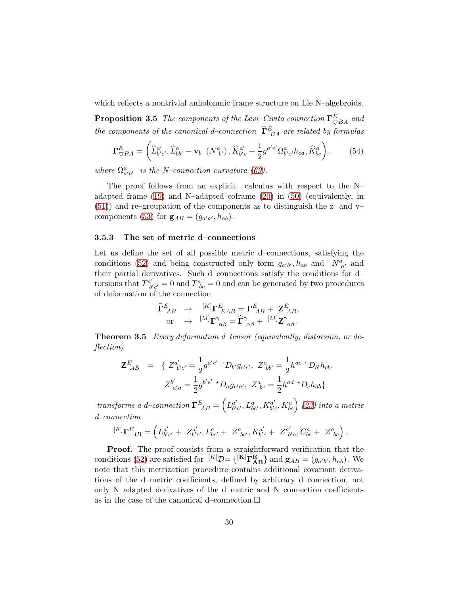which reflects a nontrivial anholonmic frame structure on Lie N–algebroids.

**Proposition 3.5** The components of the Levi–Civita connection  $\Gamma_{\bigtriangledown BA}^E$  and the components of the canonical d–connection  $\widehat{\Gamma}^{E}_{BA}$  are related by formulas

<span id="page-29-0"></span>
$$
\Gamma^{E}_{\nabla BA} = \left( \widehat{L}^{a'}_{b'c'}, \widehat{L}^{a}_{bb'} - \mathbf{v}_b \left( N^a_{b'} \right), \widehat{K}^{a'}_{b'c} + \frac{1}{2} g^{a'e'} \Omega^a_{b'e'} h_{ca}, \widehat{K}^a_{bc} \right), \tag{54}
$$

where  $\Omega_{a'b'}^a$  is the N-connection curvature [\(69\)](#page-35-1).

The proof follows from an explicit calculus with respect to the N– adapted frame  $(19)$  and N–adapted coframe  $(20)$  in  $(50)$  (equivalently, in [\(51\)](#page-27-0)) and re–groupation of the components as to distinguish the z- and v– components [\(53\)](#page-28-0) for  $\mathbf{g}_{AB} = (g_{a'a'}, h_{ab})$ .

#### 3.5.3 The set of metric d–connections

Let us define the set of all possible metric d–connections, satisfying the conditions [\(52\)](#page-28-1) and being constructed only form  $g_{a'b'}$ ,  $h_{ab}$  and  $N^a_{a'}$  and their partial derivatives. Such d–connections satisfy the conditions for d– torsions that  $T^{a'}_{b'}$  $b'_{b'c'} = 0$  and  $T^a_{bc} = 0$  and can be generated by two procedures of deformation of the connection

$$
\begin{array}{ccc}\n\widehat{\mathbf{\Gamma}}^{E}_{AB} & \rightarrow & [^{K]} \mathbf{\Gamma}^{E}_{\ \ LAB} = \mathbf{\Gamma}^{E}_{\ AB} + \mathbf{Z}^{E}_{\ AB}, \\
\text{or} & \rightarrow & [^{M]} \mathbf{\Gamma}^{\gamma}_{\ \alpha\beta} = \widehat{\mathbf{\Gamma}}^{\gamma}_{\ \alpha\beta} + \ [^{M]} \mathbf{Z}^{\gamma}_{\ \alpha\beta}.\n\end{array}
$$

Theorem 3.5 Every deformation d–tensor (equivalently, distorsion, or deflection)

$$
\mathbf{Z}^{E}_{AB} = \{ Z^{a'}_{b'c'} = \frac{1}{2} g^{a'e'} \circ D_{b'} g_{e'c'}, \ Z^{a}_{bb'} = \frac{1}{2} h^{ac} \circ D_{b'} h_{cb},
$$
  

$$
Z^{b'}_{a'a} = \frac{1}{2} g^{b'e'} \star D_{a} g_{e'a'}, \ Z^{a}_{bc} = \frac{1}{2} h^{ad} \star D_{c} h_{db} \}
$$

transforms a d-connection  $\Gamma_{AB}^E = \left(L_{b'}^{a'}\right)$  $_{b^{\prime}c^{\prime}}^{a^{\prime}},L_{bc^{\prime}}^{a},K_{b^{\prime}c^{\prime}}^{a^{\prime}}$  $\left(\begin{smallmatrix} a' \ b'c \end{smallmatrix}\right)$  [\(23\)](#page-20-0) into a metric d–connection

$$
^{[K]}\Gamma^{E}_{\ AB} = \left( L^{a'}_{b'c'} + Z^{a'}_{b'c'}, L^{a}_{bc'} + Z^{a}_{\ bc'}, K^{a'}_{b'c} + Z^{a'}_{\ b'a}, C^{a}_{bc} + Z^{a}_{\ bc} \right).
$$

**Proof.** The proof consists from a straightforward verification that the conditions [\(52\)](#page-28-1) are satisfied for  ${}^{[K]}\mathcal{D} = \{ {}^{[\mathbf{K}]} \tilde{\mathbf{\Gamma}}^{\mathbf{E}}_{\mathbf{AB}} \}$  and  $\mathbf{g}_{AB} = (g_{a'b'}, h_{ab})$ . We note that this metrization procedure contains additional covariant derivations of the d–metric coefficients, defined by arbitrary d–connection, not only N–adapted derivatives of the d–metric and N–connection coefficients as in the case of the canonical d–connection.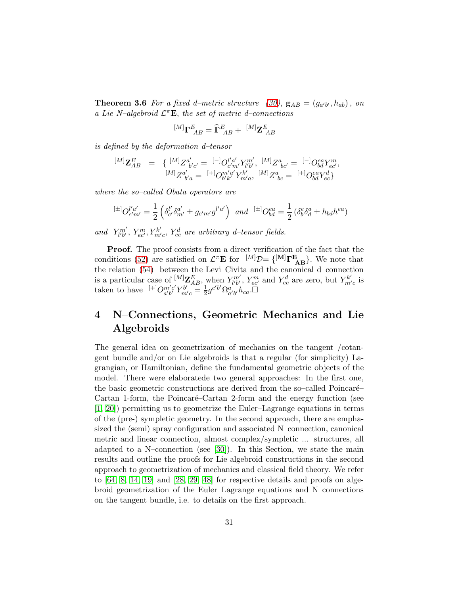**Theorem 3.6** For a fixed d-metric structure [\(30\)](#page-21-2),  $\mathbf{g}_{AB} = (g_{a'b'}, h_{ab})$ , on a Lie N–algebroid  $\mathcal{L}^{\pi} \mathbf{E}$ , the set of metric d–connections

$$
^{[M]}\mathbf{\Gamma}_{AB}^{E}=\widehat{\mathbf{\Gamma}}_{AB}^{E}+\,\,^{[M]}\mathbf{Z}_{\,AB}^{E}
$$

is defined by the deformation d–tensor

$$
\begin{array}{lll} {}^{[M]}{\bf Z}^{E}_{AB} & = & \left\{ \begin{array}{ll} {}^{[M]}Z^{a'}_{\;\; b'c'} = \; {}^{[-]}O^{l'a'}_{c'm'}Y^{m'}_{l'b'}, \; \, {}^{[M]}Z^{a}_{\;\; bc'} = \; {}^{[-]}O^{ea}_{bd}Y^{m}_{ec'}, \, \\ {}^{[M]}Z^{a'}_{\;\; b'a} = \; {}^{[+]}O^{m'a'}_{b'k'}Y^{k'}_{m'a}, \; {}^{[M]}Z^{a}_{\;\; bc} = \; {}^{[+]}O^{ea}_{bd}Y^{d}_{ec} \right\} \end{array} \end{array}
$$

where the so–called Obata operators are

$$
{}^{[\pm]}O_{c'm'}^{l'a'} = \frac{1}{2} \left( \delta_{c'}^{l'} \delta_{m'}^{a'} \pm g_{c'm'} g^{l'a'} \right) \text{ and } {}^{[\pm]}O_{bd}^{ea} = \frac{1}{2} \left( \delta_b^e \delta_d^a \pm h_{bd} h^{ea} \right)
$$

and  $Y_{l'b'}^{m'}$ ,  $Y_{ec'}^m$ ,  $Y_{m'c}^k$ ,  $Y_{ec}^d$  are arbitrary d-tensor fields.

Proof. The proof consists from a direct verification of the fact that the conditions [\(52\)](#page-28-1) are satisfied on  $\mathcal{L}^{\pi} \mathbf{E}$  for  $^{[M]}\mathcal{D} = \{^{[M]}\Gamma^{E}_{AB}\}$ . We note that the relation [\(54\)](#page-29-0) between the Levi–Civita and the canonical d–connection is a particular case of  $^{[M]}Z_{AB}^E$ , when  $Y_{l'b'}^{m'}$ ,  $Y_{ec'}^m$  and  $Y_{ec}^d$  are zero, but  $Y_{m'c}^{k'}$  is taken to have  $\left[ + \right]O_{a'b'}^{m'c'}$  $\frac{m'c'}{a'b'} Y^{b'}_{m'c} = \frac{1}{2}$  $\frac{1}{2}g^{c'b'}\Omega_{a'b'}^{a'b'}h_{ca}$ . $\square$ 

# 4 N–Connections, Geometric Mechanics and Lie Algebroids

The general idea on geometrization of mechanics on the tangent /cotangent bundle and/or on Lie algebroids is that a regular (for simplicity) Lagrangian, or Hamiltonian, define the fundamental geometric objects of the model. There were elaboratede two general approaches: In the first one, the basic geometric constructions are derived from the so–called Poincaré– Cartan 1-form, the Poincaré–Cartan 2-form and the energy function (see [\[1,](#page-69-6) [20\]](#page-70-12)) permitting us to geometrize the Euler–Lagrange equations in terms of the (pre-) sympletic geometry. In the second approach, there are emphasized the (semi) spray configuration and associated N–connection, canonical metric and linear connection, almost complex/sympletic ... structures, all adapted to a N–connection (see [\[30\]](#page-71-5)). In this Section, we state the main results and outline the proofs for Lie algebroid constructions in the second approach to geometrization of mechanics and classical field theory. We refer to  $[64, 8, 14, 19]$  $[64, 8, 14, 19]$  $[64, 8, 14, 19]$  $[64, 8, 14, 19]$  and  $[28, 29, 48]$  $[28, 29, 48]$  $[28, 29, 48]$  for respective details and proofs on algebroid geometrization of the Euler–Lagrange equations and N–connections on the tangent bundle, i.e. to details on the first approach.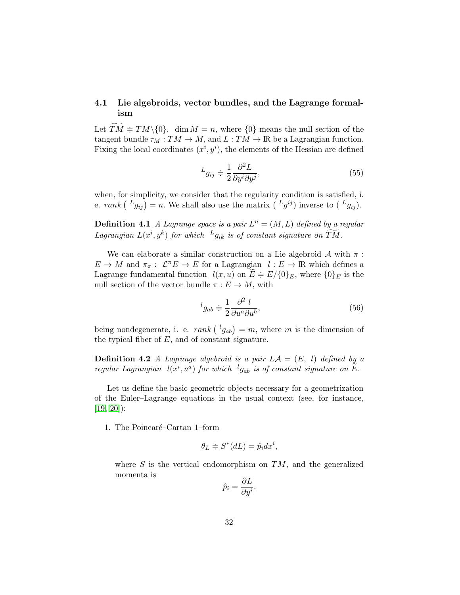# 4.1 Lie algebroids, vector bundles, and the Lagrange formalism

Let  $TM \doteq T M \setminus \{0\}$ , dim  $M = n$ , where  $\{0\}$  means the null section of the tangent bundle  $\tau_M : TM \to M$ , and  $L : TM \to \mathbb{R}$  be a Lagrangian function. Fixing the local coordinates  $(x^i, y^i)$ , the elements of the Hessian are defined

$$
L_{g_{ij}} \doteq \frac{1}{2} \frac{\partial^2 L}{\partial y^i \partial y^j},\tag{55}
$$

when, for simplicity, we consider that the regularity condition is satisfied, i. e.  $rank\left(\begin{matrix} L_{g_{ij}} \end{matrix}\right) = n$ . We shall also use the matrix  $\left(\begin{matrix} L_{g}^{ij} \end{matrix}\right)$  inverse to  $\left(\begin{matrix} L_{g_{ij}} \end{matrix}\right)$ .

**Definition 4.1** A Lagrange space is a pair  $L^n = (M, L)$  defined by a regular Lagrangian  $L(x^i, y^k)$  for which  $^Lg_{ik}$  is of constant signature on  $\widetilde{TM}$ .

We can elaborate a similar construction on a Lie algebroid  $A$  with  $\pi$ :  $E \to M$  and  $\pi_{\pi}: \mathcal{L}^{\pi}E \to E$  for a Lagrangian  $l: E \to \mathbb{R}$  which defines a Lagrange fundamental function  $l(x, u)$  on  $E \doteq E/\{0\}E$ , where  $\{0\}E$  is the null section of the vector bundle  $\pi : E \to M$ , with

<span id="page-31-0"></span>
$$
{}^{l}g_{ab} \doteq \frac{1}{2} \frac{\partial^2 l}{\partial u^a \partial u^b},\tag{56}
$$

being nondegenerate, i. e.  $rank\left(\frac{l_{gab}}{l}\right) = m$ , where m is the dimension of the typical fiber of  $E$ , and of constant signature.

**Definition 4.2** A Lagrange algebroid is a pair  $LA = (E, l)$  defined by a regular Lagrangian  $l(x^i, u^a)$  for which  ${}^l g_{ab}$  is of constant signature on  $\widetilde{E}$ .

Let us define the basic geometric objects necessary for a geometrization of the Euler–Lagrange equations in the usual context (see, for instance,  $[19, 20]$  $[19, 20]$ :

1. The Poincaré–Cartan 1–form

$$
\theta_L \doteqdot S^*(dL) = \hat p_i dx^i,
$$

where  $S$  is the vertical endomorphism on  $TM$ , and the generalized momenta is

$$
\hat{p}_i = \frac{\partial L}{\partial y^i}.
$$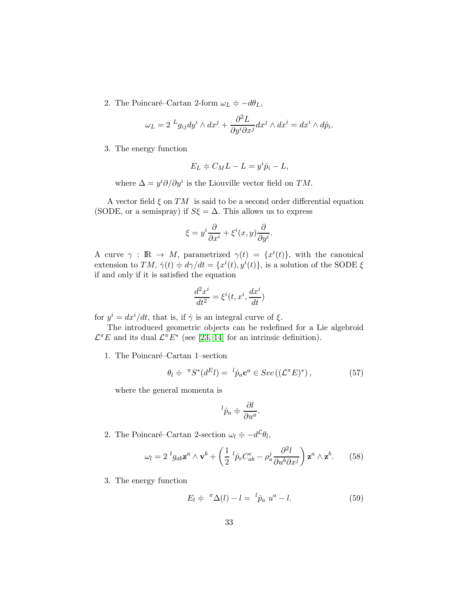2. The Poincaré–Cartan 2-form  $\omega_L \doteqdot -d\theta_L$ ,

$$
\omega_L = 2 \, {}^Lg_{ij} dy^i \wedge dx^j + \frac{\partial^2 L}{\partial y^i \partial x^j} dx^j \wedge dx^i = dx^i \wedge d\hat{p}_i.
$$

3. The energy function

$$
E_L \doteqdot C_M L - L = y^i \hat{p}_i - L,
$$

where  $\Delta = y^i \partial / \partial y^i$  is the Liouville vector field on TM.

A vector field  $\xi$  on  $TM$  is said to be a second order differential equation (SODE, or a semispray) if  $S\xi = \Delta$ . This allows us to express

$$
\xi = y^i \frac{\partial}{\partial x^i} + \xi^i(x, y) \frac{\partial}{\partial y^i}.
$$

A curve  $\gamma$ :  $\mathbb{R} \to M$ , parametrized  $\gamma(t) = \{x^{i}(t)\}\text{, with the canonical }$ extension to TM,  $\dot{\gamma}(t) \doteq d\gamma/dt = \{x^{i}(t), y^{i}(t)\}\text{, is a solution of the SODE }\xi$ if and only if it is satisfied the equation

$$
\frac{d^2x^i}{dt^2} = \xi^i(t, x^i, \frac{dx^i}{dt})
$$

for  $y^i = dx^i/dt$ , that is, if  $\dot{\gamma}$  is an integral curve of  $\xi$ .

The introduced geometric objects can be redefined for a Lie algebroid  $\mathcal{L}^{\pi}E$  and its dual  $\mathcal{L}^{\pi}E^*$  (see [\[23,](#page-71-2) [14\]](#page-70-2) for an intrinsic definition).

1. The Poincaré–Cartan 1–section

$$
\theta_l \doteqdot {}^{\pi} S^*(d^E l) = {}^l \hat{p}_a \mathbf{c}^a \in Sec\left((\mathcal{L}^{\pi} E)^*\right), \tag{57}
$$

where the general momenta is

$$
{}^{l}\hat{p}_a \doteqdot \frac{\partial l}{\partial u^a}.
$$

2. The Poincaré–Cartan 2-section  $\omega_l \doteqdot -d^{\mathcal{L}}\theta_l$ ,

$$
\omega_l = 2^l g_{ab} \mathbf{z}^a \wedge \mathbf{v}^b + \left(\frac{1}{2}^l \hat{p}_e C_{ab}^e - \rho_a^j \frac{\partial^2 l}{\partial u^b \partial x^j}\right) \mathbf{z}^a \wedge \mathbf{z}^b. \tag{58}
$$

3. The energy function

$$
E_l \doteqdot {}^{\pi} \Delta(l) - l = {}^l \hat{p}_a u^a - l. \qquad (59)
$$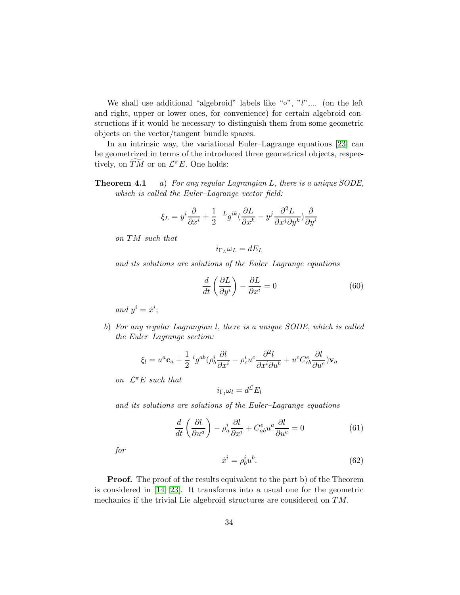We shall use additional "algebroid" labels like " $\circ$ ", " $l$ ",... (on the left and right, upper or lower ones, for convenience) for certain algebroid constructions if it would be necessary to distinguish them from some geometric objects on the vector/tangent bundle spaces.

In an intrinsic way, the variational Euler–Lagrange equations [\[23\]](#page-71-2) can be geometrized in terms of the introduced three geometrical objects, respectively, on  $\widetilde{TM}$  or on  $\mathcal{L}^{\pi}E$ . One holds:

**Theorem 4.1** a) For any regular Lagrangian L, there is a unique SODE, which is called the Euler–Lagrange vector field:

$$
\xi_L = y^i \frac{\partial}{\partial x^i} + \frac{1}{2} \ \ ^Lg^{ik}(\frac{\partial L}{\partial x^k} - y^j \frac{\partial^2 L}{\partial x^j \partial y^k}) \frac{\partial}{\partial y^i}
$$

on TM such that

 $i_{\Gamma_L}\omega_L = dE_L$ 

and its solutions are solutions of the Euler–Lagrange equations

<span id="page-33-0"></span>
$$
\frac{d}{dt}\left(\frac{\partial L}{\partial y^i}\right) - \frac{\partial L}{\partial x^i} = 0\tag{60}
$$

and  $y^i = \dot{x}^i$ ;

b) For any regular Lagrangian l, there is a unique SODE, which is called the Euler–Lagrange section:

$$
\xi_l = u^a \mathbf{c}_a + \frac{1}{2} \,^l g^{ab} (\rho_b^i \frac{\partial l}{\partial x^i} - \rho_c^i u^c \frac{\partial^2 l}{\partial x^i \partial u^b} + u^c C^e_{cb} \frac{\partial l}{\partial u^e}) \mathbf{v}_a
$$

on  $\mathcal{L}^{\pi}E$  such that

$$
i_{\Gamma_l}\omega_l = d^{\mathcal{L}}E_l
$$

and its solutions are solutions of the Euler–Lagrange equations

<span id="page-33-1"></span>
$$
\frac{d}{dt}\left(\frac{\partial l}{\partial u^a}\right) - \rho_a^i \frac{\partial l}{\partial x^i} + C^e_{ab} u^a \frac{\partial l}{\partial u^e} = 0 \tag{61}
$$

for

<span id="page-33-2"></span>
$$
\dot{x}^i = \rho_b^i u^b. \tag{62}
$$

**Proof.** The proof of the results equivalent to the part b) of the Theorem is considered in [\[14,](#page-70-2) [23\]](#page-71-2). It transforms into a usual one for the geometric mechanics if the trivial Lie algebroid structures are considered on TM.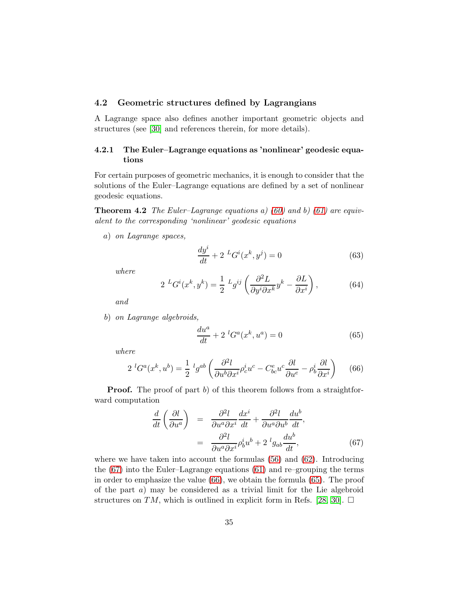# 4.2 Geometric structures defined by Lagrangians

A Lagrange space also defines another important geometric objects and structures (see [\[30\]](#page-71-5) and references therein, for more details).

# 4.2.1 The Euler–Lagrange equations as 'nonlinear' geodesic equations

For certain purposes of geometric mechanics, it is enough to consider that the solutions of the Euler–Lagrange equations are defined by a set of nonlinear geodesic equations.

**Theorem 4.2** The Euler–Lagrange equations a) [\(60\)](#page-33-0) and b) [\(61\)](#page-33-1) are equivalent to the corresponding 'nonlinear' geodesic equations

a) on Lagrange spaces,

<span id="page-34-4"></span>
$$
\frac{dy^{i}}{dt} + 2 L G^{i}(x^{k}, y^{j}) = 0
$$
\n(63)

where

<span id="page-34-3"></span>
$$
2^{L}G^{i}(x^{k},y^{k}) = \frac{1}{2}^{L}g^{ij}\left(\frac{\partial^{2}L}{\partial y^{i}\partial x^{k}}y^{k} - \frac{\partial L}{\partial x^{i}}\right),
$$
(64)

and

b) on Lagrange algebroids,

<span id="page-34-2"></span>
$$
\frac{du^a}{dt} + 2 \, ^lG^a(x^k, u^a) = 0 \tag{65}
$$

where

<span id="page-34-1"></span>
$$
2^{l}G^{a}(x^{k},u^{b}) = \frac{1}{2}^{l}g^{ab}\left(\frac{\partial^{2}l}{\partial u^{b}\partial x^{i}}\rho_{c}^{i}u^{c} - C_{bc}^{e}u^{c}\frac{\partial l}{\partial u^{e}} - \rho_{b}^{i}\frac{\partial l}{\partial x^{i}}\right) \tag{66}
$$

**Proof.** The proof of part b) of this theorem follows from a straightforward computation

<span id="page-34-0"></span>
$$
\frac{d}{dt}\left(\frac{\partial l}{\partial u^a}\right) = \frac{\partial^2 l}{\partial u^a \partial x^i} \frac{dx^i}{dt} + \frac{\partial^2 l}{\partial u^a \partial u^b} \frac{du^b}{dt},
$$
\n
$$
= \frac{\partial^2 l}{\partial u^a \partial x^i} \rho_b^i u^b + 2^l g_{ab} \frac{du^b}{dt},
$$
\n(67)

where we have taken into account the formulas  $(56)$  and  $(62)$ . Introducing the [\(67\)](#page-34-0) into the Euler–Lagrange equations [\(61\)](#page-33-1) and re–grouping the terms in order to emphasize the value [\(66\)](#page-34-1), we obtain the formula [\(65\)](#page-34-2). The proof of the part  $a$ ) may be considered as a trivial limit for the Lie algebroid structures on TM, which is outlined in explicit form in Refs. [\[28,](#page-71-3) [30\]](#page-71-5).  $\Box$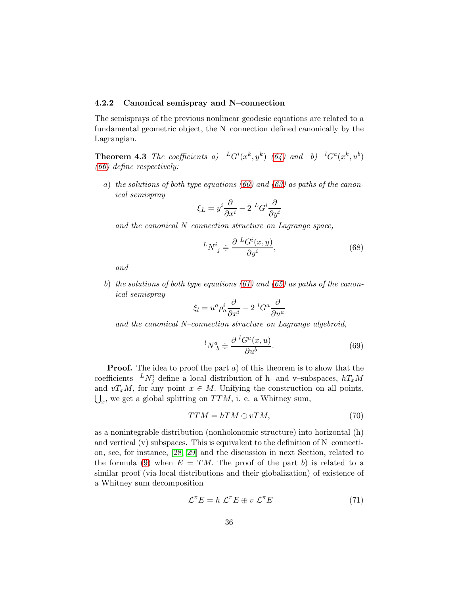### 4.2.2 Canonical semispray and N–connection

The semisprays of the previous nonlinear geodesic equations are related to a fundamental geometric object, the N–connection defined canonically by the Lagrangian.

**Theorem 4.3** The coefficients a)  ${}^LG^i(x^k, y^k)$  [\(64\)](#page-34-3) and b)  ${}^lG^a(x^k, u^b)$ [\(66\)](#page-34-1) define respectively:

a) the solutions of both type equations [\(60\)](#page-33-0) and [\(63\)](#page-34-4) as paths of the canonical semispray

$$
\xi_L = y^i \frac{\partial}{\partial x^i} - 2 \, {}^L G^i \frac{\partial}{\partial y^i}
$$

and the canonical N–connection structure on Lagrange space,

$$
{}^{L}N^{i}{}_{j} \doteq \frac{\partial L G^{i}(x,y)}{\partial y^{i}},\tag{68}
$$

and

b) the solutions of both type equations  $(61)$  and  $(65)$  as paths of the canonical semispray

$$
\xi_l = u^a \rho_a^i \frac{\partial}{\partial x^i} - 2 \, {}^l G^a \frac{\partial}{\partial u^a}
$$

and the canonical N–connection structure on Lagrange algebroid,

<span id="page-35-1"></span>
$$
{}^{l}N^{a}_{\ b} \doteq \frac{\partial \ {}^{l}G^{a}(x,u)}{\partial u^{b}}.\tag{69}
$$

**Proof.** The idea to proof the part  $a$ ) of this theorem is to show that the coefficients  $^L N_j^i$  define a local distribution of h- and v-subspaces,  $hT_xM$ and  $vT_xM$ , for any point  $x \in M$ . Unifying the construction on all points,  $\bigcup_{x}$ , we get a global splitting on  $TTM$ , i. e. a Whitney sum,

$$
TTM = hTM \oplus vTM, \tag{70}
$$

as a nonintegrable distribution (nonholonomic structure) into horizontal (h) and vertical  $(v)$  subspaces. This is equivalent to the definition of N–connection, see, for instance, [\[28,](#page-71-3) [29\]](#page-71-4) and the discussion in next Section, related to the formula [\(9\)](#page-12-1) when  $E = TM$ . The proof of the part b) is related to a similar proof (via local distributions and their globalization) of existence of a Whitney sum decomposition

<span id="page-35-0"></span>
$$
\mathcal{L}^{\pi} E = h \ \mathcal{L}^{\pi} E \oplus v \ \mathcal{L}^{\pi} E \tag{71}
$$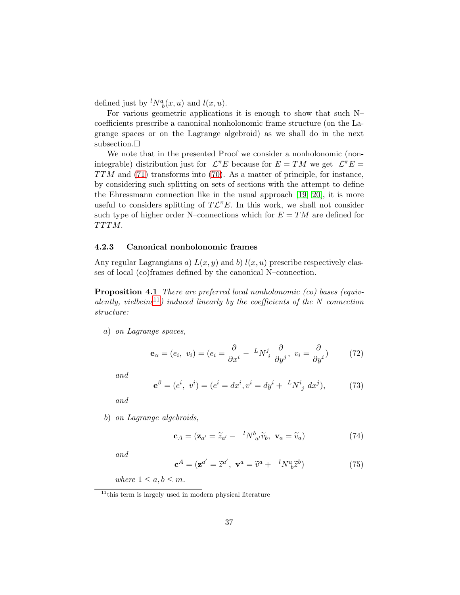defined just by  ${}^{l}N_{b}^{a}(x, u)$  and  $l(x, u)$ .

For various geometric applications it is enough to show that such N– coefficients prescribe a canonical nonholonomic frame structure (on the Lagrange spaces or on the Lagrange algebroid) as we shall do in the next subsection.  $\Box$ 

We note that in the presented Proof we consider a nonholonomic (nonintegrable) distribution just for  $\mathcal{L}^{\pi}E$  because for  $E = TM$  we get  $\mathcal{L}^{\pi}E =$  $TTM$  and [\(71\)](#page-35-0) transforms into [\(70\)](#page-35-1). As a matter of principle, for instance, by considering such splitting on sets of sections with the attempt to define the Ehressmann connection like in the usual approach [\[19,](#page-70-0) [20\]](#page-70-1), it is more useful to considers splitting of  $T\mathcal{L}^{\pi}E$ . In this work, we shall not consider such type of higher order N–connections which for  $E = TM$  are defined for TTTM.

## 4.2.3 Canonical nonholonomic frames

<span id="page-36-5"></span>Any regular Lagrangians a)  $L(x, y)$  and b)  $l(x, u)$  prescribe respectively classes of local (co)frames defined by the canonical N–connection.

Proposition 4.1 There are preferred local nonholonomic (co) bases (equiv-alently, vielbeins<sup>[11](#page-36-0)</sup>) induced linearly by the coefficients of the N–connection structure:

a) on Lagrange spaces,

<span id="page-36-1"></span>
$$
\mathbf{e}_{\alpha} = (e_i, v_i) = (e_i = \frac{\partial}{\partial x^i} - {}^{L}N^j{}_i \frac{\partial}{\partial y^j}, v_i = \frac{\partial}{\partial y^i})
$$
(72)

and

<span id="page-36-2"></span>
$$
\mathbf{e}^{\beta} = (e^i, v^i) = (e^i = dx^i, v^i = dy^i + {}^{L}N^i{}_j dx^j), \tag{73}
$$

and

b) on Lagrange algebroids,

<span id="page-36-3"></span>
$$
\mathbf{c}_A = (\mathbf{z}_{a'} = \widetilde{z}_{a'} - \, ^lN_{\,a'}^b \widetilde{v}_b, \, \mathbf{v}_a = \widetilde{v}_a) \tag{74}
$$

and

<span id="page-36-4"></span>
$$
\mathbf{c}^A = (\mathbf{z}^{a'} = \tilde{z}^{a'}, \ \mathbf{v}^a = \tilde{v}^a + \ {}^l N^a_{\ b} \tilde{z}^b) \tag{75}
$$

where  $1 \leq a, b \leq m$ .

<span id="page-36-0"></span> $11$ <sup>this term is largely used in modern physical literature</sup>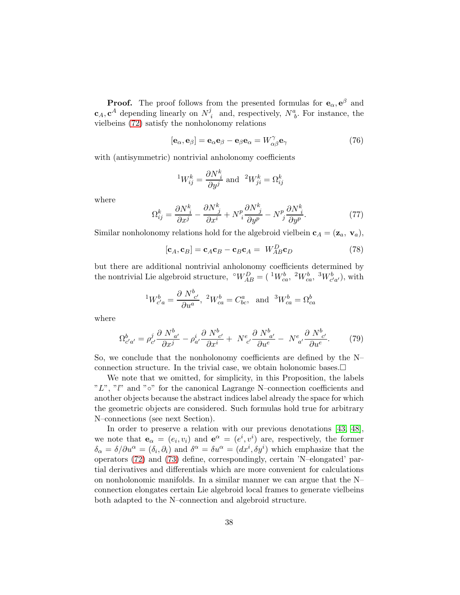**Proof.** The proof follows from the presented formulas for  $\mathbf{e}_{\alpha}, \mathbf{e}^{\beta}$  and  $\mathbf{c}_A, \mathbf{c}^A$  depending linearly on  $N^j$  $i_i$  and, respectively,  $N_b^a$ . For instance, the vielbeins [\(72\)](#page-36-1) satisfy the nonholonomy relations

<span id="page-37-0"></span>
$$
[\mathbf{e}_{\alpha}, \mathbf{e}_{\beta}] = \mathbf{e}_{\alpha} \mathbf{e}_{\beta} - \mathbf{e}_{\beta} \mathbf{e}_{\alpha} = W_{\alpha\beta}^{\gamma} \mathbf{e}_{\gamma}
$$
 (76)

with (antisymmetric) nontrivial anholonomy coefficients

$$
{}^{1}W_{ij}^{k} = \frac{\partial N_{i}^{k}}{\partial y^{j}}
$$
 and  ${}^{2}W_{ji}^{k} = \Omega_{ij}^{k}$ 

where

$$
\Omega_{ij}^k = \frac{\partial N_i^k}{\partial x^j} - \frac{\partial N_j^k}{\partial x^i} + N_{i}^p \frac{\partial N_j^k}{\partial y^p} - N_{j}^p \frac{\partial N_i^k}{\partial y^p}.
$$
\n(77)

Similar nonholonomy relations hold for the algebroid vielbein  $c_A = (z_a, v_a)$ ,

<span id="page-37-1"></span>
$$
[\mathbf{c}_A, \mathbf{c}_B] = \mathbf{c}_A \mathbf{c}_B - \mathbf{c}_B \mathbf{c}_A = W_{AB}^D \mathbf{c}_D \tag{78}
$$

but there are additional nontrivial anholonomy coefficients determined by the nontrivial Lie algebroid structure,  $\mathcal{N}_{AB}^D = (\mathcal{N}_{ca}^b, \mathcal{N}_{ca}^b, \mathcal{N}_{c'a'}^b)$ , with

$$
{}^{1}W^{b}_{c'a} = \frac{\partial N^{b}_{c'}}{\partial u^{a}}, \ {}^{2}W^{b}_{ca} = C^{a}_{bc}, \text{ and } {}^{3}W^{b}_{ca} = \Omega^{b}_{ca}
$$

where

$$
\Omega_{c'a'}^b = \rho_{c'}^j \frac{\partial N_{a'}^b}{\partial x^j} - \rho_{a'}^i \frac{\partial N_{c'}^b}{\partial x^i} + N_{c'}^e \frac{\partial N_{a'}^b}{\partial u^e} - N_{a'}^e \frac{\partial N_{c'}^b}{\partial u^e}.
$$
 (79)

So, we conclude that the nonholonomy coefficients are defined by the N– connection structure. In the trivial case, we obtain holonomic bases. $\Box$ 

We note that we omitted, for simplicity, in this Proposition, the labels " $L$ ", " $l$ " and " $\circ$ " for the canonical Lagrange N–connection coefficients and another objects because the abstract indices label already the space for which the geometric objects are considered. Such formulas hold true for arbitrary N–connections (see next Section).

In order to preserve a relation with our previous denotations [\[43,](#page-72-0) [48\]](#page-72-1), we note that  $\mathbf{e}_{\alpha} = (e_i, v_i)$  and  $\mathbf{e}^{\alpha} = (e^i, v^i)$  are, respectively, the former  $\delta_{\alpha} = \delta/\partial u^{\alpha} = (\delta_i, \partial_i)$  and  $\delta^{\alpha} = \delta u^{\alpha} = (dx^i, \delta y^i)$  which emphasize that the operators [\(72\)](#page-36-1) and [\(73\)](#page-36-2) define, correspondingly, certain 'N–elongated' partial derivatives and differentials which are more convenient for calculations on nonholonomic manifolds. In a similar manner we can argue that the N– connection elongates certain Lie algebroid local frames to generate vielbeins both adapted to the N–connection and algebroid structure.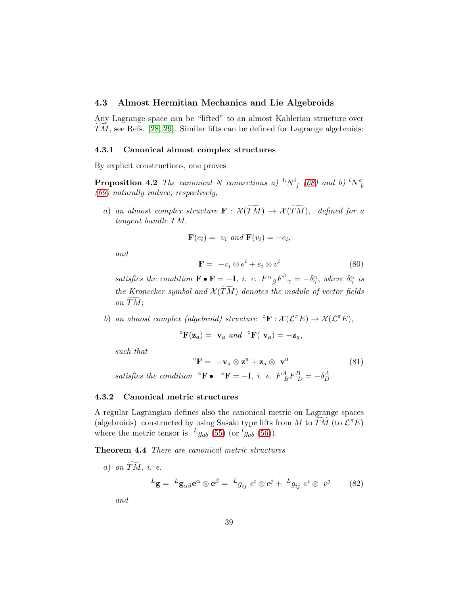## 4.3 Almost Hermitian Mechanics and Lie Algebroids

Any Lagrange space can be "lifted" to an almost Kahlerian structure over  $TM$ , see Refs. [\[28,](#page-71-0) [29\]](#page-71-1). Similar lifts can be defined for Lagrange algebroids:

#### 4.3.1 Canonical almost complex structures

By explicit constructions, one proves

**Proposition 4.2** The canonical N–connections a)  ${}^L N^i_{\ j}$  [\(68\)](#page-35-2) and b)  ${}^l N^a_{\ b}$ [\(69\)](#page-35-3) naturally induce, respectively,

a) an almost complex structure  $\mathbf{F}: \mathcal{X}(\widetilde{TM}) \to \mathcal{X}(\widetilde{TM})$ , defined for a tangent bundle TM,

$$
\mathbf{F}(e_i) = v_i \text{ and } \mathbf{F}(v_i) = -e_i,
$$

and

<span id="page-38-1"></span>
$$
\mathbf{F} = -v_i \otimes e^i + e_i \otimes v^i \tag{80}
$$

satisfies the condition  $\mathbf{F} \bullet \mathbf{F} = -\mathbf{I}$ , i. e.  $F^{\alpha}{}_{\beta}F^{\beta}{}_{\gamma} = -\delta^{\alpha}_{\gamma}$ , where  $\delta^{\alpha}_{\gamma}$  is the Kronecker symbol and  $\mathcal{X}(\widetilde{TM})$  denotes the module of vector fields on  $TM;$ 

b) an almost complex (algebroid) structure  $\mathcal{E} \colon \mathcal{X}(\mathcal{L}^{\pi} E) \to \mathcal{X}(\mathcal{L}^{\pi} E)$ ,

$$
{}^{\circ} \mathbf{F}(\mathbf{z}_a) = \mathbf{v}_a \ \text{and} \ {}^{\circ} \mathbf{F}(\mathbf{v}_a) = -\mathbf{z}_a,
$$

such that

<span id="page-38-2"></span>
$$
{}^{\circ}\mathbf{F} = -\mathbf{v}_a \otimes \mathbf{z}^a + \mathbf{z}_a \otimes \mathbf{v}^a \tag{81}
$$

satisfies the condition  $\mathbf{^{\circ}F \bullet \quad \mathbf{^{\circ}F = -I}}$ , i. e.  $F^{A}_{\ B}F^{B}_{\ D} = -\delta^{A}_{D}$ .

## 4.3.2 Canonical metric structures

A regular Lagrangian defines also the canonical metric on Lagrange spaces (algebroids) constructed by using Sasaki type lifts from M to  $\widetilde{TM}$  (to  $\mathcal{L}^{\pi}E$ ) where the metric tensor is  $L_{g_{ab}}$  [\(55\)](#page-31-0) (or  $^l g_{ab}$  [\(56\)](#page-31-1)).

Theorem 4.4 There are canonical metric structures

a) on  $\widetilde{TM}$ , i. e.  ${}^L\mathbf{g} = \ {}^L\mathbf{g}_{\alpha\beta}\mathbf{e}^\alpha \otimes \mathbf{e}^\beta = \ {}^Lg_{ij}\; e^i \otimes e^j + \ {}^Lg_{ij}\; v^i \otimes \; v^j$ (82)

<span id="page-38-0"></span>and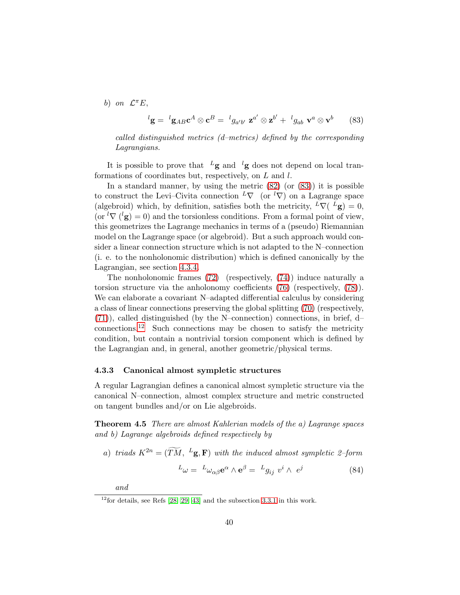b) on  $\mathcal{L}^{\pi}E$ ,

<span id="page-39-0"></span>
$$
{}^{l}\mathbf{g} = {}^{l}\mathbf{g}_{AB}\mathbf{c}^{A} \otimes \mathbf{c}^{B} = {}^{l}g_{a'b'} \mathbf{z}^{a'} \otimes \mathbf{z}^{b'} + {}^{l}g_{ab} \mathbf{v}^{a} \otimes \mathbf{v}^{b}
$$
(83)

called distinguished metrics (d–metrics) defined by the corresponding Lagrangians.

It is possible to prove that  $L_g$  and  $\ell_g$  does not depend on local tranformations of coordinates but, respectively, on  $L$  and  $l$ .

In a standard manner, by using the metric  $(82)$  (or  $(83)$ ) it is possible to construct the Levi–Civita connection  $L\nabla$  (or  $(\nabla)^{\perp}$ ) on a Lagrange space (algebroid) which, by definition, satisfies both the metricity,  ${}^L\nabla ({}^L\mathbf{g}) = 0$ , (or  ${}^{l}\nabla ({}^{l}\mathbf{g}) = 0$ ) and the torsionless conditions. From a formal point of view, this geometrizes the Lagrange mechanics in terms of a (pseudo) Riemannian model on the Lagrange space (or algebroid). But a such approach would consider a linear connection structure which is not adapted to the N–connection (i. e. to the nonholonomic distribution) which is defined canonically by the Lagrangian, see section [4.3.4.](#page-40-0)

The nonholonomic frames [\(72\)](#page-36-1) (respectively, [\(74\)](#page-36-3)) induce naturally a torsion structure via the anholonomy coefficients [\(76\)](#page-37-0) (respectively, [\(78\)](#page-37-1)). We can elaborate a covariant N–adapted differential calculus by considering a class of linear connections preserving the global splitting [\(70\)](#page-35-1) (respectively, [\(71\)](#page-35-0)), called distinguished (by the N–connection) connections, in brief, d–  $\mu$  connections.<sup>[12](#page-39-1)</sup> Such connections may be chosen to satisfy the metricity condition, but contain a nontrivial torsion component which is defined by the Lagrangian and, in general, another geometric/physical terms.

#### 4.3.3 Canonical almost sympletic structures

A regular Lagrangian defines a canonical almost sympletic structure via the canonical N–connection, almost complex structure and metric constructed on tangent bundles and/or on Lie algebroids.

Theorem 4.5 There are almost Kahlerian models of the a) Lagrange spaces and b) Lagrange algebroids defined respectively by

a) triads  $K^{2n} = (\widetilde{TM}, L_{\mathbf{g},\mathbf{F}})$  with the induced almost sympletic 2-form

$$
{}^{L}\omega = {}^{L}\omega_{\alpha\beta}\mathbf{e}^{\alpha} \wedge \mathbf{e}^{\beta} = {}^{L}g_{ij} v^{i} \wedge e^{j}
$$
 (84)

and

<span id="page-39-1"></span> $12$  for details, see Refs  $[28, 29, 43]$  $[28, 29, 43]$  $[28, 29, 43]$  and the subsection [3.3.1](#page-19-0) in this work.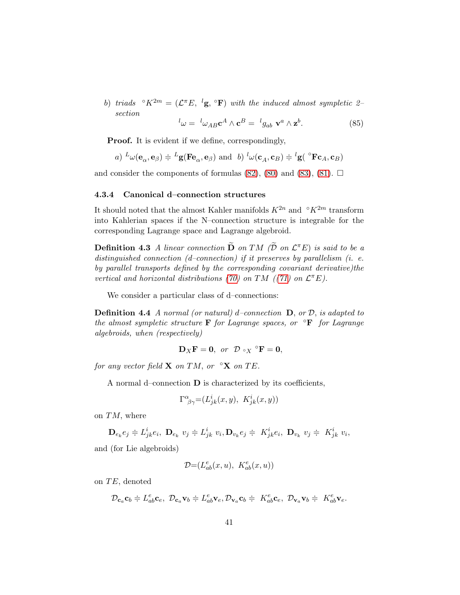b) triads  $\mathcal{O}_K^{2m} = (\mathcal{L}^{\pi} E, \,^l \mathbf{g}, \,^{\circ} \mathbf{F})$  with the induced almost sympletic 2section

$$
{}^{l}\omega = {}^{l}\omega_{AB}\mathbf{c}^{A} \wedge \mathbf{c}^{B} = {}^{l}g_{ab} \mathbf{v}^{a} \wedge \mathbf{z}^{b}.
$$
 (85)

**Proof.** It is evident if we define, correspondingly,

a) 
$$
L_{\omega}(\mathbf{e}_{\alpha}, \mathbf{e}_{\beta}) \doteq L_{\mathbf{g}}(\mathbf{F}\mathbf{e}_{\alpha}, \mathbf{e}_{\beta})
$$
 and b)  $L_{\omega}(\mathbf{c}_{A}, \mathbf{c}_{B}) \doteq L_{\mathbf{g}}(\mathbf{F}\mathbf{c}_{A}, \mathbf{c}_{B})$ 

and consider the components of formulas  $(82)$ ,  $(80)$  and  $(83)$ ,  $(81)$ .  $\Box$ 

## <span id="page-40-0"></span>4.3.4 Canonical d–connection structures

It should noted that the almost Kahler manifolds  $K^{2n}$  and  $\mathcal{R}^{2m}$  transform into Kahlerian spaces if the N–connection structure is integrable for the corresponding Lagrange space and Lagrange algebroid.

**Definition 4.3** A linear connection  $\widetilde{\mathbf{D}}$  on TM ( $\widetilde{\mathcal{D}}$  on  $\mathcal{L}^{\pi}E$ ) is said to be a distinguished connection (d–connection) if it preserves by parallelism (i. e. by parallel transports defined by the corresponding covariant derivative)the vertical and horizontal distributions [\(70\)](#page-35-1) on TM ([\(71\)](#page-35-0) on  $\mathcal{L}^{\pi}E$ ).

We consider a particular class of d–connections:

**Definition 4.4** A normal (or natural) d–connection  $D$ , or  $D$ , is adapted to the almost sympletic structure  $\bf{F}$  for Lagrange spaces, or  $\bf{F}$  for Lagrange algebroids, when (respectively)

$$
\mathbf{D}_X\mathbf{F}=\mathbf{0}, \text{ or } \mathcal{D}\circ_X{}^{\circ}\mathbf{F}=\mathbf{0},
$$

for any vector field **X** on TM, or  $\mathcal{L}$  on TE.

A normal d–connection  $\bf{D}$  is characterized by its coefficients,

$$
\Gamma^{\alpha}_{\ \beta\gamma} = (L^{i}_{jk}(x, y), \ K^{i}_{jk}(x, y))
$$

on  $TM$ , where

$$
\mathbf{D}_{e_k}e_j \doteqdot L_{jk}^i e_i, \ \mathbf{D}_{e_k} v_j \doteqdot L_{jk}^i v_i, \mathbf{D}_{v_k}e_j \doteqdot K_{jk}^i e_i, \ \mathbf{D}_{v_k} v_j \doteqdot K_{jk}^i v_i,
$$

and (for Lie algebroids)

$$
\mathcal{D} {=} (L_{ab}^e(x,u),~K_{ab}^e(x,u))
$$

on  $TE$ , denoted

$$
\mathcal{D}_{\mathbf{c}_a}\mathbf{c}_b \doteqdot L_{ab}^e\mathbf{c}_e, \ \mathcal{D}_{\mathbf{c}_a}\mathbf{v}_b \doteqdot L_{ab}^e\mathbf{v}_e, \mathcal{D}_{\mathbf{v}_a}\mathbf{c}_b \doteqdot K_{ab}^e\mathbf{c}_e, \ \mathcal{D}_{\mathbf{v}_a}\mathbf{v}_b \doteqdot K_{ab}^e\mathbf{v}_e.
$$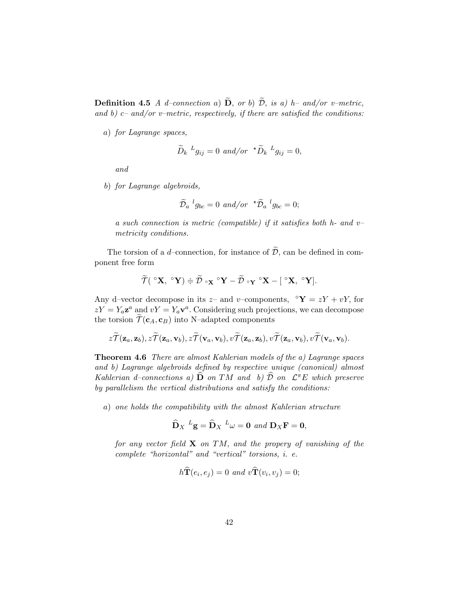**Definition 4.5** A d–connection a)  $\widetilde{\mathbf{D}}$ , or b)  $\widetilde{\mathcal{D}}$ , is a) h– and/or v–metric, and b)  $c$ – and/or v–metric, respectively, if there are satisfied the conditions:

a) for Lagrange spaces,

$$
\widetilde{D}_k \, {}^Lg_{ij} = 0 \, \text{ and/or} \, {}^{\star}\widetilde{D}_k \, {}^Lg_{ij} = 0,
$$

and

b) for Lagrange algebroids,

$$
\widetilde{\mathcal{D}}_a{}^l g_{bc} = 0 \ \text{and/or} \ \ {}^{\star}\widetilde{\mathcal{D}}_a{}^l g_{bc} = 0;
$$

a such connection is metric (compatible) if it satisfies both  $h$ - and  $v$ metricity conditions.

The torsion of a d–connection, for instance of  $\widetilde{\mathcal{D}}$ , can be defined in component free form

$$
\widetilde{\mathcal{T}}({}^{\circ}\mathbf{X},{}^{\circ}\mathbf{Y})\doteqdot\widetilde{\mathcal{D}}\cdot_{\mathbf{X}}{}^{\circ}\mathbf{Y}-\widetilde{\mathcal{D}}\cdot_{\mathbf{Y}}{}^{\circ}\mathbf{X}-[{}^{\circ}\mathbf{X},{}^{\circ}\mathbf{Y}].
$$

Any d–vector decompose in its z– and v–components,  $\mathbf{Y} = zY + vY$ , for  $zY = Y_a$ **z**<sup>a</sup> and  $vY = Y_a$ **v**<sup>a</sup>. Considering such projections, we can decompose the torsion  $\widetilde{\mathcal{T}}(\mathbf{c}_A, \mathbf{c}_B)$  into N–adapted components

$$
z\widetilde{\mathcal{T}}(\mathbf{z}_a,\mathbf{z}_b), z\widetilde{\mathcal{T}}(\mathbf{z}_a,\mathbf{v}_b), z\widetilde{\mathcal{T}}(\mathbf{v}_a,\mathbf{v}_b), v\widetilde{\mathcal{T}}(\mathbf{z}_a,\mathbf{z}_b), v\widetilde{\mathcal{T}}(\mathbf{z}_a,\mathbf{v}_b), v\widetilde{\mathcal{T}}(\mathbf{v}_a,\mathbf{v}_b).
$$

<span id="page-41-0"></span>**Theorem 4.6** There are almost Kahlerian models of the a) Lagrange spaces and b) Lagrange algebroids defined by respective unique (canonical) almost Kahlerian d-connections a)  $\widehat{\mathbf{D}}$  on TM and b)  $\widehat{\mathcal{D}}$  on  $\mathcal{L}^{\pi}E$  which preserve by parallelism the vertical distributions and satisfy the conditions:

a) one holds the compatibility with the almost Kahlerian structure

$$
\widehat{\mathbf{D}}_X\ {}^L\mathbf{g}=\widehat{\mathbf{D}}_X\ {}^L\omega=\mathbf{0}\ and\ \mathbf{D}_X\mathbf{F}=\mathbf{0},
$$

for any vector field  $X$  on TM, and the propery of vanishing of the complete "horizontal" and "vertical" torsions, i. e.

$$
h\dot{\mathbf{T}}(e_i, e_j) = 0 \text{ and } v\dot{\mathbf{T}}(v_i, v_j) = 0;
$$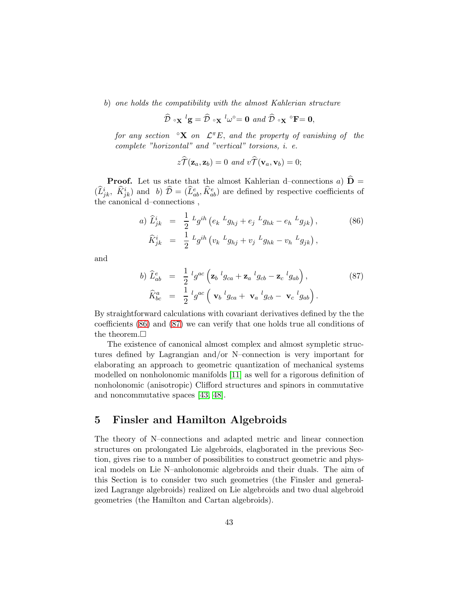b) one holds the compatibility with the almost Kahlerian structure

$$
\widehat{\mathcal{D}} \circ_{\mathbf{X}} {}^{l} \mathbf{g} = \widehat{\mathcal{D}} \circ_{\mathbf{X}} {}^{l} \omega^{\circ} = \mathbf{0} \text{ and } \widehat{\mathcal{D}} \circ_{\mathbf{X}} {}^{\circ} \mathbf{F} = \mathbf{0},
$$

for any section  $\mathcal{L}^{\infty} \mathbf{X}$  on  $\mathcal{L}^{\pi} E$ , and the property of vanishing of the complete "horizontal" and "vertical" torsions, i. e.

$$
z\widetilde{T}(\mathbf{z}_a,\mathbf{z}_b)=0 \ \ and \ \ v\widetilde{T}(\mathbf{v}_a,\mathbf{v}_b)=0;
$$

**Proof.** Let us state that the almost Kahlerian d–connections a)  $\hat{\mathbf{D}} =$  $(\widehat{L}_{jk}^i, \ \widehat{K}_{jk}^i)$  and b)  $\widehat{\mathcal{D}} = (\widehat{L}_{ab}^e, \widehat{K}_{ab}^e)$  are defined by respective coefficients of the canonical d–connections ,

<span id="page-42-0"></span>a) 
$$
\hat{L}_{jk}^{i} = \frac{1}{2} L_g^{ih} (e_k L_{ghj} + e_j L_{ghk} - e_h L_{ghk}),
$$
 (86)  
 $\hat{K}_{jk}^{i} = \frac{1}{2} L_g^{ih} (v_k L_{ghj} + v_j L_{ghk} - v_h L_{ghk}),$ 

and

<span id="page-42-1"></span>
$$
b) \ \hat{L}_{ab}^e = \frac{1}{2} \,^l g^{ac} \left( \mathbf{z}_b \,^l g_{ca} + \mathbf{z}_a \,^l g_{cb} - \mathbf{z}_c \,^l g_{ab} \right),
$$
\n
$$
\hat{K}_{bc}^a = \frac{1}{2} \,^l g^{ac} \left( \mathbf{v}_b \,^l g_{ca} + \mathbf{v}_a \,^l g_{cb} - \mathbf{v}_c \,^l g_{ab} \right).
$$
\n
$$
(87)
$$

By straightforward calculations with covariant derivatives defined by the the coefficients [\(86\)](#page-42-0) and [\(87\)](#page-42-1) we can verify that one holds true all conditions of the theorem.

The existence of canonical almost complex and almost sympletic structures defined by Lagrangian and/or N–connection is very important for elaborating an approach to geometric quantization of mechanical systems modelled on nonholonomic manifolds [\[11\]](#page-70-2) as well for a rigorous definition of nonholonomic (anisotropic) Clifford structures and spinors in commutative and noncommutative spaces [\[43,](#page-72-0) [48\]](#page-72-1).

# 5 Finsler and Hamilton Algebroids

The theory of N–connections and adapted metric and linear connection structures on prolongated Lie algebroids, elagborated in the previous Section, gives rise to a number of possibilities to construct geometric and physical models on Lie N–anholonomic algebroids and their duals. The aim of this Section is to consider two such geometries (the Finsler and generalized Lagrange algebroids) realized on Lie algebroids and two dual algebroid geometries (the Hamilton and Cartan algebroids).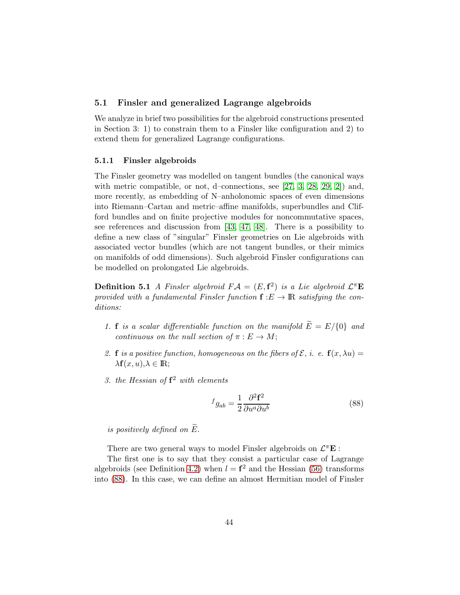## 5.1 Finsler and generalized Lagrange algebroids

We analyze in brief two possibilities for the algebroid constructions presented in Section 3: 1) to constrain them to a Finsler like configuration and 2) to extend them for generalized Lagrange configurations.

#### 5.1.1 Finsler algebroids

The Finsler geometry was modelled on tangent bundles (the canonical ways with metric compatible, or not, d–connections, see [\[27,](#page-71-2) [3,](#page-69-0) [28,](#page-71-0) [29,](#page-71-1) [2\]](#page-69-1)) and, more recently, as embedding of N–anholonomic spaces of even dimensions into Riemann–Cartan and metric–affine manifolds, superbundles and Clifford bundles and on finite projective modules for noncommutative spaces, see references and discussion from [\[43,](#page-72-0) [47,](#page-72-2) [48\]](#page-72-1). There is a possibility to define a new class of "singular" Finsler geometries on Lie algebroids with associated vector bundles (which are not tangent bundles, or their mimics on manifolds of odd dimensions). Such algebroid Finsler configurations can be modelled on prolongated Lie algebroids.

**Definition 5.1** A Finsler algebroid  $FA = (E, \mathbf{f}^2)$  is a Lie algebroid  $\mathcal{L}^{\pi} \mathbf{E}$ provided with a fundamental Finsler function  $f : E \to \mathbb{R}$  satisfying the conditions:

- 1. **f** is a scalar differentiable function on the manifold  $\widetilde{E} = E/\{0\}$  and continuous on the null section of  $\pi : E \to M$ ;
- 2. **f** is a positive function, homogeneous on the fibers of  $\mathcal{E}$ , i. e.  $f(x, \lambda u) =$  $\lambda f(x, u), \lambda \in \mathbb{R};$
- 3. the Hessian of  $f^2$  with elements

<span id="page-43-0"></span>
$$
f_{gab} = \frac{1}{2} \frac{\partial^2 \mathbf{f}^2}{\partial u^a \partial u^b} \tag{88}
$$

is positively defined on  $\widetilde{E}$ .

There are two general ways to model Finsler algebroids on  $\mathcal{L}^{\pi} \mathbf{E}$ :

The first one is to say that they consist a particular case of Lagrange algebroids (see Definition [4.2\)](#page-31-2) when  $l = \mathbf{f}^2$  and the Hessian [\(56\)](#page-31-1) transforms into [\(88\)](#page-43-0). In this case, we can define an almost Hermitian model of Finsler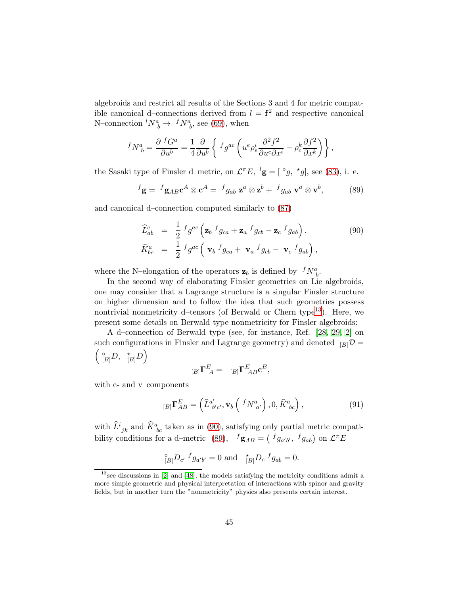algebroids and restrict all results of the Sections 3 and 4 for metric compatible canonical d–connections derived from  $l = \mathbf{f}^2$  and respective canonical N–connection  ${}^l N^a_{\ b} \rightarrow {}^f N^a_{\ b}$ , see [\(69\)](#page-35-3), when

$$
{}^fN^a_{\ b}=\frac{\partial\;{}^fG^a}{\partial u^b}=\frac{1}{4}\frac{\partial}{\partial u^b}\left\{\;{}^fg^{ac}\left(u^e\rho^i_e\frac{\partial^2f^2}{\partial u^c\partial x^i}-\rho^k_c\frac{\partial f^2}{\partial x^k}\right)\right\},
$$

the Sasaki type of Finsler d–metric, on  $\mathcal{L}^{\pi}E$ ,  ${}^{l}\mathbf{g} = [{}^{\circ}g, {}^{\star}g]$ , see [\(83\)](#page-39-0), i. e.

<span id="page-44-2"></span>
$$
{}^f\mathbf{g} = {}^f\mathbf{g}_{AB}\mathbf{c}^A \otimes \mathbf{c}^A = {}^f g_{ab} \mathbf{z}^a \otimes \mathbf{z}^b + {}^f g_{ab} \mathbf{v}^a \otimes \mathbf{v}^b, \tag{89}
$$

and canonical d–connection computed similarly to [\(87\)](#page-42-1)

<span id="page-44-1"></span>
$$
\begin{aligned}\n\widehat{L}_{ab}^e &= \frac{1}{2} f g^{ac} \left( \mathbf{z}_b f_{g_{ca}} + \mathbf{z}_a f_{g_{cb}} - \mathbf{z}_c f_{g_{ab}} \right), \\
\widehat{K}_{bc}^a &= \frac{1}{2} f g^{ac} \left( \mathbf{v}_b f_{g_{ca}} + \mathbf{v}_a f_{g_{cb}} - \mathbf{v}_c f_{g_{ab}} \right),\n\end{aligned} \tag{90}
$$

where the N–elongation of the operators  $\mathbf{z}_b$  is defined by  ${}^fN^a_{b}$ .

In the second way of elaborating Finsler geometries on Lie algebroids, one may consider that a Lagrange structure is a singular Finsler structure on higher dimension and to follow the idea that such geometries possess nontrivial nonmetricity d-tensors (of Berwald or Chern type<sup>[13](#page-44-0)</sup>). Here, we present some details on Berwald type nonmetricity for Finsler algebroids:

A d–connection of Berwald type (see, for instance, Ref. [\[28,](#page-71-0) [29,](#page-71-1) [2\]](#page-69-1) on such configurations in Finsler and Lagrange geometry) and denoted  $_{[B]}\mathcal{D} =$  $\binom{\circ}{[B]}D, \quad\n\binom{\star}{[B]}D$ 

$$
{}_{[B]}\Gamma^E_{\ A} = \ {}_{[B]}\Gamma^E_{\ AB}c^B,
$$

with c- and v–components

<span id="page-44-3"></span>
$$
[B]\mathbf{\Gamma}_{AB}^{E} = \left(\widehat{L}_{b'c'}^{a'}, \mathbf{v}_b \left( \ ^fN_{a'}^{a} \right), 0, \widehat{K}_{bc}^{a} \right),\tag{91}
$$

with  $\hat{L}^i_{\;jk}$  and  $\hat{K}^a_{\;bc}$  taken as in [\(90\)](#page-44-1), satisfying only partial metric compati-bility conditions for a d-metric [\(89\)](#page-44-2),  $f_{\mathbf{g}_{AB}} = \begin{pmatrix} f_{g_{a'b'}}, f_{g_{ab}} \end{pmatrix}$  on  $\mathcal{L}^{\pi}E$ 

$$
{}_{[B]}^{\circ}D_{c'}{}^{f}g_{a'b'} = 0 \text{ and } {}_{[B]}^{\star}D_{c}{}^{f}g_{ab} = 0.
$$

<span id="page-44-0"></span> $13$  see discussions in  $[2]$  and  $[48]$ ; the models satisfying the metricity conditions admit a more simple geometric and physical interpretation of interactions with spinor and gravity fields, but in another turn the "nonmetricity" physics also presents certain interest.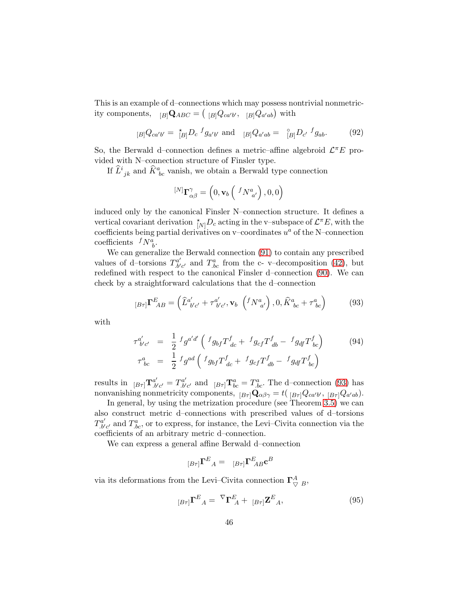This is an example of d–connections which may possess nontrivial nonmetricity components,  $_{[B]} \mathbf{Q}_{ABC} = ({}_{[B]} Q_{ca'b'}, {}_{[B]} Q_{a'ab})$  with

$$
{}_{[B]}Q_{ca'b'} = \frac{\star}{[B]} D_c \, {}^f g_{a'b'} \text{ and } {}_{[B]}Q_{a'ab} = \frac{\circ}{[B]} D_{c'} \, {}^f g_{ab}. \tag{92}
$$

So, the Berwald d-connection defines a metric-affine algebroid  $\mathcal{L}^{\pi}E$  provided with N–connection structure of Finsler type.

If  $\widehat{L}^i_{\phantom{i}jk}$  and  $\widehat{K}^a_{\phantom{a}bc}$  vanish, we obtain a Berwald type connection

$$
^{[N]}\mathbf{\Gamma}_{\alpha\beta}^{\gamma}=\left(0,\mathbf{v}_{b}\left(\ ^{f}N_{\ a^{\prime}}^{a}\right),0,0\right)
$$

induced only by the canonical Finsler N–connection structure. It defines a vertical covariant derivation  $\chi_{N}^{\ast}D_c$  acting in the v-subspace of  $\mathcal{L}^{\pi}E$ , with the coefficients being partial derivatives on v–coordinates  $u^a$  of the N–connection coefficients  $^fN^a_{\ b}$ .

We can generalize the Berwald connection [\(91\)](#page-44-3) to contain any prescribed values of d–torsions  $T_{b'c'}^{a'}$  and  $T_{bc}^a$  from the c- v–decomposition [\(42\)](#page-24-0), but redefined with respect to the canonical Finsler d–connection [\(90\)](#page-44-1). We can check by a straightforward calculations that the d–connection

<span id="page-45-0"></span>
$$
{}_{[B\tau]}\Gamma^{E}_{\ AB} = \left(\hat{L}^{a'}_{\ b'c'} + \tau^{a'}_{\ b'c'}, \mathbf{v}_b \left({}^fN^a_{\ a'}\right), 0, \hat{K}^a_{\ bc} + \tau^a_{\ bc}\right) \tag{93}
$$

with

$$
\tau_{b'c'}^{a'} = \frac{1}{2} f g^{a'd'} \left( f g_{bf} T_{dc}^f + f g_{cf} T_{db}^f - f g_{df} T_{bc}^f \right) \tag{94}
$$
\n
$$
\tau_{bc}^a = \frac{1}{2} f g^{ad} \left( f g_{bf} T_{dc}^f + f g_{cf} T_{db}^f - f g_{df} T_{bc}^f \right)
$$

results in  $_{[B\tau]}$  $\mathbf{T}^{a'}_{.b'c'} = T^{a'}_{.b'c'}$  and  $_{[B\tau]}$  $\mathbf{T}^{a}_{bc} = T^{a}_{.bc}$ . The d-connection [\(93\)](#page-45-0) has nonvanishing nonmetricity components,  ${}_{[B\tau]} \mathbf{Q}_{\alpha\beta\gamma} = t({}_{[B\tau]}Q_{ca'b'}, {}_{[B\tau]}Q_{a'ab}).$ 

In general, by using the metrization procedure (see Theorem [3.5\)](#page-29-0) we can also construct metric d–connections with prescribed values of d–torsions  $T^{a'}_{b'c'}$  and  $T^{a}_{bc}$ , or to express, for instance, the Levi–Civita connection via the coefficients of an arbitrary metric d–connection.

We can express a general affine Berwald d–connection

$$
_{[B\tau ]}\mathbf{\Gamma}^{E}{}_{A}=\phantom{ab}{}_{[B\tau ]}\mathbf{\Gamma}^{E}{}_{AB}\mathbf{c}^{B}
$$

via its deformations from the Levi–Civita connection  $\Gamma^A_{\nabla B}$ ,

<span id="page-45-1"></span>
$$
_{[B\tau ]}\Gamma^{E}{}_{A} = \nabla \Gamma^{E}{}_{A} + [_{B\tau ]}\mathbf{Z}^{E}{}_{A}, \tag{95}
$$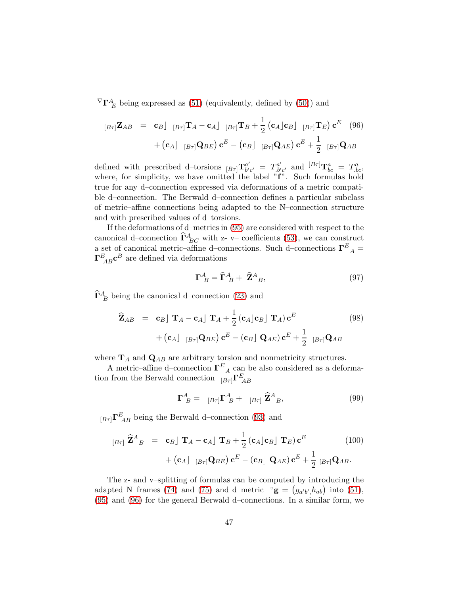${}^{\nabla}{\bf \Gamma}^A_{\ E}$  being expressed as [\(51\)](#page-27-0) (equivalently, defined by [\(50\)](#page-27-1)) and

<span id="page-46-0"></span>
$$
[B\tau] \mathbf{Z}_{AB} = \mathbf{c}_{B} \int [B\tau] \mathbf{T}_{A} - \mathbf{c}_{A} \int [B\tau] \mathbf{T}_{B} + \frac{1}{2} (\mathbf{c}_{A} \mathbf{c}_{B} \mathbf{c}_{B} \mathbf{c}_{B}) \mathbf{c}^{E} \quad (96) + (\mathbf{c}_{A} \mathbf{c}_{B} \mathbf{c}_{B}) \mathbf{c}^{E} - (\mathbf{c}_{B} \mathbf{c}_{B} \mathbf{c}_{B}) \mathbf{c}^{E} + \frac{1}{2} [B\tau] \mathbf{Q}_{AB}
$$

defined with prescribed d–torsions  ${}_{[B\tau]}T_{b'}^{a'}$  $b'c' = T^{a'}_{b'c'}$  and  ${}^{[B\tau]}\mathbf{T}^a_{bc} = T^a_{bc}$ , where, for simplicity, we have omitted the label "f". Such formulas hold true for any d–connection expressed via deformations of a metric compatible d–connection. The Berwald d–connection defines a particular subclass of metric–affine connections being adapted to the N–connection structure and with prescribed values of d–torsions.

If the deformations of d–metrics in [\(95\)](#page-45-1) are considered with respect to the canonical d–connection  $\widehat{\Gamma}^A_{BC}$  with z- v– coefficients [\(53\)](#page-28-0), we can construct a set of canonical metric–affine d–connections. Such d–connections  $\Gamma^E{}_A$  =  $\Gamma^E_{\ AB}$ c<sup>B</sup> are defined via deformations

<span id="page-46-1"></span>
$$
\Gamma^A_{\ B} = \widehat{\Gamma}^A_{\ B} + \widehat{\mathbf{Z}}^A_{\ B},\tag{97}
$$

 $\widehat{\Gamma}_{B}^{A}$  being the canonical d–connection [\(23\)](#page-20-0) and

<span id="page-46-2"></span>
$$
\hat{\mathbf{Z}}_{AB} = \mathbf{c}_B \mathbf{I} \mathbf{T}_A - \mathbf{c}_A \mathbf{I} \mathbf{T}_A + \frac{1}{2} (\mathbf{c}_A \mathbf{c}_B \mathbf{I} \mathbf{T}_A) \mathbf{c}^E + (\mathbf{c}_A \mathbf{I} \mathbf{B} \mathbf{r}) (\mathbf{B} \mathbf{r}) (\mathbf{c}_B \mathbf{r}) \mathbf{c}^E - (\mathbf{c}_B \mathbf{I} \mathbf{Q}_{AE}) \mathbf{c}^E + \frac{1}{2} [\mathbf{B} \mathbf{r}] \mathbf{Q}_{AB}
$$
\n(98)

where  $\mathbf{T}_A$  and  $\mathbf{Q}_{AB}$  are arbitrary torsion and nonmetricity structures.

A metric–affine d–connection  $\Gamma^E_{A}$  can be also considered as a deformation from the Berwald connection  $_{[B\tau]}\Gamma^E_{\ AB}$ 

<span id="page-46-3"></span>
$$
\Gamma^A_{\ B} = \begin{bmatrix} B\tau \end{bmatrix} \Gamma^A_{\ B} + \begin{bmatrix} B\tau \end{bmatrix} \hat{\mathbf{Z}}^A_{\ B}, \tag{99}
$$

 $_{[B\tau ]}\Gamma_{\ AB}^E$  being the Berwald d–connection [\(93\)](#page-45-0) and

<span id="page-46-4"></span>
$$
[B\tau] \widehat{\mathbf{Z}}^{A}{}_{B} = \mathbf{c}_{B} \mathbf{I} \mathbf{T}_{A} - \mathbf{c}_{A} \mathbf{I} \mathbf{T}_{B} + \frac{1}{2} (\mathbf{c}_{A} \mathbf{c}_{B} \mathbf{I} \mathbf{T}_{E}) \mathbf{c}^{E}
$$
\n
$$
+ (\mathbf{c}_{A} \mathbf{I} \mathbf{B} \tau_{I} \mathbf{Q}_{BE}) \mathbf{c}^{E} - (\mathbf{c}_{B} \mathbf{I} \mathbf{Q}_{AE}) \mathbf{c}^{E} + \frac{1}{2} [\mathbf{B}\tau_{I} \mathbf{Q}_{AB}].
$$
\n(100)

The z- and v–splitting of formulas can be computed by introducing the adapted N–frames [\(74\)](#page-36-3) and [\(75\)](#page-36-4) and d–metric  $\mathbf{g} = (g_{a'b',h_{ab}})$  into [\(51\)](#page-27-0), [\(95\)](#page-45-1) and [\(96\)](#page-46-0) for the general Berwald d–connections. In a similar form, we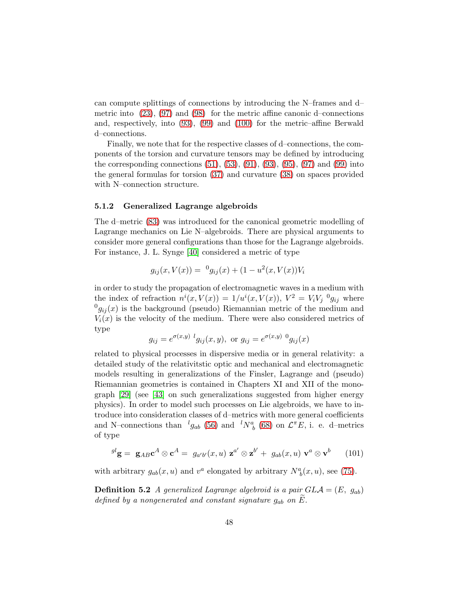can compute splittings of connections by introducing the N–frames and d– metric into  $(23)$ ,  $(97)$  and  $(98)$  for the metric affine canonic d–connections and, respectively, into [\(93\)](#page-45-0), [\(99\)](#page-46-3) and [\(100\)](#page-46-4) for the metric–affine Berwald d–connections.

Finally, we note that for the respective classes of d–connections, the components of the torsion and curvature tensors may be defined by introducing the corresponding connections  $(51)$ ,  $(53)$ ,  $(91)$ ,  $(93)$ ,  $(95)$ ,  $(97)$  and  $(99)$  into the general formulas for torsion [\(37\)](#page-23-0) and curvature [\(38\)](#page-23-1) on spaces provided with N–connection structure.

#### <span id="page-47-1"></span>5.1.2 Generalized Lagrange algebroids

The d–metric [\(83\)](#page-39-0) was introduced for the canonical geometric modelling of Lagrange mechanics on Lie N–algebroids. There are physical arguments to consider more general configurations than those for the Lagrange algebroids. For instance, J. L. Synge [\[40\]](#page-72-3) considered a metric of type

$$
g_{ij}(x, V(x)) = {}^{0}g_{ij}(x) + (1 - u^{2}(x, V(x))V_{i}
$$

in order to study the propagation of electromagnetic waves in a medium with the index of refraction  $n^{i}(x, V(x)) = 1/u^{i}(x, V(x)), V^{2} = V_{i}V_{j}^{0}$  where  $^{0}g_{ij}(x)$  is the background (pseudo) Riemannian metric of the medium and  $V_i(x)$  is the velocity of the medium. There were also considered metrics of type

$$
g_{ij} = e^{\sigma(x,y)} \,^l g_{ij}(x,y)
$$
, or  $g_{ij} = e^{\sigma(x,y)} \,^0 g_{ij}(x)$ 

related to physical processes in dispersive media or in general relativity: a detailed study of the relativitstic optic and mechanical and electromagnetic models resulting in generalizations of the Finsler, Lagrange and (pseudo) Riemannian geometries is contained in Chapters XI and XII of the monograph [\[29\]](#page-71-1) (see [\[43\]](#page-72-0) on such generalizations suggested from higher energy physics). In order to model such processes on Lie algebroids, we have to introduce into consideration classes of d–metrics with more general coefficients and N-connections than  ${}^{l}g_{ab}$  [\(56\)](#page-31-1) and  ${}^{l}N^a_{\ b}$  [\(68\)](#page-35-2) on  $\mathcal{L}^{\pi}E$ , i. e. d-metrics of type

<span id="page-47-0"></span>
$$
{}^{gl}\mathbf{g} = \mathbf{g}_{AB}\mathbf{c}^A \otimes \mathbf{c}^A = g_{a'b'}(x, u) \mathbf{z}^{a'} \otimes \mathbf{z}^{b'} + g_{ab}(x, u) \mathbf{v}^a \otimes \mathbf{v}^b \qquad (101)
$$

with arbitrary  $g_{ab}(x, u)$  and  $v^a$  elongated by arbitrary  $N^a_{\;b}(x, u)$ , see [\(75\)](#page-36-4).

**Definition 5.2** A generalized Lagrange algebroid is a pair  $GLA = (E, g_{ab})$ defined by a nongenerated and constant signature  $g_{ab}$  on  $E$ .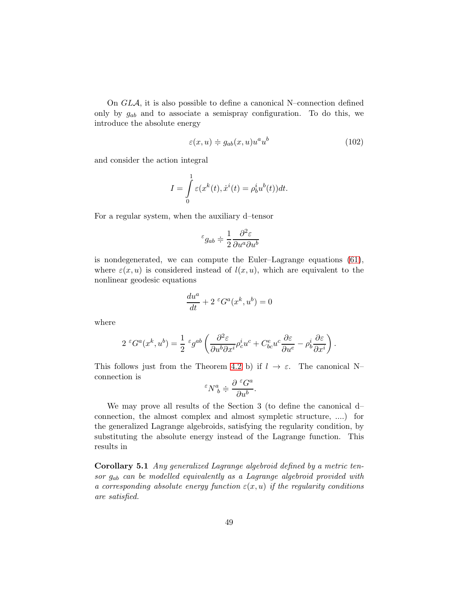On GLA, it is also possible to define a canonical N–connection defined only by  $g_{ab}$  and to associate a semispray configuration. To do this, we introduce the absolute energy

<span id="page-48-0"></span>
$$
\varepsilon(x, u) \doteqdot g_{ab}(x, u)u^a u^b \tag{102}
$$

and consider the action integral

$$
I = \int_{0}^{1} \varepsilon(x^{k}(t), \dot{x}^{i}(t) = \rho_{b}^{i} u^{b}(t)) dt.
$$

For a regular system, when the auxiliary d–tensor

$$
^{\varepsilon}g_{ab}\doteqdot \frac{1}{2}\frac{\partial ^{2}\varepsilon}{\partial u^{a}\partial u^{b}}
$$

is nondegenerated, we can compute the Euler–Lagrange equations [\(61\)](#page-33-0), where  $\varepsilon(x, u)$  is considered instead of  $l(x, u)$ , which are equivalent to the nonlinear geodesic equations

$$
\frac{du^a}{dt} + 2 \, \epsilon G^a(x^k, u^b) = 0
$$

where

$$
2 \, \, \mathcal{E} G^a(x^k, u^b) = \frac{1}{2} \, \mathcal{E} g^{ab} \left( \frac{\partial^2 \mathcal{E}}{\partial u^b \partial x^i} \rho^i_c u^c + C^e_{bc} u^c \frac{\partial \mathcal{E}}{\partial u^e} - \rho^i_b \frac{\partial \mathcal{E}}{\partial x^i} \right).
$$

This follows just from the Theorem [4.2](#page-34-0) b) if  $l \to \varepsilon$ . The canonical N– connection is

$$
^{\varepsilon}N^{a}_{\ b}\doteqdot \frac{\partial\ ^{\varepsilon}G^{a}}{\partial u^{b}}.
$$

We may prove all results of the Section 3 (to define the canonical d– connection, the almost complex and almost sympletic structure, ....) for the generalized Lagrange algebroids, satisfying the regularity condition, by substituting the absolute energy instead of the Lagrange function. This results in

Corollary 5.1 Any generalized Lagrange algebroid defined by a metric tensor gab can be modelled equivalently as a Lagrange algebroid provided with a corresponding absolute energy function  $\varepsilon(x, u)$  if the regularity conditions are satisfied.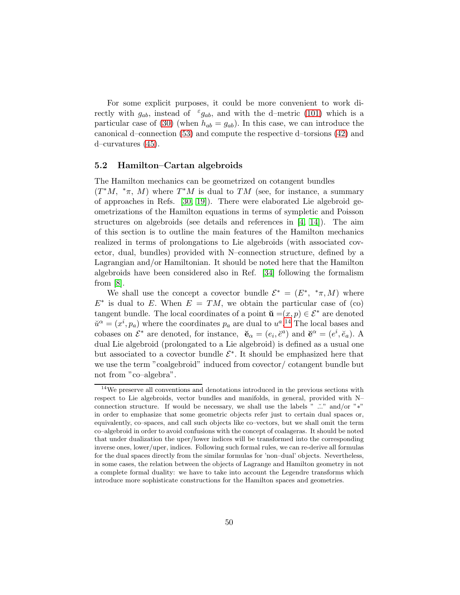For some explicit purposes, it could be more convenient to work directly with  $g_{ab}$ , instead of  $\epsilon_{gab}$ , and with the d-metric [\(101\)](#page-47-0) which is a particular case of [\(30\)](#page-21-0) (when  $h_{ab} = g_{ab}$ ). In this case, we can introduce the canonical d–connection [\(53\)](#page-28-0) and compute the respective d–torsions [\(42\)](#page-24-0) and d–curvatures [\(45\)](#page-25-0).

## 5.2 Hamilton–Cartan algebroids

The Hamilton mechanics can be geometrized on cotangent bundles

 $(T^*M, *_{\pi}, M)$  where  $T^*M$  is dual to TM (see, for instance, a summary of approaches in Refs. [\[30,](#page-71-3) [19\]](#page-70-0)). There were elaborated Lie algebroid geometrizations of the Hamilton equations in terms of sympletic and Poisson structures on algebroids (see details and references in [\[4,](#page-69-2) [14\]](#page-70-3)). The aim of this section is to outline the main features of the Hamilton mechanics realized in terms of prolongations to Lie algebroids (with associated covector, dual, bundles) provided with N–connection structure, defined by a Lagrangian and/or Hamiltonian. It should be noted here that the Hamilton algebroids have been considered also in Ref. [\[34\]](#page-71-4) following the formalism from  $|8|$ .

We shall use the concept a covector bundle  $\mathcal{E}^* = (E^*, * \pi, M)$  where  $E^*$  is dual to E. When  $E = TM$ , we obtain the particular case of (co) tangent bundle. The local coordinates of a point  $\mathbf{u} = (x, p) \in \mathcal{E}^*$  are denoted  $\check{u}^{\alpha} = (x^{i}, p_{a})$  where the coordinates  $p_{a}$  are dual to  $u^{a}$ .<sup>[14](#page-49-0)</sup> The local bases and cobases on  $\mathcal{E}^*$  are denoted, for instance,  $\breve{\mathbf{e}}_{\alpha} = (e_i, \breve{e}^a)$  and  $\breve{\mathbf{e}}^{\alpha} = (e^i, \breve{e}_a)$ . A dual Lie algebroid (prolongated to a Lie algebroid) is defined as a usual one but associated to a covector bundle  $\mathcal{E}^*$ . It should be emphasized here that we use the term "coalgebroid" induced from covector/ cotangent bundle but not from "co–algebra".

<span id="page-49-0"></span><sup>14</sup>We preserve all conventions and denotations introduced in the previous sections with respect to Lie algebroids, vector bundles and manifolds, in general, provided with N– connection structure. If would be necessary, we shall use the labels " $\therefore$ " and/or " $*$ " in order to emphasize that some geometric objects refer just to certain dual spaces or, equivalently, co–spaces, and call such objects like co–vectors, but we shall omit the term co–algebroid in order to avoid confusions with the concept of coalageras. It should be noted that under dualization the uper/lower indices will be transformed into the corresponding inverse ones, lower/uper, indices. Following such formal rules, we can re-derive all formulas for the dual spaces directly from the similar formulas for 'non–dual' objects. Nevertheless, in some cases, the relation between the objects of Lagrange and Hamilton geometry in not a complete formal duality: we have to take into account the Legendre transforms which introduce more sophisticate constructions for the Hamilton spaces and geometries.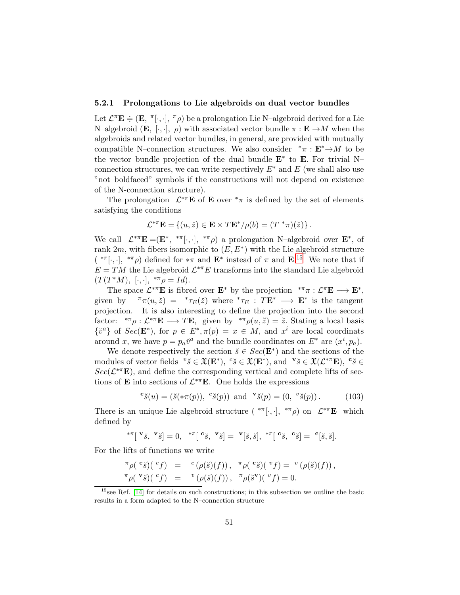## 5.2.1 Prolongations to Lie algebroids on dual vector bundles

Let  $\mathcal{L}^{\pi} \mathbf{E} \doteq (\mathbf{E}, \pi[\cdot, \cdot], \pi \rho)$  be a prolongation Lie N-algebroid derived for a Lie N–algebroid (**E**, [·,·],  $\rho$ ) with associated vector bundle  $\pi : \mathbf{E} \to M$  when the algebroids and related vector bundles, in general, are provided with mutually compatible N–connection structures. We also consider  $*\pi : \mathbf{E}^* \to M$  to be the vector bundle projection of the dual bundle  $E^*$  to  $E$ . For trivial N– connection structures, we can write respectively  $E^*$  and E (we shall also use "not–boldfaced" symbols if the constructions will not depend on existence of the N-connection structure).

The prolongation  $\mathcal{L}^{*\pi}E$  of **E** over  $^*\pi$  is defined by the set of elements satisfying the conditions

$$
\mathcal{L}^{*\pi} \mathbf{E} = \{ (u, \breve{z}) \in \mathbf{E} \times T \mathbf{E}^* / \rho(b) = (T^* \pi)(\breve{z}) \}.
$$

We call  $\mathcal{L}^{*\pi} \mathbf{E} = (\mathbf{E}^*, * \pi[\cdot, \cdot], * \pi \rho)$  a prolongation N-algebroid over  $\mathbf{E}^*$ , of rank  $2m$ , with fibers isomorphic to  $(E, E^*)$  with the Lie algebroid structure  $(*\pi[\cdot,\cdot], * \pi\rho)$  defined for  $*\pi$  and  $\mathbf{E}^*$  instead of  $\pi$  and  $\mathbf{E}$ .<sup>[15](#page-50-0)</sup> We note that if  $E = TM$  the Lie algebroid  $\mathcal{L}^{*\pi}E$  transforms into the standard Lie algebroid  $(T(T^*M), [\cdot, \cdot], {}^{*\pi}\rho = Id).$ 

The space  $\mathcal{L}^{*\pi} \mathbf{E}$  is fibred over  $\mathbf{E}^*$  by the projection  ${}^{*\pi}\pi : \mathcal{L}^{\pi} \mathbf{E} \longrightarrow \mathbf{E}^*$ , given by  $\pi \pi(u, \breve{z}) = *_{\tau_E}(\breve{z})$  where  $*_{\tau_E} : T\mathbf{E}^* \longrightarrow \mathbf{E}^*$  is the tangent projection. It is also interesting to define the projection into the second factor:  ${}^{*\pi}\rho : \mathcal{L}^{*\pi}E \longrightarrow TE$ , given by  ${}^{*\pi}\rho(u,\breve{z}) = \breve{z}$ . Stating a local basis  $\{\check{v}^a\}$  of  $Sec(\mathbf{E}^*)$ , for  $p \in E^*, \pi(p) = x \in M$ , and  $x^i$  are local coordinats around x, we have  $p = p_a \check{v}^a$  and the bundle coordinates on  $E^*$  are  $(x^i, p_a)$ .

We denote respectively the section  $\breve{s} \in Sec(\mathbf{E}^*)$  and the sections of the modules of vector fields  ${}^{v} \breve{s} \in \mathfrak{X}(\mathbf{E}^*), \ {}^{c} \breve{s} \in \mathfrak{X}(\mathbf{E}^*), \text{ and } {}^{v} \breve{s} \in \mathfrak{X}(\mathcal{L}^{*\pi}\mathbf{E}), \ {}^{c} \breve{s} \in$  $Sec(\mathcal{L}^{*\pi}\mathbf{E})$ , and define the corresponding vertical and complete lifts of sections of **E** into sections of  $\mathcal{L}^{*\pi}$ **E**. One holds the expressions

<span id="page-50-1"></span>
$$
\mathbf{c}\,\mathbf{\check{s}}(u) = (\mathbf{\check{s}}(*\pi(p)), \ ^{c}\mathbf{\check{s}}(p)) \text{ and } \ ^{\mathbf{v}}\mathbf{\check{s}}(p) = (0, \ ^{v}\mathbf{\check{s}}(p)).\tag{103}
$$

There is an unique Lie algebroid structure  $(*\pi[\cdot, \cdot], * \pi\rho)$  on  $\mathcal{L}^{*}\pi\mathbf{E}$  which defined by

$$
{}^{*\pi}[\mathbf{v}_{\breve{\mathcal{S}}},\mathbf{v}_{\breve{\mathcal{S}}}] = 0, \ {}^{*\pi}[\mathbf{c}_{\breve{\mathcal{S}}},\mathbf{v}_{\breve{\mathcal{S}}}] = \mathbf{v}_{\left[\breve{\mathcal{S}},\ \breve{\mathcal{S}}\right]}, \ {}^{*\pi}[\mathbf{c}_{\breve{\mathcal{S}}},\mathbf{c}_{\breve{\mathcal{S}}}] = \mathbf{c}_{\left[\breve{\mathcal{S}},\ \breve{\mathcal{S}}\right]}.
$$

For the lifts of functions we write

$$
\begin{array}{rcl}\n\pi \rho(\ ^{\mathbf{c}}\check{s})(\ ^{c}f)&=&^c\left(\rho(\check{s})(f)\right),\ \ \pi \rho(\ ^{\mathbf{c}}\check{s})(\ ^{v}f)=\ ^{v}\left(\rho(\check{s})(f)\right),\\
\pi \rho(\ ^{\mathbf{v}}\check{s})(\ ^{c}f)&=&^v\left(\rho(\check{s})(f)\right),\ \ \pi \rho(\check{s}^{\mathbf{v}})(\ ^{v}f)=0.\end{array}
$$

<span id="page-50-0"></span><sup>&</sup>lt;sup>15</sup>see Ref. [\[14\]](#page-70-3) for details on such constructions; in this subsection we outline the basic results in a form adapted to the N–connection structure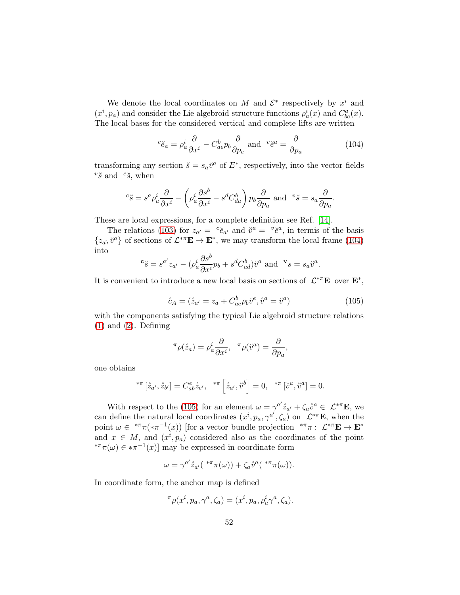We denote the local coordinates on M and  $\mathcal{E}^*$  respectively by  $x^i$  and  $(x^{i}, p_{a})$  and consider the Lie algebroid structure functions  $\rho_{a}^{i}(x)$  and  $C_{be}^{a}(x)$ . The local bases for the considered vertical and complete lifts are written

<span id="page-51-0"></span>
$$
{}^{c}\breve{e}_{a} = \rho_{a}^{i}\frac{\partial}{\partial x^{i}} - C_{ae}^{b}p_{b}\frac{\partial}{\partial p_{e}} \text{ and } {}^{v}\breve{e}^{a} = \frac{\partial}{\partial p_{a}} \tag{104}
$$

.

transforming any section  $\breve{s} = s_a \breve{v}^a$  of  $E^*$ , respectively, into the vector fields  $v\check{s}$  and  $c\check{s}$ , when

$$
{}^{c}\breve{s} = s^{a}\rho_{a}^{i}\frac{\partial}{\partial x^{i}} - \left(\rho_{a}^{i}\frac{\partial s^{b}}{\partial x^{i}} - s^{d}C_{da}^{b}\right)p_{b}\frac{\partial}{\partial p_{a}} \text{ and } {}^{v}\breve{s} = s_{a}\frac{\partial}{\partial p_{a}}
$$

These are local expressions, for a complete definition see Ref. [\[14\]](#page-70-3).

The relations [\(103\)](#page-50-1) for  $z_{a'} = {c \check{e}_{a'}}$  and  $\check{v}^a = {v \check{e}^a}$ , in termis of the basis  $\{z_{\alpha}, \check{v}^{\alpha}\}\$  of sections of  $\mathcal{L}^{*\pi}E \to E^*$ , we may transform the local frame [\(104\)](#page-51-0) into

$$
\mathbf{c}_{\breve{\mathcal{S}}} = s^{a'} z_{a'} - (\rho^i_a \frac{\partial s^b}{\partial x^i} p_b + s^d C^b_{ad}) \breve{v}^a \text{ and } \mathbf{v}_{\mathcal{S}} = s_a \breve{v}^a.
$$

It is convenient to introduce a new local basis on sections of  $\mathcal{L}^{*\pi}E$  over  $E^*$ ,

<span id="page-51-1"></span>
$$
\mathring{c}_A = (\mathring{z}_{a'} = z_a + C^b_{ae} p_b \mathring{v}^e, \mathring{v}^a = \mathring{v}^a)
$$
\n(105)

with the components satisfying the typical Lie algebroid structure relations  $(1)$  and  $(2)$ . Defining

$$
\pi \rho(\mathring{z}_a) = \rho_a^i \frac{\partial}{\partial x^i}, \quad \pi \rho(\mathring{v}^a) = \frac{\partial}{\partial p_a},
$$

one obtains

$$
{}^{*\pi} [\dot{z}_{a'}, \dot{z}_{b'}] = C^{e}_{ab} \dot{z}_{e'}, \ {}^{*\pi} [\dot{z}_{a'}, \ddot{v}^{b}] = 0, \ {}^{*\pi} [\ddot{v}^{a}, \ddot{v}^{a}] = 0.
$$

With respect to the [\(105\)](#page-51-1) for an element  $\omega = \gamma^{a'} \dot{z}_{a'} + \zeta_a \dot{v}^a \in \mathcal{L}^{*\pi} \mathbf{E}$ , we can define the natural local coordinates  $(x^{i}, p_{a}, \gamma^{a'}, \zeta_{a})$  on  $\mathcal{L}^{*\pi}E$ , when the point  $\omega \in {}^{*\pi}\pi({*}\pi^{-1}(x))$  [for a vector bundle projection  ${}^{*\pi}\pi$  :  $\mathcal{L}^{*\pi}\mathbf{E} \to \mathbf{E}^*$ and  $x \in M$ , and  $(x^i, p_a)$  considered also as the coordinates of the point <sup>\*\*</sup> $\pi(\omega) \in \pi^{-1}(x)$  may be expressed in coordinate form

$$
\omega = \gamma^{a'} \mathring{z}_{a'}({}^{\ast \pi}\pi(\omega)) + \zeta_a \mathring{v}^a({}^{\ast \pi}\pi(\omega)).
$$

In coordinate form, the anchor map is defined

$$
\pi \rho(x^i, p_a, \gamma^a, \zeta_a) = (x^i, p_a, \rho_a^i \gamma^a, \zeta_a).
$$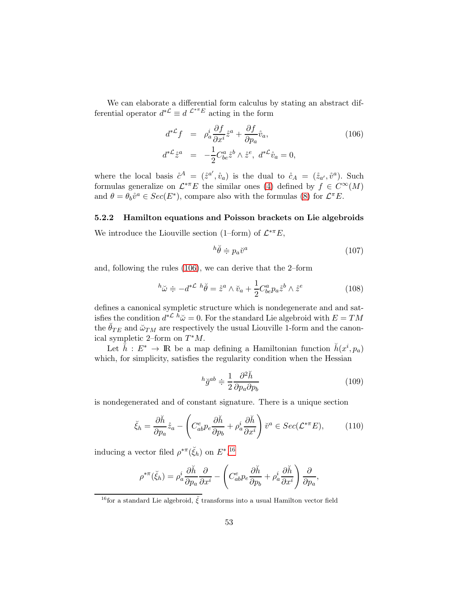We can elaborate a differential form calculus by stating an abstract differential operator  $d^{*{\mathcal{L}}} \equiv d^{ {\mathcal{L}}^{*{\pi_E}}}$  acting in the form

<span id="page-52-0"></span>
$$
d^{*}\mathcal{L}f = \rho_a^i \frac{\partial f}{\partial x^i} \dot{z}^a + \frac{\partial f}{\partial p_a} \dot{v}_a,
$$
  
\n
$$
d^{*}\mathcal{L}\dot{z}^a = -\frac{1}{2} C^a_{be} \dot{z}^b \wedge \dot{z}^e, \ d^{*}\mathcal{L}\dot{v}_a = 0,
$$
\n(106)

where the local basis  $\mathring{c}^A = (\mathring{z}^{a'}, \mathring{v}_a)$  is the dual to  $\mathring{c}_A = (\mathring{z}_{a'}, \mathring{v}^a)$ . Such formulas generalize on  $\mathcal{L}^{* \pi} E$  the similar ones [\(4\)](#page-8-0) defined by  $f \in C^{\infty}(M)$ and  $\theta = \theta_b \mathring{v}^a \in Sec(E^*)$ , compare also with the formulas [\(8\)](#page-11-0) for  $\mathcal{L}^{\pi}E$ .

#### 5.2.2 Hamilton equations and Poisson brackets on Lie algebroids

We introduce the Liouville section (1–form) of  $\mathcal{L}^{*\pi}E$ ,

<span id="page-52-4"></span>
$$
{}^{h}\breve{\theta} \doteqdot p_a \breve{v}^a \tag{107}
$$

and, following the rules [\(106\)](#page-52-0), we can derive that the 2–form

<span id="page-52-3"></span>
$$
{}^{h}\tilde{\omega} \doteqdot -d^{*{\mathcal{L}}} {}^{h}\breve{\theta} = \mathring{z}^{a} \wedge \breve{v}_{a} + \frac{1}{2} C^{a}_{be} p_{a} \mathring{z}^{b} \wedge \mathring{z}^{e}
$$
 (108)

defines a canonical sympletic structure which is nondegenerate and and satisfies the condition  $d^{*{\mathcal{L}}} h\ddot{\omega} = 0$ . For the standard Lie algebroid with  $E = TM$ the  $\ddot{\theta}_{TE}$  and  $\ddot{\omega}_{TM}$  are respectively the usual Liouville 1-form and the canonical sympletic 2-form on  $T^*M$ .

Let  $\check{h}: E^* \to \mathbb{R}$  be a map defining a Hamiltonian function  $\check{h}(x^i, p_a)$ which, for simplicity, satisfies the regularity condition when the Hessian

<span id="page-52-5"></span>
$$
{}^{h}\breve{g}^{ab} \doteqdot \frac{1}{2} \frac{\partial^2 \breve{h}}{\partial p_a \partial p_b} \tag{109}
$$

is nondegenerated and of constant signature. There is a unique section

<span id="page-52-2"></span>
$$
\breve{\xi}_h = \frac{\partial \breve{h}}{\partial p_a} \mathring{z}_a - \left( C^e_{ab} p_e \frac{\partial \breve{h}}{\partial p_b} + \rho^i_a \frac{\partial \breve{h}}{\partial x^i} \right) \breve{v}^a \in Sec(\mathcal{L}^{*\pi} E), \tag{110}
$$

inducing a vector filed  $\rho^{*\pi}(\check{\xi}_h)$  on  $E^*,^{16}$  $E^*,^{16}$  $E^*,^{16}$ 

$$
\rho^{*\pi}(\check{\xi}_h) = \rho_a^i \frac{\partial \check{h}}{\partial p_a} \frac{\partial}{\partial x^i} - \left( C^e_{ab} p_e \frac{\partial \check{h}}{\partial p_b} + \rho_a^i \frac{\partial \check{h}}{\partial x^i} \right) \frac{\partial}{\partial p_a},
$$

<span id="page-52-1"></span><sup>&</sup>lt;sup>16</sup>for a standard Lie algebroid,  $\check{\xi}$  transforms into a usual Hamilton vector field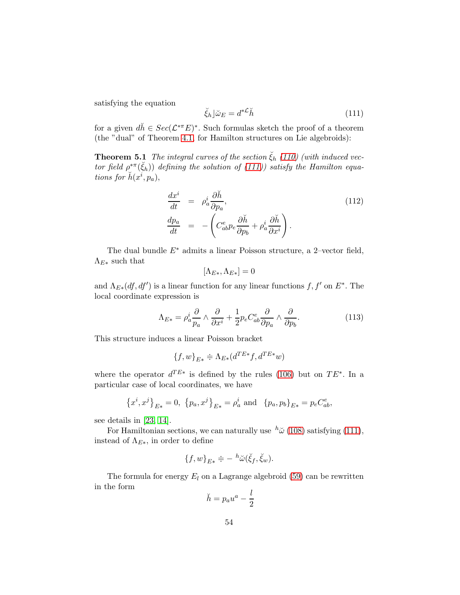satisfying the equation

<span id="page-53-0"></span>
$$
\check{\xi}_h \rfloor \check{\omega}_E = d^{* \mathcal{L}} \check{h} \tag{111}
$$

for a given  $d\check{h} \in Sec(\mathcal{L}^{*\pi}E)^*$ . Such formulas sketch the proof of a theorem (the "dual" of Theorem [4.1,](#page-33-1) for Hamilton structures on Lie algebroids):

**Theorem 5.1** The integral curves of the section  $\zeta_h$  [\(110\)](#page-52-2) (with induced vector field  $\rho^{*\pi}(\check{\xi}_h)$  defining the solution of [\(111\)](#page-53-0)) satisfy the Hamilton equations for  $\check{h}(x^i, p_a)$ ,

<span id="page-53-1"></span>
$$
\begin{array}{rcl}\n\frac{dx^{i}}{dt} & = & \rho_{a}^{i} \frac{\partial \check{h}}{\partial p_{a}}, \\
\frac{dp_{a}}{dt} & = & -\left(C_{ab}^{e} p_{e} \frac{\partial \check{h}}{\partial p_{b}} + \rho_{a}^{i} \frac{\partial \check{h}}{\partial x^{i}}\right).\n\end{array} \tag{112}
$$

The dual bundle  $E^*$  admits a linear Poisson structure, a 2–vector field,  $\Lambda_{E*}$  such that

$$
[\Lambda_{E*}, \Lambda_{E*}] = 0
$$

and  $\Lambda_{E*}(df, df')$  is a linear function for any linear functions  $f, f'$  on  $E^*$ . The local coordinate expression is

<span id="page-53-2"></span>
$$
\Lambda_{E*} = \rho_a^i \frac{\partial}{p_a} \wedge \frac{\partial}{\partial x^i} + \frac{1}{2} p_e C_{ab}^e \frac{\partial}{\partial p_a} \wedge \frac{\partial}{\partial p_b}.\tag{113}
$$

This structure induces a linear Poisson bracket

$$
\{f, w\}_{E*} \doteq \Lambda_{E*}(d^{TE*}f, d^{TE*}w)
$$

where the operator  $d^{TE*}$  is defined by the rules [\(106\)](#page-52-0) but on  $TE^*$ . In a particular case of local coordinates, we have

$$
\{x^i, x^j\}_{E*} = 0, \ \{p_a, x^j\}_{E*} = \rho_a^i \text{ and } \{p_a, p_b\}_{E*} = p_e C_{ab}^e,
$$

see details in [\[23,](#page-71-5) [14\]](#page-70-3).

For Hamiltonian sections, we can naturally use  $h\ddot{\omega}$  [\(108\)](#page-52-3) satisfying [\(111\)](#page-53-0), instead of  $\Lambda_{E*}$ , in order to define

$$
\{f,w\}_{E*} \doteqdot -{}^h\breve{\omega}(\breve{\xi}_f,\breve{\xi}_w).
$$

The formula for energy  $E_l$  on a Lagrange algebroid [\(59\)](#page-32-0) can be rewritten in the form

$$
\breve{h} = p_a u^a - \frac{l}{2}
$$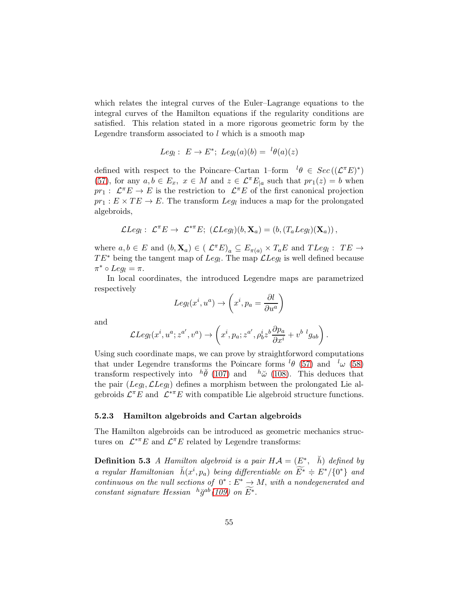which relates the integral curves of the Euler–Lagrange equations to the integral curves of the Hamilton equations if the regularity conditions are satisfied. This relation stated in a more rigorous geometric form by the Legendre transform associated to  $l$  which is a smooth map

$$
Leg_l: E \to E^*
$$
;  $Leg_l(a)(b) = {}^l\theta(a)(z)$ 

defined with respect to the Poincare–Cartan 1–form  ${}^{l}\theta \in Sec((\mathcal{L}^{\pi}E)^*)$ [\(57\)](#page-32-1), for any  $a, b \in E_x$ ,  $x \in M$  and  $z \in \mathcal{L}^{\pi}E_{|a}$  such that  $pr_1(z) = b$  when  $pr_1: \mathcal{L}^{\pi}E \to E$  is the restriction to  $\mathcal{L}^{\pi}E$  of the first canonical projection  $pr_1: E \times TE \rightarrow E$ . The transform  $Leg_l$  induces a map for the prolongated algebroids,

$$
\mathcal{L} Leg_l: \mathcal{L}^{\pi} E \to \mathcal{L}^{*\pi} E; (\mathcal{L} Leg_l)(b, \mathbf{X}_a) = (b, (T_a Leg_l)(\mathbf{X}_a)),
$$

where  $a, b \in E$  and  $(b, \mathbf{X}_a) \in ( \mathcal{L}^{\pi} E)_a \subseteq E_{\pi(a)} \times T_a E$  and  $TLeg_l : TE \rightarrow$  $TE^*$  being the tangent map of  $Leg_l$ . The map  $\mathcal{L}Leg_l$  is well defined because  $\pi^* \circ Leg_l = \pi.$ 

In local coordinates, the introduced Legendre maps are parametrized respectively

$$
Leg_l(x^i, u^a) \rightarrow \left(x^i, p_a = \frac{\partial l}{\partial u^a}\right)
$$

and

$$
\mathcal{L}Leg_l(x^i,u^a;z^{a'},v^a)\rightarrow \left(x^i,p_a;z^{a'},\rho_b^iz^b\frac{\partial p_a}{\partial x^i}+v^{b\;\;l}g_{ab}\right).
$$

Using such coordinate maps, we can prove by straightforword computations that under Legendre transforms the Poincare forms  ${}^{l}\theta$  [\(57\)](#page-32-1) and  ${}^{l}\omega$  [\(58\)](#page-32-2) transform respectively into  $h\check{\theta}$  [\(107\)](#page-52-4) and  $h\check{\omega}$  [\(108\)](#page-52-3). This deduces that the pair  $(Leg_l, \mathcal{L} Leg_l)$  defines a morphism between the prolongated Lie algebroids  $\mathcal{L}^{\pi}E$  and  $\mathcal{L}^{*\pi}E$  with compatible Lie algebroid structure functions.

#### 5.2.3 Hamilton algebroids and Cartan algebroids

The Hamilton algebroids can be introduced as geometric mechanics structures on  $\mathcal{L}^{*\pi}E$  and  $\mathcal{L}^{\pi}E$  related by Legendre transforms:

**Definition 5.3** A Hamilton algebroid is a pair  $H\mathcal{A} = (E^*, \bar{h})$  defined by a regular Hamiltonian  $\check{h}(x^i, p_a)$  being differentiable on  $\widetilde{E^*} \doteq E^* / \{0^*\}$  and continuous on the null sections of  $0^* : E^* \to M$ , with a nondegenerated and constant signature Hessian  $h \check{g}^{ab}(109)$  $h \check{g}^{ab}(109)$  on  $\widetilde{E^*}$ .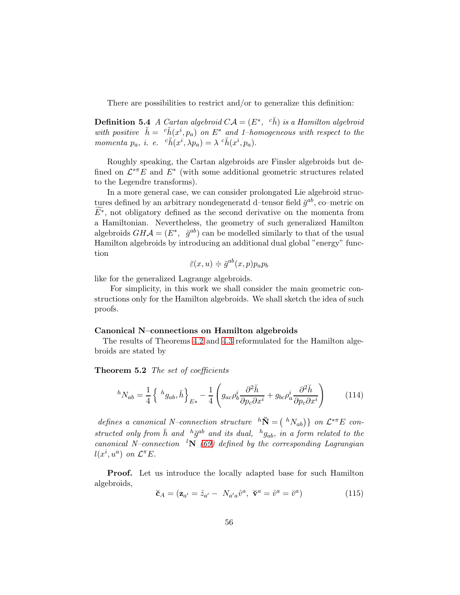There are possibilities to restrict and/or to generalize this definition:

**Definition 5.4** A Cartan algebroid  $CA = (E^*, e\check{h})$  is a Hamilton algebroid with positive  $\check{h} = c \check{h}(x^i, p_a)$  on  $E^*$  and 1-homogeneous with respect to the momenta  $p_a$ , i. e.  ${}^c\check{h}(x^i, \lambda p_a) = \lambda \; {}^c\check{h}(x^i, p_a)$ .

Roughly speaking, the Cartan algebroids are Finsler algebroids but defined on  $\mathcal{L}^{*\pi}E$  and  $E^*$  (with some additional geometric structures related to the Legendre transforms).

In a more general case, we can consider prolongated Lie algebroid structures defined by an arbitrary nondegeneratd d–tensor field  $\check{g}^{ab}$ , co–metric on  $E^*$ , not obligatory defined as the second derivative on the momenta from a Hamiltonian. Nevertheless, the geometry of such generalized Hamilton algebroids  $GHA = (E^*, \check{g}^{ab})$  can be modelled similarly to that of the usual Hamilton algebroids by introducing an additional dual global "energy" function

$$
\breve{\varepsilon}(x, u) \doteq \breve{g}^{ab}(x, p) p_a p_b
$$

like for the generalized Lagrange algebroids.

For simplicity, in this work we shall consider the main geometric constructions only for the Hamilton algebroids. We shall sketch the idea of such proofs.

#### Canonical N–connections on Hamilton algebroids

The results of Theorems [4.2](#page-34-0) and [4.3](#page-35-4) reformulated for the Hamilton algebroids are stated by

Theorem 5.2 The set of coefficients

<span id="page-55-0"></span>
$$
{}^{h}N_{ab} = \frac{1}{4} \left\{ {}^{h}g_{ab}, \check{h} \right\}_{E*} - \frac{1}{4} \left( g_{ac}\rho_b^i \frac{\partial^2 \check{h}}{\partial p_c \partial x^i} + g_{bc}\rho_a^i \frac{\partial^2 \check{h}}{\partial p_c \partial x^i} \right)
$$
(114)

defines a canonical N-connection structure  ${}^h\breve{N} = ({}^hN_{ab})\}$  on  $\mathcal{L}^{*\pi}E$  constructed only from  $\check{h}$  and  $h\check{g}^{ab}$  and its dual,  $h g_{ab}$ , in a form related to the canonical N–connection <sup>l</sup>N [\(69\)](#page-35-3) defined by the corresponding Lagrangian  $l(x^i, u^a)$  on  $\mathcal{L}^{\pi}E$ .

Proof. Let us introduce the locally adapted base for such Hamilton algebroids,

<span id="page-55-1"></span>
$$
\breve{\mathbf{c}}_A = (\mathbf{z}_{a'} = \mathring{z}_{a'} - N_{a'a}\mathring{v}^a, \ \breve{\mathbf{v}}^a = \mathring{v}^a = \mathring{v}^a)
$$
(115)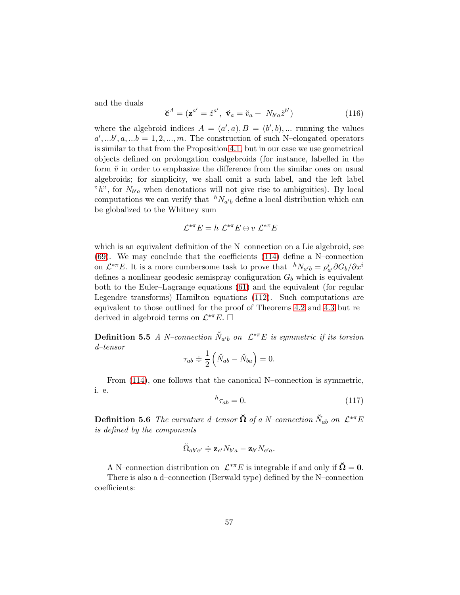and the duals

$$
\breve{\mathbf{c}}^A = (\mathbf{z}^{a'} = \mathring{z}^{a'}, \ \breve{\mathbf{v}}_a = \breve{v}_a + N_{b'a} \mathring{z}^{b'}) \tag{116}
$$

where the algebroid indices  $A = (a', a), B = (b', b), \dots$  running the values  $a',...b',a,...b = 1,2,...,m.$  The construction of such N–elongated operators is similar to that from the Proposition [4.1,](#page-36-5) but in our case we use geometrical objects defined on prolongation coalgebroids (for instance, labelled in the form  $\check{v}$  in order to emphasize the difference from the similar ones on usual algebroids; for simplicity, we shall omit a such label, and the left label " $h$ ", for  $N_{b'a}$  when denotations will not give rise to ambiguities). By local computations we can verify that  ${}^hN_{a'b}$  define a local distribution which can be globalized to the Whitney sum

$$
\mathcal{L}^{*\pi}E = h \ \mathcal{L}^{*\pi}E \oplus v \ \mathcal{L}^{*\pi}E
$$

which is an equivalent definition of the N–connection on a Lie algebroid, see [\(69\)](#page-35-3). We may conclude that the coefficients [\(114\)](#page-55-0) define a N–connection on  $\mathcal{L}^{*\pi}E$ . It is a more cumbersome task to prove that  ${}^hN_{a'b} = \rho^i_{a'}\partial G_b/\partial x^i$ defines a nonlinear geodesic semispray configuration  $G_b$  which is equivalent both to the Euler–Lagrange equations [\(61\)](#page-33-0) and the equivalent (for regular Legendre transforms) Hamilton equations [\(112\)](#page-53-1). Such computations are equivalent to those outlined for the proof of Theorems [4.2](#page-34-0) and [4.3](#page-35-4) but re– derived in algebroid terms on  $\mathcal{L}^{*\pi}E$ .  $\square$ 

**Definition 5.5** A N-connection  $\breve{N}_{a'b}$  on  $\mathcal{L}^{*\pi}E$  is symmetric if its torsion d–tensor

$$
\tau_{ab} \doteqdot \frac{1}{2} \left( \breve{N}_{ab} - \breve{N}_{ba} \right) = 0.
$$

From [\(114\)](#page-55-0), one follows that the canonical N–connection is symmetric, i. e.

<span id="page-56-0"></span>
$$
{}^h\tau_{ab}=0.\t\t(117)
$$

**Definition 5.6** The curvature d-tensor  $\check{\Omega}$  of a N-connection  $\check{N}_{ab}$  on  $\mathcal{L}^{*\pi}E$ is defined by the components

$$
\breve{\Omega}_{ab' e'} \doteqdot \mathbf{z}_{e'} N_{b'a} - \mathbf{z}_{b'} N_{e'a}.
$$

A N–connection distribution on  $\mathcal{L}^{*\pi}E$  is integrable if and only if  $\breve{\Omega} = 0$ .

There is also a d–connection (Berwald type) defined by the N–connection coefficients: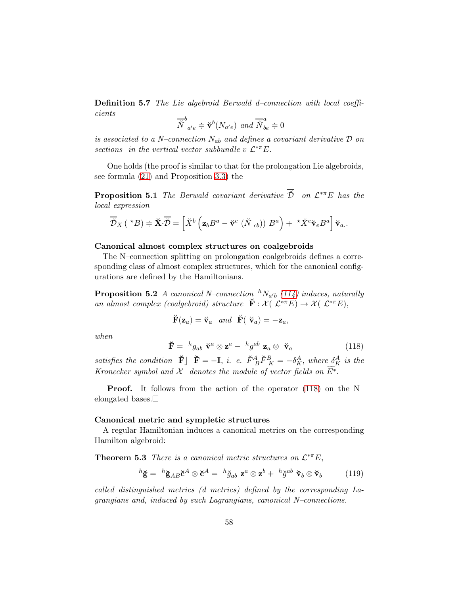Definition 5.7 The Lie algebroid Berwald d–connection with local coefficients

$$
\overline{\breve{N}}^{b}_{a'e} \doteqdot \mathbf{v}^{b}(N_{a'e}) \text{ and } \overline{\breve{N}}^{a}_{be} \doteqdot 0
$$

is associated to a N–connection  $N_{ab}$  and defines a covariant derivative  $\overline{\mathcal{D}}$  on sections in the vertical vector subbundle v  $\mathcal{L}^{*\pi}E$ .

One holds (the proof is similar to that for the prolongation Lie algebroids, see formula [\(21\)](#page-17-0) and Proposition [3.3\)](#page-18-0) the

**Proposition 5.1** The Berwald covariant derivative  $\check{\mathcal{D}}$  on  $\mathcal{L}^{*\pi}E$  has the local expression

$$
\overline{\check{\mathcal{D}}}_X(\star B)\doteqdot \mathbf{X}\cdot \overline{\check{\mathcal{D}}}=\left[\check{X}^b\left(\mathbf{z}_b B^a-\check{\mathbf{v}}^c\left(\check{N}_{cb}\right)\right) B^a\right)+\star \check{X}^e \check{\mathbf{v}}_e B^a\right]\check{\mathbf{v}}_a.
$$

### Canonical almost complex structures on coalgebroids

The N–connection splitting on prolongation coalgebroids defines a corresponding class of almost complex structures, which for the canonical configurations are defined by the Hamiltonians.

**Proposition 5.2** A canonical N-connection  ${}^hN_{a'b}$  [\(114\)](#page-55-0) induces, naturally an almost complex (coalgebroid) structure  $\check{F}: \mathcal{X}(\mathcal{L}^{*\pi}E) \to \mathcal{X}(\mathcal{L}^{*\pi}E),$ 

$$
\breve{\mathbf{F}}(\mathbf{z}_a) = \breve{\mathbf{v}}_a
$$
 and  $\breve{\mathbf{F}}(\breve{\mathbf{v}}_a) = -\mathbf{z}_a$ ,

when

<span id="page-57-0"></span>
$$
\breve{\mathbf{F}} = {}^{h}g_{ab} \; \breve{\mathbf{v}}^{a} \otimes \mathbf{z}^{a} - {}^{h}g^{ab} \; \mathbf{z}_{a} \otimes \; \breve{\mathbf{v}}_{a} \tag{118}
$$

satisfies the condition  $\check{\mathbf{F}}$   $\check{\mathbf{F}} = -\mathbf{I}$ , i. e.  $\check{F}^A_{\ B} \check{F}^B_{\ K} = -\delta^A_K$ , where  $\delta^A_K$  is the Kronecker symbol and X denotes the module of vector fields on  $\widetilde{E^*}$ .

**Proof.** It follows from the action of the operator  $(118)$  on the N– elongated bases. $\Box$ 

#### Canonical metric and sympletic structures

A regular Hamiltonian induces a canonical metrics on the corresponding Hamilton algebroid:

**Theorem 5.3** There is a canonical metric structures on  $\mathcal{L}^{*\pi}E$ ,

<span id="page-57-1"></span>
$$
{}^{h}\breve{\mathbf{g}} = {}^{h}\breve{\mathbf{g}}_{AB}\breve{\mathbf{c}}^{A} \otimes \breve{\mathbf{c}}^{A} = {}^{h}\breve{g}_{ab} \mathbf{z}^{a} \otimes \mathbf{z}^{b} + {}^{h}\breve{g}^{ab} \ \breve{\mathbf{v}}_{b} \otimes \breve{\mathbf{v}}_{b} \tag{119}
$$

called distinguished metrics (d–metrics) defined by the corresponding Lagrangians and, induced by such Lagrangians, canonical N–connections.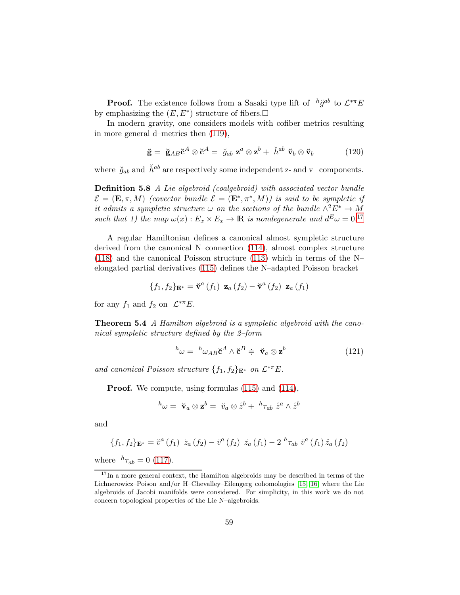**Proof.** The existence follows from a Sasaki type lift of  $h\check{g}^{ab}$  to  $\mathcal{L}^{*\pi}E$ by emphasizing the  $(E, E^*)$  structure of fibers.

In modern gravity, one considers models with cofiber metrics resulting in more general d–metrics then [\(119\)](#page-57-1),

<span id="page-58-1"></span>
$$
\breve{\mathbf{g}} = \breve{\mathbf{g}}_{AB} \breve{\mathbf{c}}^A \otimes \breve{\mathbf{c}}^A = \breve{g}_{ab} \mathbf{z}^a \otimes \mathbf{z}^b + \breve{h}^{ab} \breve{\mathbf{v}}_b \otimes \breve{\mathbf{v}}_b \tag{120}
$$

where  $\check{g}_{ab}$  and  $\check{h}^{ab}$  are respectively some independent z- and v– components.

Definition 5.8 A Lie algebroid (coalgebroid) with associated vector bundle  $\mathcal{E} = (\mathbf{E}, \pi, M)$  (covector bundle  $\mathcal{E} = (\mathbf{E}^*, \pi^*, M)$ ) is said to be sympletic if it admits a sympletic structure  $\omega$  on the sections of the bundle  $\wedge^2 E^* \to M$ such that 1) the map  $\omega(x): E_x \times E_x \to \mathbb{R}$  is nondegenerate and  $d^E \omega = 0.17$  $d^E \omega = 0.17$ 

A regular Hamiltonian defines a canonical almost sympletic structure derived from the canonical N–connection [\(114\)](#page-55-0), almost complex structure [\(118\)](#page-57-0) and the canonical Poisson structure [\(113\)](#page-53-2) which in terms of the N– elongated partial derivatives [\(115\)](#page-55-1) defines the N–adapted Poisson bracket

$$
\{f_1, f_2\}_{\mathbf{E}^*} = \check{\mathbf{v}}^a \left(f_1\right) \mathbf{z}_a \left(f_2\right) - \check{\mathbf{v}}^a \left(f_2\right) \mathbf{z}_a \left(f_1\right)
$$

for any  $f_1$  and  $f_2$  on  $\mathcal{L}^{*\pi}E$ .

**Theorem 5.4** A Hamilton algebroid is a sympletic algebroid with the canonical sympletic structure defined by the 2–form

$$
{}^{h}\omega = {}^{h}\omega_{AB}\breve{\mathbf{c}}^{A} \wedge \breve{\mathbf{c}}^{B} \doteqdot \ \breve{\mathbf{v}}_{a} \otimes \mathbf{z}^{b} \tag{121}
$$

and canonical Poisson structure  $\{f_1, f_2\}_{\mathbf{E}^*}$  on  $\mathcal{L}^{*\pi}E$ .

Proof. We compute, using formulas [\(115\)](#page-55-1) and [\(114\)](#page-55-0),

$$
{}^h\omega = \; \breve{\mathbf{v}}_a \otimes \mathbf{z}^b = \; \breve{v}_a \otimes \mathbf{\mathring{z}}^b + \; {}^h\tau_{ab} \; \mathbf{\mathring{z}}^a \wedge \mathbf{\mathring{z}}^b
$$

and

$$
\{f_1, f_2\}_{\mathbf{E}^*} = \check{v}^a \,(f_1) \, \dot{z}_a \,(f_2) - \check{v}^a \,(f_2) \, \dot{z}_a \,(f_1) - 2 \, h_{\tau_{ab}} \, \check{v}^a \,(f_1) \dot{z}_a \,(f_2)
$$

where  $h_{\tau_{ab}} = 0$  [\(117\)](#page-56-0).

<span id="page-58-0"></span> $17$ In a more general context, the Hamilton algebroids may be described in terms of the Lichnerowicz–Poison and/or H–Chevalley–Eilengerg cohomologies [\[15,](#page-70-4) [16\]](#page-70-5) where the Lie algebroids of Jacobi manifolds were considered. For simplicity, in this work we do not concern topological properties of the Lie N–algebroids.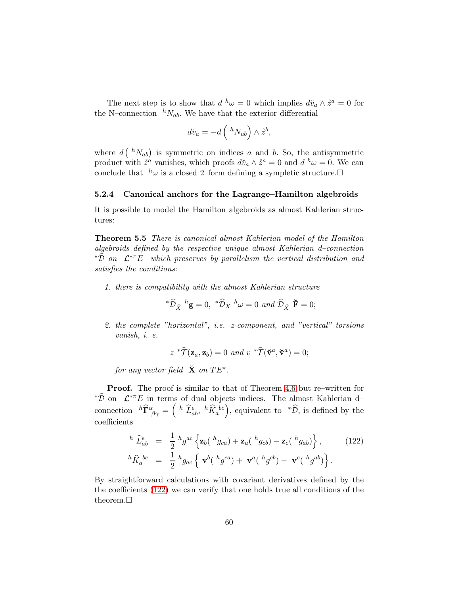The next step is to show that  $d^h \omega = 0$  which implies  $d\check{v}_a \wedge \check{z}^a = 0$  for the N–connection  ${}^hN_{ab}$ . We have that the exterior differential

$$
d\breve{v}_a = -d\left(\ ^hN_{ab}\right)\wedge \mathring{z}^b,
$$

where  $d\left(\sqrt[h]N_{ab}\right)$  is symmetric on indices a and b. So, the antisymmetric product with  $\mathring{z}^{\hat{a}}$  vanishes, which proofs  $d\mathring{v}_a \wedge \mathring{z}^{\hat{a}} = 0$  and  $d^h \omega = 0$ . We can conclude that  $h\omega$  is a closed 2–form defining a sympletic structure.

## 5.2.4 Canonical anchors for the Lagrange–Hamilton algebroids

It is possible to model the Hamilton algebroids as almost Kahlerian structures:

Theorem 5.5 There is canonical almost Kahlerian model of the Hamilton algebroids defined by the respective unique almost Kahlerian d–connection \* $\widehat{\mathcal{D}}$  on  $\mathcal{L}^{* \pi} E$  which preserves by parallelism the vertical distribution and satisfies the conditions:

1. there is compatibility with the almost Kahlerian structure

$$
{}^*\widehat{\mathcal{D}}_{\breve{X}}{}^h\mathbf{g} = 0, {}^*\widehat{\mathcal{D}}_X{}^h\omega = 0 \text{ and } \widehat{\mathcal{D}}_{\breve{X}}{}^{\check{}}\breve{\mathbf{F}} = 0;
$$

2. the complete "horizontal", i.e. z-component, and "vertical" torsions vanish, i. e.

$$
z \ {}^*\widehat{\mathcal{T}}(\mathbf{z}_a,\mathbf{z}_b) = 0 \ and \ v \ {}^*\widehat{\mathcal{T}}(\breve{\mathbf{v}}^a,\breve{\mathbf{v}}^a) = 0;
$$

for any vector field  $\check{\mathbf{X}}$  on  $TE^*$ .

Proof. The proof is similar to that of Theorem [4.6](#page-41-0) but re–written for \* $\widehat{\mathcal{D}}$  on  $\mathcal{L}^{* \pi} E$  in terms of dual objects indices. The almost Kahlerian d– connection  ${}^h\widehat{\Gamma}^{\alpha}_{\beta\gamma} = \left( \begin{array}{cc} h \ \widehat{L}^e_{ab}, \ h\widehat{K}_a{}^{bc} \end{array} \right)$ , equivalent to  ${}^*\widehat{\mathcal{D}}$ , is defined by the coefficients

<span id="page-59-0"></span>
$$
{}^{h}\widehat{L}_{ab}^{e} = \frac{1}{2} {}^{h}g^{ac} \left\{ \mathbf{z}_{b}({}^{h}g_{ca}) + \mathbf{z}_{a}({}^{h}g_{cb}) - \mathbf{z}_{c}({}^{h}g_{ab}) \right\}, \qquad (122)
$$
  

$$
{}^{h}\widehat{K}_{a}{}^{bc} = \frac{1}{2} {}^{h}g_{ac} \left\{ \mathbf{v}^{b}({}^{h}g^{ca}) + \mathbf{v}^{a}({}^{h}g^{cb}) - \mathbf{v}^{c}({}^{h}g^{ab}) \right\}.
$$

By straightforward calculations with covariant derivatives defined by the the coefficients [\(122\)](#page-59-0) we can verify that one holds true all conditions of the theorem.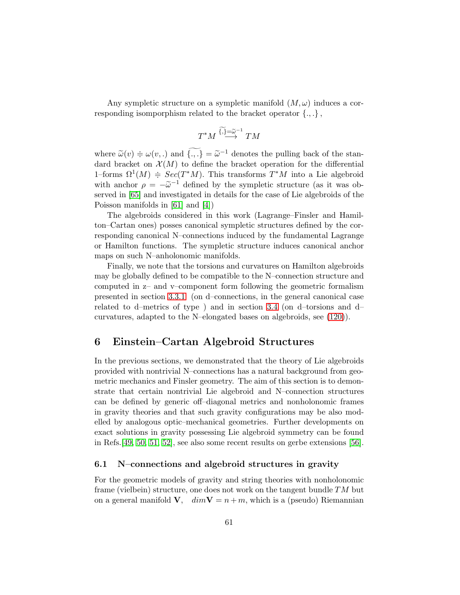Any sympletic structure on a sympletic manifold  $(M, \omega)$  induces a corresponding isomporphism related to the bracket operator  $\{.,.\}$ ,

$$
T^*M \overset{\widetilde{\{,\}}=\widetilde{\omega}^{-1}}{\longrightarrow} TM
$$

where  $\widetilde{\omega}(v) \doteq \omega(v,.)$  and  $\{.,.\} = \widetilde{\omega}^{-1}$  denotes the pulling back of the standard bracket on  $\mathcal{X}(M)$  to define the bracket operation for the differential 1–forms  $\Omega^1(M) \doteqneq Sec(T^*M)$ . This transforms  $T^*M$  into a Lie algebroid with anchor  $\rho = -\tilde{\omega}^{-1}$  defined by the sympletic structure (as it was observed in [\[65\]](#page-74-0) and investigated in details for the case of Lie algebroids of the Poisson manifolds in [\[61\]](#page-74-1) and [\[4\]](#page-69-2))

The algebroids considered in this work (Lagrange–Finsler and Hamilton–Cartan ones) posses canonical sympletic structures defined by the corresponding canonical N–connections induced by the fundamental Lagrange or Hamilton functions. The sympletic structure induces canonical anchor maps on such N–anholonomic manifolds.

Finally, we note that the torsions and curvatures on Hamilton algebroids may be globally defined to be compatible to the N–connection structure and computed in z– and v–component form following the geometric formalism presented in section [3.3.1](#page-19-0) (on d–connections, in the general canonical case related to d–metrics of type ) and in section [3.4](#page-23-2) (on d–torsions and d– curvatures, adapted to the N–elongated bases on algebroids, see [\(120\)](#page-58-1)).

# 6 Einstein–Cartan Algebroid Structures

In the previous sections, we demonstrated that the theory of Lie algebroids provided with nontrivial N–connections has a natural background from geometric mechanics and Finsler geometry. The aim of this section is to demonstrate that certain nontrivial Lie algebroid and N–connection structures can be defined by generic off–diagonal metrics and nonholonomic frames in gravity theories and that such gravity configurations may be also modelled by analogous optic–mechanical geometries. Further developments on exact solutions in gravity possessing Lie algebroid symmetry can be found in Refs.[\[49,](#page-73-0) [50,](#page-73-1) [51,](#page-73-2) [52\]](#page-73-3), see also some recent results on gerbe extensions [\[56\]](#page-73-4).

## 6.1 N–connections and algebroid structures in gravity

For the geometric models of gravity and string theories with nonholonomic frame (vielbein) structure, one does not work on the tangent bundle  $TM$  but on a general manifold **V**,  $dim$ **V** =  $n + m$ , which is a (pseudo) Riemannian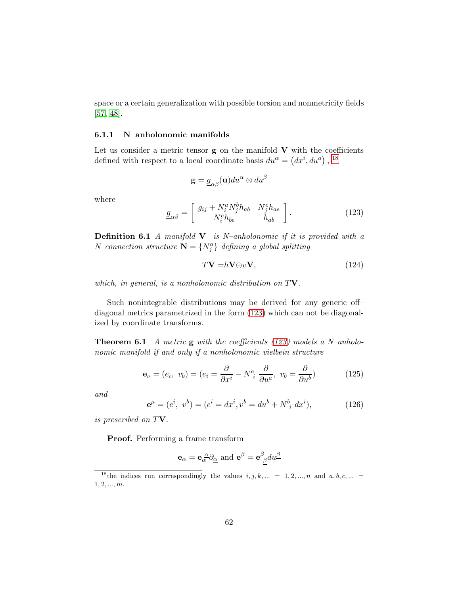space or a certain generalization with possible torsion and nonmetricity fields [\[57,](#page-73-5) [48\]](#page-72-1).

### 6.1.1 N–anholonomic manifolds

Let us consider a metric tensor  $g$  on the manifold  $V$  with the coefficients defined with respect to a local coordinate basis  $du^{\alpha} = (dx^{i}, du^{a})$ , <sup>[18](#page-61-0)</sup>

$$
\mathbf{g} = \underline{g}_{\alpha\beta}(\mathbf{u}) du^\alpha \otimes du^\beta
$$

where

<span id="page-61-1"></span>
$$
\underline{g}_{\alpha\beta} = \begin{bmatrix} g_{ij} + N_i^a N_j^b h_{ab} & N_j^e h_{ae} \\ N_i^e h_{be} & h_{ab} \end{bmatrix}.
$$
 (123)

**Definition 6.1** A manifold  $V$  is N–anholonomic if it is provided with a *N*-connection structure  $N = \{N_j^a\}$  defining a global splitting

<span id="page-61-4"></span>
$$
T\mathbf{V} = h\mathbf{V} \oplus v\mathbf{V},\tag{124}
$$

which, in general, is a nonholonomic distribution on  $T\mathbf{V}$ .

Such nonintegrable distributions may be derived for any generic off– diagonal metrics parametrized in the form [\(123\)](#page-61-1) which can not be diagonalized by coordinate transforms.

**Theorem 6.1** A metric **g** with the coefficients  $(123)$  models a N-anholonomic manifold if and only if a nonholonomic vielbein structure

<span id="page-61-2"></span>
$$
\mathbf{e}_{\nu} = (e_i, v_b) = (e_i = \frac{\partial}{\partial x^i} - N^a_i \frac{\partial}{\partial u^a}, v_b = \frac{\partial}{\partial u^b})
$$
(125)

and

<span id="page-61-3"></span>
$$
\mathbf{e}^{\mu} = (e^i, v^b) = (e^i = dx^i, v^b = du^b + N^b{}_i dx^i), \tag{126}
$$

is prescribed on TV.

Proof. Performing a frame transform

$$
\mathbf{e}_{\alpha} = \mathbf{e}_{\alpha}^{\ \alpha} \partial_{\underline{\alpha}}
$$
 and  $\mathbf{e}^{\beta} = \mathbf{e}^{\beta}_{\ \underline{\beta}} du^{\underline{\beta}}$ 

<span id="page-61-0"></span><sup>&</sup>lt;sup>18</sup>the indices run correspondingly the values  $i, j, k, ... = 1, 2, ..., n$  and  $a, b, c, ...$  $1, 2, ..., m$ .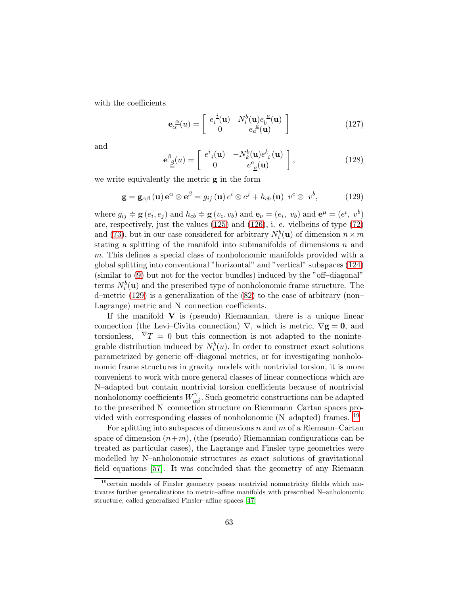with the coefficients

<span id="page-62-2"></span>
$$
\mathbf{e}_{\alpha}^{\ \alpha}(u) = \begin{bmatrix} e_i^{\ i}(\mathbf{u}) & N_i^b(\mathbf{u})e_b^{\ a}(\mathbf{u}) \\ 0 & e_a^{\ a}(\mathbf{u}) \end{bmatrix}
$$
 (127)

and

<span id="page-62-3"></span>
$$
\mathbf{e}_{\underline{\beta}}^{\beta}(u) = \begin{bmatrix} e^{i}_{\underline{i}}(\mathbf{u}) & -N_{k}^{b}(\mathbf{u})e^{k}_{\underline{i}}(\mathbf{u}) \\ 0 & e^{a}_{\underline{a}}(\mathbf{u}) \end{bmatrix},
$$
(128)

we write equivalently the metric g in the form

<span id="page-62-0"></span>
$$
\mathbf{g} = \mathbf{g}_{\alpha\beta} \left( \mathbf{u} \right) \mathbf{e}^{\alpha} \otimes \mathbf{e}^{\beta} = g_{ij} \left( \mathbf{u} \right) e^{i} \otimes e^{j} + h_{cb} \left( \mathbf{u} \right) v^{c} \otimes v^{b}, \tag{129}
$$

where  $g_{ij} \doteq \mathbf{g}(e_i, e_j)$  and  $h_{cb} \doteq \mathbf{g}(v_c, v_b)$  and  $\mathbf{e}_{\nu} = (e_i, v_b)$  and  $\mathbf{e}^{\mu} = (e^i, v^b)$ are, respectively, just the values [\(125\)](#page-61-2) and [\(126\)](#page-61-3), i. e. vielbeins of type [\(72\)](#page-36-1) and [\(73\)](#page-36-2), but in our case considered for arbitrary  $N_i^b(\mathbf{u})$  of dimension  $n \times m$ stating a splitting of the manifold into submanifolds of dimensions  $n$  and m. This defines a special class of nonholonomic manifolds provided with a global splitting into conventional "horizontal" and "vertical" subspaces [\(124\)](#page-61-4) (similar to [\(9\)](#page-12-0) but not for the vector bundles) induced by the "off–diagonal" terms  $N_i^b(\mathbf{u})$  and the prescribed type of nonholonomic frame structure. The d–metric [\(129\)](#page-62-0) is a generalization of the [\(82\)](#page-38-0) to the case of arbitrary (non– Lagrange) metric and N–connection coefficients.

If the manifold  $V$  is (pseudo) Riemannian, there is a unique linear connection (the Levi–Civita connection)  $\nabla$ , which is metric,  $\nabla$ **g** = **0**, and torsionless,  $\nabla T = 0$  but this connection is not adapted to the nonintegrable distribution induced by  $N_i^b(u)$ . In order to construct exact solutions parametrized by generic off–diagonal metrics, or for investigating nonholonomic frame structures in gravity models with nontrivial torsion, it is more convenient to work with more general classes of linear connections which are N–adapted but contain nontrivial torsion coefficients because of nontrivial nonholonomy coefficients  $W_{\alpha\beta}^{\gamma}$ . Such geometric constructions can be adapted to the prescribed N–connection structure on Riemmann–Cartan spaces pro-vided with corresponding classes of nonholonomic (N–adapted) frames. <sup>[19](#page-62-1)</sup>

For splitting into subspaces of dimensions n and  $m$  of a Riemann–Cartan space of dimension  $(n+m)$ , (the (pseudo) Riemannian configurations can be treated as particular cases), the Lagrange and Finsler type geometries were modelled by N–anholonomic structures as exact solutions of gravitational field equations [\[57\]](#page-73-5). It was concluded that the geometry of any Riemann

<span id="page-62-1"></span><sup>&</sup>lt;sup>19</sup>certain models of Finsler geometry posses nontrivial nonmetricity filelds which motivates further generalizations to metric–affine manifolds with prescribed N–anholonomic structure, called generalized Finsler–affine spaces [\[47\]](#page-72-2)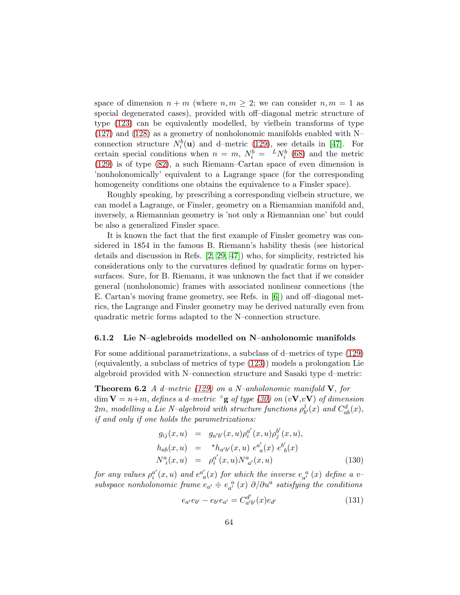space of dimension  $n + m$  (where  $n, m \geq 2$ ; we can consider  $n, m = 1$  as special degenerated cases), provided with off–diagonal metric structure of type [\(123\)](#page-61-1) can be equivalently modelled, by vielbein transforms of type [\(127\)](#page-62-2) and [\(128\)](#page-62-3) as a geometry of nonholonomic manifolds enabled with N– connection structure  $N_i^b(\mathbf{u})$  and d–metric [\(129\)](#page-62-0), see details in [\[47\]](#page-72-2). For certain special conditions when  $n = m$ ,  $N_i^b = {}^L N_i^b$  [\(68\)](#page-35-2) and the metric [\(129\)](#page-62-0) is of type [\(82\)](#page-38-0), a such Riemann–Cartan space of even dimension is 'nonholonomically' equivalent to a Lagrange space (for the corresponding homogeneity conditions one obtains the equivalence to a Finsler space).

Roughly speaking, by prescribing a corresponding vielbein structure, we can model a Lagrange, or Finsler, geometry on a Riemannian manifold and, inversely, a Riemannian geometry is 'not only a Riemannian one' but could be also a generalized Finsler space.

It is known the fact that the first example of Finsler geometry was considered in 1854 in the famous B. Riemann's hability thesis (see historical details and discussion in Refs. [\[2,](#page-69-1) [29,](#page-71-1) [47\]](#page-72-2)) who, for simplicity, restricted his considerations only to the curvatures defined by quadratic forms on hypersurfaces. Sure, for B. Riemann, it was unknown the fact that if we consider general (nonholonomic) frames with associated nonlinear connections (the E. Cartan's moving frame geometry, see Refs. in [\[6\]](#page-69-4)) and off–diagonal metrics, the Lagrange and Finsler geometry may be derived naturally even from quadratic metric forms adapted to the N–connection structure.

#### 6.1.2 Lie N–aglebroids modelled on N–anholonomic manifolds

For some additional parametrizations, a subclass of d–metrics of type [\(129\)](#page-62-0) (equivalently, a subclass of metrics of type [\(123\)](#page-61-1)) models a prolongation Lie algebroid provided with N–connection structure and Sasaki type d–metric:

<span id="page-63-2"></span>**Theorem 6.2** A d–metric [\(129\)](#page-62-0) on a N–anholonomic manifold  $V$ , for dim  $V = n+m$ , defines a d–metric  $\log$  of type [\(30\)](#page-21-0) on (vV,vV) of dimension  $2m$ , modelling a Lie N–algebroid with structure functions  $\rho_h^j$  $_{b^{\prime }}^{j}(x)$  and  $C_{ab}^{d}(x),$ if and only if one holds the parametrizations:

<span id="page-63-0"></span>
$$
g_{ij}(x, u) = g_{a'b'}(x, u)\rho_i^{a'}(x, u)\rho_j^{b'}(x, u),
$$
  
\n
$$
h_{ab}(x, u) = \kappa h_{a'b'}(x, u) e_{a}^{a'}(x) e_{b}^{b'}(x)
$$
  
\n
$$
N_{i}^{a}(x, u) = \rho_i^{a'}(x, u)N_{a'}^{a}(x, u)
$$
\n(130)

for any values  $\rho_i^{a'}$  $a_i^{a'}(x,u)$  and  $e^{a'}_a$  $a_{a}^{\prime}(x)$  for which the inverse  $e_{a^{\prime}}^{a}(x)$  define a vsubspace nonholonomic frame  $e_{a'} \doteq e_{a'}^{a}(x) \partial/\partial u^{a}$  satisfying the conditions

<span id="page-63-1"></span>
$$
e_{a'}e_{b'} - e_{b'}e_{a'} = C_{a'b'}^{d'}(x)e_{d'}
$$
\n(131)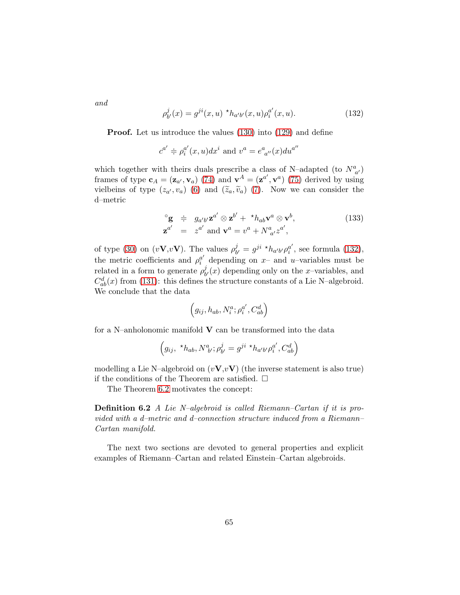and

<span id="page-64-0"></span>
$$
\rho_{b'}^j(x) = g^{ji}(x, u) \, ^\star h_{a'b'}(x, u) \rho_i^{a'}(x, u). \tag{132}
$$

**Proof.** Let us introduce the values  $(130)$  into  $(129)$  and define

$$
c^{a'} \doteqdot \rho_i^{a'}(x, u) dx^i
$$
 and 
$$
v^a = e^a{}_{a''}(x) du^{a''}
$$

which together with theirs duals prescribe a class of N–adapted (to  $N^a_{a'}$ ) frames of type  $\mathbf{c}_A = (\mathbf{z}_{a'}, \mathbf{v}_a)$  [\(74\)](#page-36-3) and  $\mathbf{v}^A = (\mathbf{z}^{a'}, \mathbf{v}^a)$  [\(75\)](#page-36-4) derived by using vielbeins of type  $(z_{a'}, v_a)$  [\(6\)](#page-10-0) and  $(\tilde{z}_a, \tilde{v}_a)$  [\(7\)](#page-10-1). Now we can consider the d–metric

<span id="page-64-1"></span>
$$
\begin{array}{rcl}\n\mathbf{g} & \doteqdot & g_{a'b'} \mathbf{z}^{a'} \otimes \mathbf{z}^{b'} + \mathbf{A}_{ab} \mathbf{v}^a \otimes \mathbf{v}^b, \\
\mathbf{z}^{a'} & = & z^{a'} \text{ and } \mathbf{v}^a = v^a + N^a_{\ a'} z^{a'},\n\end{array} \tag{133}
$$

of type [\(30\)](#page-21-0) on  $(vV, vV)$ . The values  $\rho_h^j$  $j_{b'}^j = g^{ji} \, {}^{\star}h_{a'b'}\rho_i^{a'}$  $_i^a$ , see formula [\(132\)](#page-64-0), the metric coefficients and  $\rho_i^{a'}$  depending on x- and u-variables must be related in a form to generate  $\rho_h^j$  $\partial_{b'}^{\jmath}(x)$  depending only on the x-variables, and  $C_{ab}^{d}(x)$  from [\(131\)](#page-63-1): this defines the structure constants of a Lie N–algebroid. We conclude that the data

$$
\Big(g_{ij},h_{ab},N^a_i;\rho^{a'}_i,C^d_{ab}\Big)
$$

for a N–anholonomic manifold  $V$  can be transformed into the data

$$
(g_{ij}, \, {}^{\star}h_{ab}, N^a_{\;b'}; \rho_{b'}^j = g^{ji} \, {}^{\star}h_{a'b'}\rho_i^{a'}, C^d_{ab})
$$

modelling a Lie N–algebroid on  $(v\mathbf{V}, v\mathbf{V})$  (the inverse statement is also true) if the conditions of the Theorem are satisfied.  $\Box$ 

The Theorem [6.2](#page-63-2) motivates the concept:

Definition 6.2 A Lie N–algebroid is called Riemann–Cartan if it is provided with a d–metric and d–connection structure induced from a Riemann– Cartan manifold.

The next two sections are devoted to general properties and explicit examples of Riemann–Cartan and related Einstein–Cartan algebroids.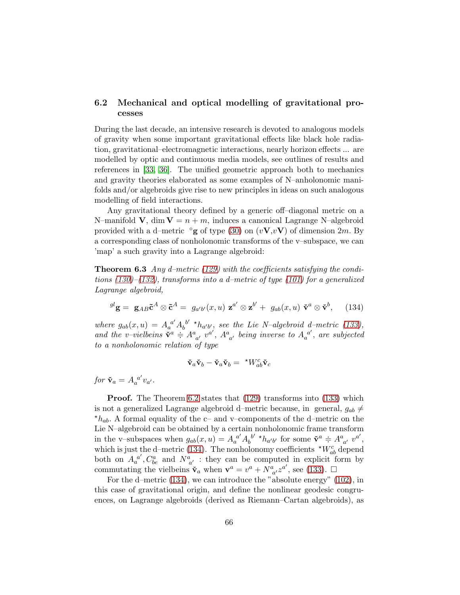## 6.2 Mechanical and optical modelling of gravitational processes

During the last decade, an intensive research is devoted to analogous models of gravity when some important gravitational effects like black hole radiation, gravitational–electromagnetic interactions, nearly horizon effects ... are modelled by optic and continuous media models, see outlines of results and references in [\[33,](#page-71-6) [36\]](#page-71-7). The unified geometric approach both to mechanics and gravity theories elaborated as some examples of N–anholonomic manifolds and/or algebroids give rise to new principles in ideas on such analogous modelling of field interactions.

Any gravitational theory defined by a generic off–diagonal metric on a N–manifold **V**, dim  $V = n + m$ , induces a canonical Lagrange N–algebroid provided with a d–metric  $\circ$ g of type [\(30\)](#page-21-0) on  $(vV,vV)$  of dimension 2m. By a corresponding class of nonholonomic transforms of the v–subspace, we can 'map' a such gravity into a Lagrange algebroid:

**Theorem 6.3** Any d–metric [\(129\)](#page-62-0) with the coefficients satisfying the conditions  $(130)$ – $(132)$ , transforms into a d–metric of type  $(101)$  for a generalized Lagrange algebroid,

<span id="page-65-0"></span>
$$
{}^{gl}\mathbf{g} = \mathbf{g}_{AB}\tilde{\mathbf{c}}^{A} \otimes \tilde{\mathbf{c}}^{A} = g_{a'b'}(x, u) \mathbf{z}^{a'} \otimes \mathbf{z}^{b'} + g_{ab}(x, u) \tilde{\mathbf{v}}^{a} \otimes \tilde{\mathbf{v}}^{b}, \quad (134)
$$

where  $g_{ab}(x, u) = A_a^{a'} A_b^{b'}$  $b^{b'}$  \* $h_{a'b'}$ , see the Lie N-algebroid d-metric [\(133\)](#page-64-1), and the v–vielbeins  $\ddot{\mathbf{v}}^a \doteqdot A^a_{a'} v^{a'}, A^a_{a'}$  being inverse to  $A_a^{a'}$  $a^{a'}$ , are subjected to a nonholonomic relation of type

$$
\mathbf{\check{v}}_a \mathbf{\check{v}}_b - \mathbf{\check{v}}_a \mathbf{\check{v}}_b = \sqrt[k]{W_{ab}^c} \mathbf{\check{v}}_c
$$

for  $\mathbf{\check{v}}_a = A_a^{a'}$  $a^{a'}v_{a'}$ .

**Proof.** The Theorem [6.2](#page-63-2) states that  $(129)$  transforms into  $(133)$  which is not a generalized Lagrange algebroid d–metric because, in general,  $g_{ab} \neq$  $\star h_{ab}$ . A formal equality of the c– and v–components of the d–metric on the Lie N–algebroid can be obtained by a certain nonholonomic frame transform in the v–subspaces when  $g_{ab}(x, u) = A_a^{a'} A_b^{b'}$  $b^{b'} \star h_{a'b'}$  for some  $\check{\mathbf{v}}^a \doteqdot A^a_{a'} v^{a'},$ which is just the d–metric [\(134\)](#page-65-0). The nonholonomy coefficients  $\tau_{ab}^{V_c}$  depend both on  $A_a^{a'}$  $a'$ ,  $C_{be}^a$  and  $N_{a'}^a$ : they can be computed in explicit form by commutating the vielbeins  $\mathbf{\check{v}}_a$  when  $\mathbf{v}^a = v^a + N^a_{\ a'} z^{a'}$ , see [\(133\)](#page-64-1).  $\Box$ 

For the d–metric [\(134\)](#page-65-0), we can introduce the "absolute energy" [\(102\)](#page-48-0), in this case of gravitational origin, and define the nonlinear geodesic congruences, on Lagrange algebroids (derived as Riemann–Cartan algebroids), as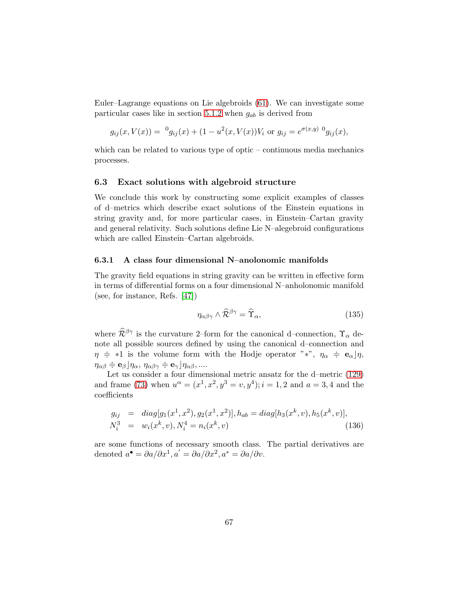Euler–Lagrange equations on Lie algebroids [\(61\)](#page-33-0). We can investigate some particular cases like in section [5.1.2](#page-47-1) when  $g_{ab}$  is derived from

$$
g_{ij}(x, V(x)) = {}^{0}g_{ij}(x) + (1 - u^{2}(x, V(x))V_{i}
$$
 or  $g_{ij} = e^{\sigma(x,y) {}^{0}g_{ij}(x)}$ ,

which can be related to various type of optic – continuous media mechanics processes.

## 6.3 Exact solutions with algebroid structure

We conclude this work by constructing some explicit examples of classes of d–metrics which describe exact solutions of the Einstein equations in string gravity and, for more particular cases, in Einstein–Cartan gravity and general relativity. Such solutions define Lie N–alegebroid configurations which are called Einstein–Cartan algebroids.

## 6.3.1 A class four dimensional N–anolonomic manifolds

The gravity field equations in string gravity can be written in effective form in terms of differential forms on a four dimensional N–anholonomic manifold (see, for instance, Refs. [\[47\]](#page-72-2))

<span id="page-66-0"></span>
$$
\eta_{\alpha\beta\gamma} \wedge \widehat{\mathcal{R}}^{\beta\gamma} = \widehat{\Upsilon}_{\alpha},\tag{135}
$$

where  $\widehat{\mathcal{R}}^{\beta\gamma}$  is the curvature 2–form for the canonical d–connection,  $\Upsilon_{\alpha}$  denote all possible sources defined by using the canonical d–connection and  $\eta \doteq *1$  is the volume form with the Hodje operator "\*",  $\eta_{\alpha} \doteq \mathbf{e}_{\alpha} | \eta$ ,  $\eta_{\alpha\beta} \doteqdot \mathbf{e}_{\beta} \rfloor \eta_{\alpha}, \, \eta_{\alpha\beta\gamma} \doteqdot \mathbf{e}_{\gamma} \rfloor \eta_{\alpha\beta}, \dots$ 

Let us consider a four dimensional metric ansatz for the d–metric [\(129\)](#page-62-0) and frame [\(73\)](#page-36-2) when  $u^{\alpha} = (x^1, x^2, y^3 = v, y^4); i = 1, 2$  and  $a = 3, 4$  and the coefficients

<span id="page-66-1"></span>
$$
g_{ij} = diag[g_1(x^1, x^2), g_2(x^1, x^2)], h_{ab} = diag[h_3(x^k, v), h_5(x^k, v)],
$$
  

$$
N_i^3 = w_i(x^k, v), N_i^4 = n_i(x^k, v)
$$
 (136)

<span id="page-66-2"></span>are some functions of necessary smooth class. The partial derivatives are denoted  $a^{\bullet} = \partial a/\partial x^1, a' = \partial a/\partial x^2, a^* = \partial a/\partial v.$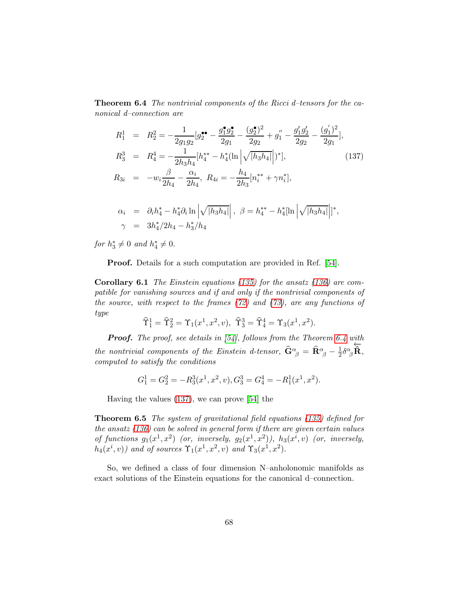Theorem 6.4 The nontrivial components of the Ricci d-tensors for the canonical d–connection are

<span id="page-67-0"></span>
$$
R_1^1 = R_2^2 = -\frac{1}{2g_1g_2}[g_2^{\bullet \bullet} - \frac{g_1^{\bullet}g_2^{\bullet}}{2g_1} - \frac{(g_2^{\bullet})^2}{2g_2} + g_1'' - \frac{g_1'g_2'}{2g_2} - \frac{(g_1')^2}{2g_1}],
$$
  
\n
$$
R_3^3 = R_4^4 = -\frac{1}{2h_3h_4}[h_4^{**} - h_4^* (\ln |\sqrt{|h_3h_4|}|)^*],
$$
  
\n
$$
R_{3i} = -w_i \frac{\beta}{2h_4} - \frac{\alpha_i}{2h_4}, R_{4i} = -\frac{h_4}{2h_3}[n_i^{**} + \gamma n_i^*],
$$
  
\n
$$
\alpha_i = \partial_i h_4^* - h_4^* \partial_i \ln |\sqrt{|h_3h_4|}|, \ \beta = h_4^{**} - h_4^* [\ln |\sqrt{|h_3h_4|}]^*,
$$
\n(137)

for  $h_3^* \neq 0$  and  $h_4^* \neq 0$ .

 $\gamma = 3h_4^*/2h_4 - h_3^*/h_4$ 

Proof. Details for a such computation are provided in Ref. [\[54\]](#page-73-6).

**Corollary 6.1** The Einstein equations [\(135\)](#page-66-0) for the ansatz [\(136\)](#page-66-1) are compatible for vanishing sources and if and only if the nontrivial components of the source, with respect to the frames  $(72)$  and  $(73)$ , are any functions of type

$$
\widehat{\Upsilon}_1^1 = \widehat{\Upsilon}_2^2 = \Upsilon_1(x^1, x^2, v), \ \widehat{\Upsilon}_3^3 = \widehat{\Upsilon}_4^4 = \Upsilon_3(x^1, x^2).
$$

**Proof.** The proof, see details in  $[54]$ , follows from the Theorem [6.4](#page-66-2) with the nontrivial components of the Einstein d-tensor,  $\widehat{\mathbf{G}}^{\alpha}_{\ \beta}=\widehat{\mathbf{R}}^{\alpha}_{\ \beta}-\frac{1}{2}$  $\frac{1}{2}\delta^\alpha_{\phantom{\alpha}\beta}$  $\overleftarrow{\mathbf{\hat{R}}},$ computed to satisfy the conditions

$$
G_1^1 = G_2^2 = -R_3^3(x^1, x^2, v), G_3^3 = G_4^4 = -R_1^1(x^1, x^2).
$$

<span id="page-67-1"></span>Having the values [\(137\)](#page-67-0), we can prove [\[54\]](#page-73-6) the

Theorem 6.5 The system of gravitational field equations [\(135\)](#page-66-0) defined for the ansatz [\(136\)](#page-66-1) can be solved in general form if there are given certain values of functions  $g_1(x^1, x^2)$  (or, inversely,  $g_2(x^1, x^2)$ ),  $h_3(x^i, v)$  (or, inversely,  $h_4(x^i, v)$  and of sources  $\Upsilon_1(x^1, x^2, v)$  and  $\Upsilon_3(x^1, x^2)$ .

So, we defined a class of four dimension N–anholonomic manifolds as exact solutions of the Einstein equations for the canonical d–connection.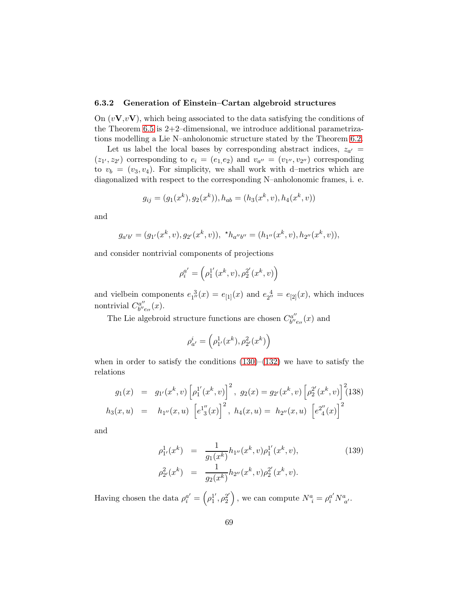## 6.3.2 Generation of Einstein–Cartan algebroid structures

On  $(vV, vV)$ , which being associated to the data satisfying the conditions of the Theorem [6.5](#page-67-1) is  $2+2$ -dimensional, we introduce additional parametrizations modelling a Lie N–anholonomic structure stated by the Theorem [6.2.](#page-63-2)

Let us label the local bases by corresponding abstract indices,  $z_{a'} =$  $(z_1, z_2)$  corresponding to  $e_i = (e_1, e_2)$  and  $v_{a''} = (v_{1''}, v_{2''})$  corresponding to  $v_b = (v_3, v_4)$ . For simplicity, we shall work with d–metrics which are diagonalized with respect to the corresponding N–anholonomic frames, i. e.

$$
g_{ij} = (g_1(x^k), g_2(x^k)), h_{ab} = (h_3(x^k, v), h_4(x^k, v))
$$

and

$$
g_{a'b'} = (g_{1'}(x^k, v), g_{2'}(x^k, v)), *h_{a''b''} = (h_{1''}(x^k, v), h_{2''}(x^k, v)),
$$

and consider nontrivial components of projections

$$
\rho^{a'}_i = \left(\rho^{1'}_1(x^k, v), \rho^{2'}_2(x^k, v)\right)
$$

and vielbein components  $e_{1}^{3}(x) = e_{1}(x)$  and  $e_{2}^{4} = e_{2}(x)$ , which induces nontrivial  $C_{b''}^{a''}$  $_{b^{\prime\prime}e_{\prime\prime}}^{a^{\prime\prime}}(x).$ 

The Lie algebroid structure functions are chosen  $C_{b''}^{a''}$  $b^{\prime\prime}e_{\prime\prime}(x)$  and

$$
\rho_{a'}^i = \left(\rho_{1'}^1(x^k), \rho_{2'}^2(x^k)\right)
$$

when in order to satisfy the conditions  $(130)$ – $(132)$  we have to satisfy the relations

<span id="page-68-0"></span>
$$
g_1(x) = g_{1'}(x^k, v) \left[ \rho_1^{1'}(x^k, v) \right]^2, \ g_2(x) = g_{2'}(x^k, v) \left[ \rho_2^{2'}(x^k, v) \right]^2 (138)
$$

$$
h_3(x, u) = h_{1''}(x, u) \left[ e^{1''}_{3}(x) \right]^2, \ h_4(x, u) = h_{2''}(x, u) \left[ e^{2''}_{4}(x) \right]^2
$$

and

<span id="page-68-1"></span>
$$
\rho_{1'}^1(x^k) = \frac{1}{g_1(x^k)} h_{1''}(x^k, v) \rho_1^{1'}(x^k, v),
$$
\n
$$
\rho_{2'}^2(x^k) = \frac{1}{g_2(x^k)} h_{2''}(x^k, v) \rho_2^{2'}(x^k, v).
$$
\n(139)

Having chosen the data  $\rho_i^{a'} = \left(\rho_1^{1'}\right)$  $_1^1', \rho_2^{2'}$ 2 ), we can compute  $N^a_{\ i} = \rho_i^{a'} N^a_{\ a'}$ .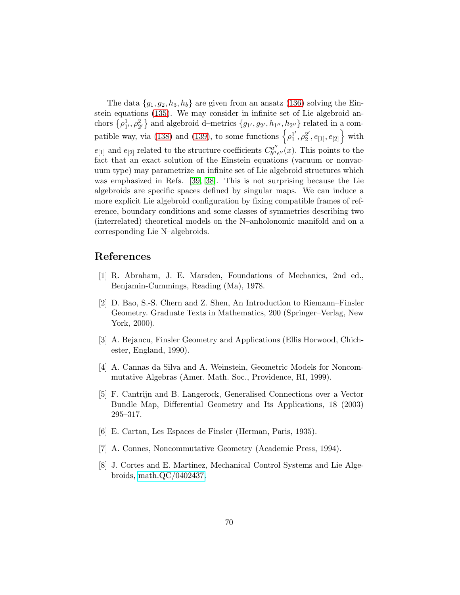The data  $\{g_1, g_2, h_3, h_b\}$  are given from an ansatz [\(136\)](#page-66-1) solving the Einstein equations [\(135\)](#page-66-0). We may consider in infinite set of Lie algebroid anchors  $\{\rho_1^1, \rho_2^2\}$  and algebroid d–metrics  $\{g_{1'}, g_{2'}, h_{1''}, h_{2''}\}$  related in a com-patible way, via [\(138\)](#page-68-0) and [\(139\)](#page-68-1), to some functions  $\left\{ \rho_1^1 \right\}$  $j'$ ,  $\rho_2^{2'}$  $\left\{ \begin{array}{c} 2', e_{[1]}, e_{[2]} \end{array} \right\}$  with  $e_{[1]}$  and  $e_{[2]}$  related to the structure coefficients  $C^{a''}_{b''b}$  $b^{\prime\prime}e^{\prime\prime}(x)$ . This points to the fact that an exact solution of the Einstein equations (vacuum or nonvacuum type) may parametrize an infinite set of Lie algebroid structures which was emphasized in Refs. [\[39,](#page-72-4) [38\]](#page-72-5). This is not surprising because the Lie algebroids are specific spaces defined by singular maps. We can induce a more explicit Lie algebroid configuration by fixing compatible frames of reference, boundary conditions and some classes of symmetries describing two (interrelated) theoretical models on the N–anholonomic manifold and on a corresponding Lie N–algebroids.

# References

- <span id="page-69-1"></span>[1] R. Abraham, J. E. Marsden, Foundations of Mechanics, 2nd ed., Benjamin-Cummings, Reading (Ma), 1978.
- [2] D. Bao, S.-S. Chern and Z. Shen, An Introduction to Riemann–Finsler Geometry. Graduate Texts in Mathematics, 200 (Springer–Verlag, New York, 2000).
- <span id="page-69-0"></span>[3] A. Bejancu, Finsler Geometry and Applications (Ellis Horwood, Chichester, England, 1990).
- <span id="page-69-2"></span>[4] A. Cannas da Silva and A. Weinstein, Geometric Models for Noncommutative Algebras (Amer. Math. Soc., Providence, RI, 1999).
- [5] F. Cantrijn and B. Langerock, Generalised Connections over a Vector Bundle Map, Differential Geometry and Its Applications, 18 (2003) 295–317.
- <span id="page-69-4"></span>[6] E. Cartan, Les Espaces de Finsler (Herman, Paris, 1935).
- <span id="page-69-3"></span>[7] A. Connes, Noncommutative Geometry (Academic Press, 1994).
- [8] J. Cortes and E. Martinez, Mechanical Control Systems and Lie Algebroids, [math.QC/0402437.](http://arxiv.org/abs/math/0402437)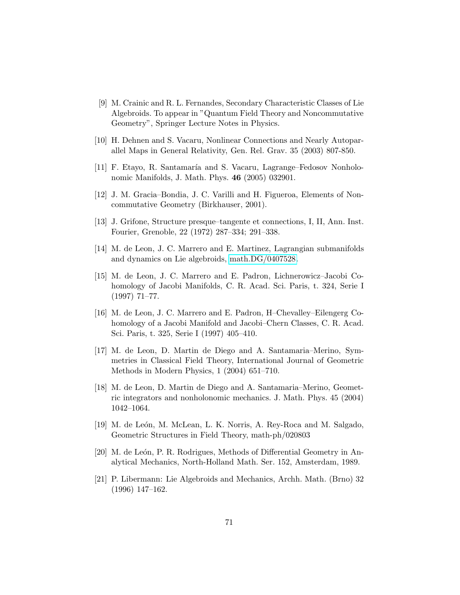- [9] M. Crainic and R. L. Fernandes, Secondary Characteristic Classes of Lie Algebroids. To appear in "Quantum Field Theory and Noncommutative Geometry", Springer Lecture Notes in Physics.
- <span id="page-70-2"></span>[10] H. Dehnen and S. Vacaru, Nonlinear Connections and Nearly Autoparallel Maps in General Relativity, Gen. Rel. Grav. 35 (2003) 807-850.
- [11] F. Etayo, R. Santamaría and S. Vacaru, Lagrange–Fedosov Nonholonomic Manifolds, J. Math. Phys. 46 (2005) 032901.
- [12] J. M. Gracia–Bondia, J. C. Varilli and H. Figueroa, Elements of Noncommutative Geometry (Birkhauser, 2001).
- <span id="page-70-3"></span>[13] J. Grifone, Structure presque–tangente et connections, I, II, Ann. Inst. Fourier, Grenoble, 22 (1972) 287–334; 291–338.
- <span id="page-70-4"></span>[14] M. de Leon, J. C. Marrero and E. Martinez, Lagrangian submanifolds and dynamics on Lie algebroids, [math.DG/0407528.](http://arxiv.org/abs/math/0407528)
- [15] M. de Leon, J. C. Marrero and E. Padron, Lichnerowicz–Jacobi Cohomology of Jacobi Manifolds, C. R. Acad. Sci. Paris, t. 324, Serie I (1997) 71–77.
- <span id="page-70-5"></span>[16] M. de Leon, J. C. Marrero and E. Padron, H–Chevalley–Eilengerg Cohomology of a Jacobi Manifold and Jacobi–Chern Classes, C. R. Acad. Sci. Paris, t. 325, Serie I (1997) 405–410.
- [17] M. de Leon, D. Martin de Diego and A. Santamaria–Merino, Symmetries in Classical Field Theory, International Journal of Geometric Methods in Modern Physics, 1 (2004) 651–710.
- [18] M. de Leon, D. Martin de Diego and A. Santamaria–Merino, Geometric integrators and nonholonomic mechanics. J. Math. Phys. 45 (2004) 1042–1064.
- <span id="page-70-0"></span>[19] M. de León, M. McLean, L. K. Norris, A. Rey-Roca and M. Salgado, Geometric Structures in Field Theory, math-ph/020803
- <span id="page-70-1"></span>[20] M. de León, P. R. Rodrigues, Methods of Differential Geometry in Analytical Mechanics, North-Holland Math. Ser. 152, Amsterdam, 1989.
- [21] P. Libermann: Lie Algebroids and Mechanics, Archh. Math. (Brno) 32 (1996) 147–162.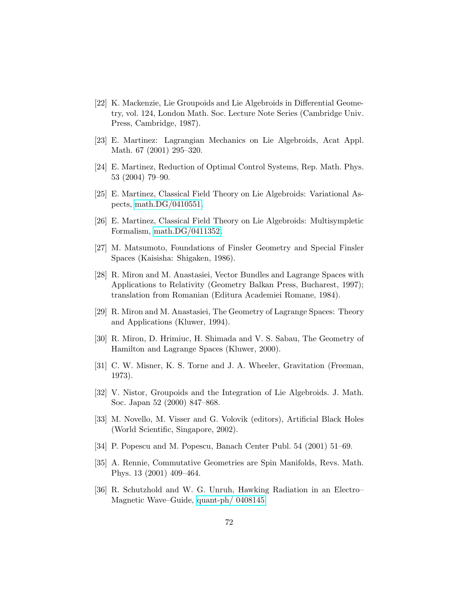- [22] K. Mackenzie, Lie Groupoids and Lie Algebroids in Differential Geometry, vol. 124, London Math. Soc. Lecture Note Series (Cambridge Univ. Press, Cambridge, 1987).
- <span id="page-71-5"></span>[23] E. Martinez: Lagrangian Mechanics on Lie Algebroids, Acat Appl. Math. 67 (2001) 295–320.
- [24] E. Martinez, Reduction of Optimal Control Systems, Rep. Math. Phys. 53 (2004) 79–90.
- [25] E. Martinez, Classical Field Theory on Lie Algebroids: Variational Aspects, [math.DG/0410551.](http://arxiv.org/abs/math/0410551)
- <span id="page-71-2"></span>[26] E. Martinez, Classical Field Theory on Lie Algebroids: Multisympletic Formalism, [math.DG/0411352.](http://arxiv.org/abs/math/0411352)
- <span id="page-71-0"></span>[27] M. Matsumoto, Foundations of Finsler Geometry and Special Finsler Spaces (Kaisisha: Shigaken, 1986).
- [28] R. Miron and M. Anastasiei, Vector Bundles and Lagrange Spaces with Applications to Relativity (Geometry Balkan Press, Bucharest, 1997); translation from Romanian (Editura Academiei Romane, 1984).
- <span id="page-71-3"></span><span id="page-71-1"></span>[29] R. Miron and M. Anastasiei, The Geometry of Lagrange Spaces: Theory and Applications (Kluwer, 1994).
- [30] R. Miron, D. Hrimiuc, H. Shimada and V. S. Sabau, The Geometry of Hamilton and Lagrange Spaces (Kluwer, 2000).
- [31] C. W. Misner, K. S. Torne and J. A. Wheeler, Gravitation (Freeman, 1973).
- [32] V. Nistor, Groupoids and the Integration of Lie Algebroids. J. Math. Soc. Japan 52 (2000) 847–868.
- <span id="page-71-6"></span>[33] M. Novello, M. Visser and G. Volovik (editors), Artificial Black Holes (World Scientific, Singapore, 2002).
- <span id="page-71-4"></span>[34] P. Popescu and M. Popescu, Banach Center Publ. 54 (2001) 51–69.
- [35] A. Rennie, Commutative Geometries are Spin Manifolds, Revs. Math. Phys. 13 (2001) 409–464.
- <span id="page-71-7"></span>[36] R. Schutzhold and W. G. Unruh, Hawking Radiation in an Electro– Magnetic Wave–Guide, [quant-ph/ 0408145.](http://arxiv.org/abs/quant-ph/0408145)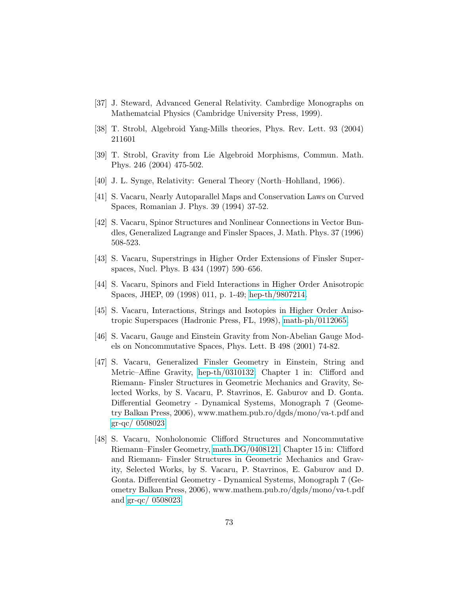- [37] J. Steward, Advanced General Relativity. Cambrdige Monographs on Mathematcial Physics (Cambridge University Press, 1999).
- [38] T. Strobl, Algebroid Yang-Mills theories, Phys. Rev. Lett. 93 (2004) 211601
- [39] T. Strobl, Gravity from Lie Algebroid Morphisms, Commun. Math. Phys. 246 (2004) 475-502.
- [40] J. L. Synge, Relativity: General Theory (North–Hohlland, 1966).
- [41] S. Vacaru, Nearly Autoparallel Maps and Conservation Laws on Curved Spaces, Romanian J. Phys. 39 (1994) 37-52.
- [42] S. Vacaru, Spinor Structures and Nonlinear Connections in Vector Bundles, Generalized Lagrange and Finsler Spaces, J. Math. Phys. 37 (1996) 508-523.
- [43] S. Vacaru, Superstrings in Higher Order Extensions of Finsler Superspaces, Nucl. Phys. B 434 (1997) 590–656.
- [44] S. Vacaru, Spinors and Field Interactions in Higher Order Anisotropic Spaces, JHEP, 09 (1998) 011, p. 1-49; [hep-th/9807214.](http://arxiv.org/abs/hep-th/9807214)
- [45] S. Vacaru, Interactions, Strings and Isotopies in Higher Order Anisotropic Superspaces (Hadronic Press, FL, 1998), [math-ph/0112065.](http://arxiv.org/abs/math-ph/0112065)
- [46] S. Vacaru, Gauge and Einstein Gravity from Non-Abelian Gauge Models on Noncommutative Spaces, Phys. Lett. B 498 (2001) 74-82.
- [47] S. Vacaru, Generalized Finsler Geometry in Einstein, String and Metric–Affine Gravity, [hep-th/0310132;](http://arxiv.org/abs/hep-th/0310132) Chapter 1 in: Clifford and Riemann- Finsler Structures in Geometric Mechanics and Gravity, Selected Works, by S. Vacaru, P. Stavrinos, E. Gaburov and D. Gonta. Differential Geometry - Dynamical Systems, Monograph 7 (Geometry Balkan Press, 2006), www.mathem.pub.ro/dgds/mono/va-t.pdf and [gr-qc/ 0508023.](http://arxiv.org/abs/gr-qc/0508023)
- [48] S. Vacaru, Nonholonomic Clifford Structures and Noncommutative Riemann–Finsler Geometry, [math.DG/0408121.](http://arxiv.org/abs/math/0408121) Chapter 15 in: Clifford and Riemann- Finsler Structures in Geometric Mechanics and Gravity, Selected Works, by S. Vacaru, P. Stavrinos, E. Gaburov and D. Gonta. Differential Geometry - Dynamical Systems, Monograph 7 (Geometry Balkan Press, 2006), www.mathem.pub.ro/dgds/mono/va-t.pdf and [gr-qc/ 0508023.](http://arxiv.org/abs/gr-qc/0508023)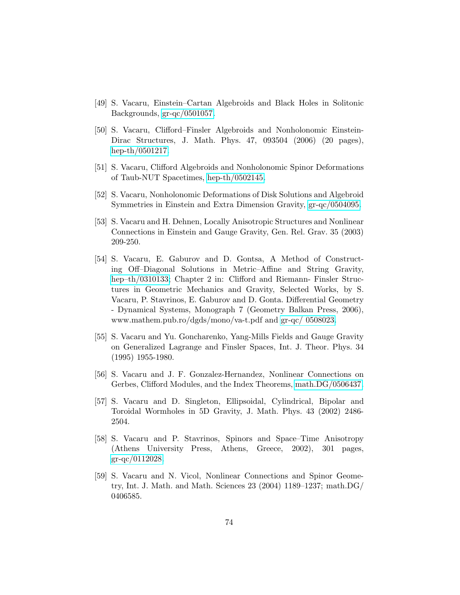- [49] S. Vacaru, Einstein–Cartan Algebroids and Black Holes in Solitonic Backgrounds, [gr-qc/0501057.](http://arxiv.org/abs/gr-qc/0501057)
- [50] S. Vacaru, Clifford–Finsler Algebroids and Nonholonomic Einstein-Dirac Structures, J. Math. Phys. 47, 093504 (2006) (20 pages), [hep-th/0501217.](http://arxiv.org/abs/hep-th/0501217)
- [51] S. Vacaru, Clifford Algebroids and Nonholonomic Spinor Deformations of Taub-NUT Spacetimes, [hep-th/0502145.](http://arxiv.org/abs/hep-th/0502145)
- [52] S. Vacaru, Nonholonomic Deformations of Disk Solutions and Algebroid Symmetries in Einstein and Extra Dimension Gravity, [gr-qc/0504095.](http://arxiv.org/abs/gr-qc/0504095)
- [53] S. Vacaru and H. Dehnen, Locally Anisotropic Structures and Nonlinear Connections in Einstein and Gauge Gravity, Gen. Rel. Grav. 35 (2003) 209-250.
- [54] S. Vacaru, E. Gaburov and D. Gontsa, A Method of Constructing Off–Diagonal Solutions in Metric–Affine and String Gravity, [hep–th/0310133;](http://arxiv.org/abs/hep-th/0310133) Chapter 2 in: Clifford and Riemann- Finsler Structures in Geometric Mechanics and Gravity, Selected Works, by S. Vacaru, P. Stavrinos, E. Gaburov and D. Gonta. Differential Geometry - Dynamical Systems, Monograph 7 (Geometry Balkan Press, 2006), www.mathem.pub.ro/dgds/mono/va-t.pdf and [gr-qc/ 0508023.](http://arxiv.org/abs/gr-qc/0508023)
- [55] S. Vacaru and Yu. Goncharenko, Yang-Mills Fields and Gauge Gravity on Generalized Lagrange and Finsler Spaces, Int. J. Theor. Phys. 34 (1995) 1955-1980.
- [56] S. Vacaru and J. F. Gonzalez-Hernandez, Nonlinear Connections on Gerbes, Clifford Modules, and the Index Theorems, [math.DG/0506437.](http://arxiv.org/abs/math/0506437)
- [57] S. Vacaru and D. Singleton, Ellipsoidal, Cylindrical, Bipolar and Toroidal Wormholes in 5D Gravity, J. Math. Phys. 43 (2002) 2486- 2504.
- [58] S. Vacaru and P. Stavrinos, Spinors and Space–Time Anisotropy (Athens University Press, Athens, Greece, 2002), 301 pages, [gr-qc/0112028.](http://arxiv.org/abs/gr-qc/0112028)
- [59] S. Vacaru and N. Vicol, Nonlinear Connections and Spinor Geometry, Int. J. Math. and Math. Sciences 23 (2004) 1189–1237; math.DG/ 0406585.